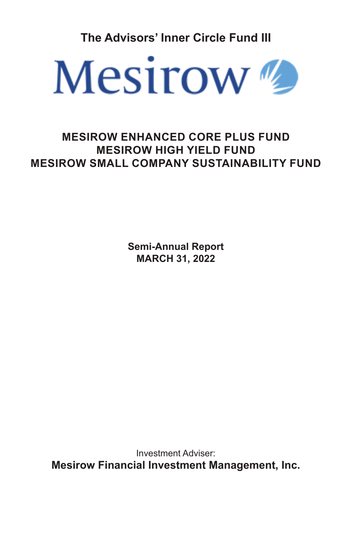**The Advisors' Inner Circle Fund III**



# **MESIROW ENHANCED CORE PLUS FUND MESIROW HIGH YIELD FUND MESIROW SMALL COMPANY SUSTAINABILITY FUND**

**Semi-Annual Report MARCH 31, 2022**

Investment Adviser: **Mesirow Financial Investment Management, Inc.**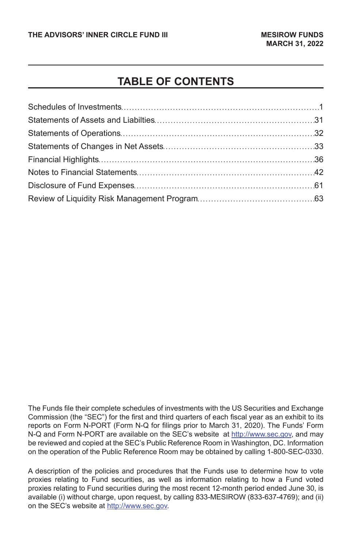# **TABLE OF CONTENTS**

The Funds file their complete schedules of investments with the US Securities and Exchange Commission (the "SEC") for the first and third quarters of each fiscal year as an exhibit to its reports on Form N-PORT (Form N-Q for filings prior to March 31, 2020). The Funds' Form N-Q and Form N-PORT are available on the SEC's website at http://www.sec.gov, and may be reviewed and copied at the SEC's Public Reference Room in Washington, DC. Information on the operation of the Public Reference Room may be obtained by calling 1-800-SEC-0330.

A description of the policies and procedures that the Funds use to determine how to vote proxies relating to Fund securities, as well as information relating to how a Fund voted proxies relating to Fund securities during the most recent 12-month period ended June 30, is available (i) without charge, upon request, by calling 833-MESIROW (833-637-4769); and (ii) on the SEC's website at http://www.sec.gov.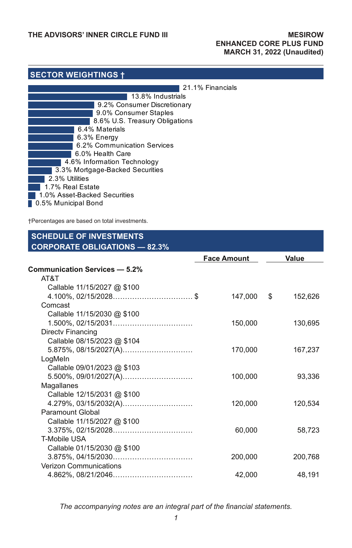# **SECTOR WEIGHTINGS †**

| 13.8% Industrials<br>9.2% Consumer Discretionary<br>9.0% Consumer Staples<br>8.6% U.S. Treasury Obligations<br>6.4% Materials<br>6.3% Energy<br>6.2% Communication Services<br>6.0% Health Care<br>4.6% Information Technology<br>3.3% Mortgage-Backed Securities<br>2.3% Utilities<br>1.7% Real Estate<br>1.0% Asset-Backed Securities<br>0.5% Municipal Bond | 21.1% Financials |
|----------------------------------------------------------------------------------------------------------------------------------------------------------------------------------------------------------------------------------------------------------------------------------------------------------------------------------------------------------------|------------------|
|                                                                                                                                                                                                                                                                                                                                                                |                  |
|                                                                                                                                                                                                                                                                                                                                                                |                  |
|                                                                                                                                                                                                                                                                                                                                                                |                  |
|                                                                                                                                                                                                                                                                                                                                                                |                  |
|                                                                                                                                                                                                                                                                                                                                                                |                  |
|                                                                                                                                                                                                                                                                                                                                                                |                  |
|                                                                                                                                                                                                                                                                                                                                                                |                  |
|                                                                                                                                                                                                                                                                                                                                                                |                  |
|                                                                                                                                                                                                                                                                                                                                                                |                  |
|                                                                                                                                                                                                                                                                                                                                                                |                  |
|                                                                                                                                                                                                                                                                                                                                                                |                  |
|                                                                                                                                                                                                                                                                                                                                                                |                  |
|                                                                                                                                                                                                                                                                                                                                                                |                  |
|                                                                                                                                                                                                                                                                                                                                                                |                  |

†Percentages are based on total investments.

# **SCHEDULE OF INVESTMENTS CORPORATE OBLIGATIONS — 82.3%**

|                               | <b>Face Amount</b> |    | Value   |  |
|-------------------------------|--------------------|----|---------|--|
| Communication Services - 5.2% |                    |    |         |  |
| AT&T                          |                    |    |         |  |
| Callable 11/15/2027 @ \$100   |                    |    |         |  |
| $4.100\%$ , 02/15/2028\$      | 147,000            | \$ | 152,626 |  |
| Comcast                       |                    |    |         |  |
| Callable 11/15/2030 @ \$100   |                    |    |         |  |
|                               | 150,000            |    | 130,695 |  |
| Directy Financing             |                    |    |         |  |
| Callable 08/15/2023 @ \$104   |                    |    |         |  |
|                               | 170,000            |    | 167,237 |  |
| LogMeln                       |                    |    |         |  |
| Callable 09/01/2023 @ \$103   |                    |    |         |  |
|                               | 100,000            |    | 93,336  |  |
| Magallanes                    |                    |    |         |  |
| Callable 12/15/2031 @ \$100   |                    |    |         |  |
| 4.279%, 03/15/2032(A)         | 120,000            |    | 120,534 |  |
| Paramount Global              |                    |    |         |  |
| Callable 11/15/2027 @ \$100   |                    |    |         |  |
|                               | 60,000             |    | 58,723  |  |
| <b>T-Mobile USA</b>           |                    |    |         |  |
| Callable 01/15/2030 @ \$100   |                    |    |         |  |
|                               | 200,000            |    | 200,768 |  |
| <b>Verizon Communications</b> |                    |    |         |  |
|                               | 42,000             |    | 48,191  |  |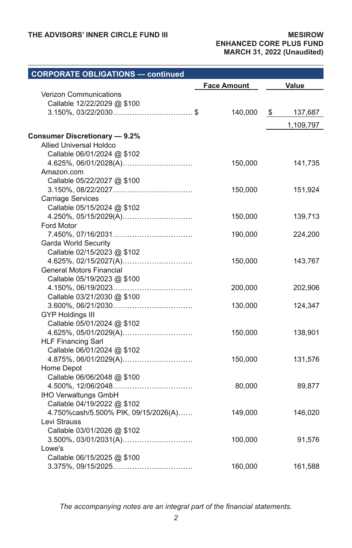| <b>Face Amount</b>                             | Value                                                                               |
|------------------------------------------------|-------------------------------------------------------------------------------------|
|                                                |                                                                                     |
|                                                |                                                                                     |
| 140,000                                        | \$<br>137,687                                                                       |
|                                                | 1,109,797                                                                           |
|                                                |                                                                                     |
|                                                |                                                                                     |
|                                                |                                                                                     |
|                                                | 141,735                                                                             |
|                                                |                                                                                     |
|                                                |                                                                                     |
| 150,000                                        | 151,924                                                                             |
|                                                |                                                                                     |
|                                                |                                                                                     |
| 150,000                                        | 139,713                                                                             |
|                                                |                                                                                     |
| 190,000                                        | 224,200                                                                             |
|                                                |                                                                                     |
|                                                |                                                                                     |
| 150,000                                        | 143,767                                                                             |
|                                                |                                                                                     |
|                                                |                                                                                     |
|                                                | 202,906                                                                             |
|                                                |                                                                                     |
|                                                | 124,347                                                                             |
|                                                |                                                                                     |
|                                                |                                                                                     |
|                                                | 138,901                                                                             |
|                                                |                                                                                     |
|                                                |                                                                                     |
|                                                | 131,576                                                                             |
|                                                |                                                                                     |
|                                                |                                                                                     |
|                                                | 89,877                                                                              |
|                                                |                                                                                     |
|                                                | 146,020                                                                             |
|                                                |                                                                                     |
|                                                |                                                                                     |
|                                                | 91,576                                                                              |
|                                                |                                                                                     |
|                                                |                                                                                     |
| 160,000                                        | 161,588                                                                             |
| 4.250%, 05/15/2029(A)<br>4.625%, 02/15/2027(A) | 150,000<br>200,000<br>130,000<br>150,000<br>150,000<br>80,000<br>149,000<br>100,000 |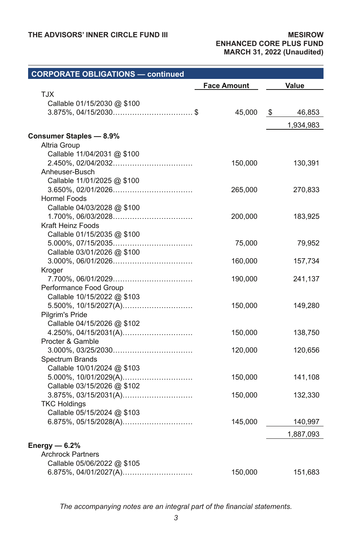| <b>CORPORATE OBLIGATIONS - continued</b> |                    |              |
|------------------------------------------|--------------------|--------------|
|                                          | <b>Face Amount</b> | Value        |
| <b>XLT</b>                               |                    |              |
| Callable 01/15/2030 @ \$100              |                    |              |
| $3.875\%$ , 04/15/2030\$                 | 45,000             | 46,853<br>\$ |
|                                          |                    | 1,934,983    |
| <b>Consumer Staples - 8.9%</b>           |                    |              |
| Altria Group                             |                    |              |
| Callable 11/04/2031 @ \$100              |                    |              |
|                                          | 150,000            | 130,391      |
| Anheuser-Busch                           |                    |              |
| Callable 11/01/2025 @ \$100              |                    |              |
|                                          | 265,000            | 270,833      |
| <b>Hormel Foods</b>                      |                    |              |
| Callable 04/03/2028 @ \$100              |                    |              |
|                                          | 200,000            | 183,925      |
| Kraft Heinz Foods                        |                    |              |
| Callable 01/15/2035 @ \$100              |                    |              |
|                                          | 75,000             | 79,952       |
| Callable 03/01/2026 @ \$100              |                    |              |
|                                          | 160,000            | 157,734      |
| Kroger                                   |                    |              |
|                                          | 190,000            | 241,137      |
| Performance Food Group                   |                    |              |
| Callable 10/15/2022 @ \$103              |                    |              |
|                                          | 150,000            | 149,280      |
| Pilgrim's Pride                          |                    |              |
| Callable 04/15/2026 @ \$102              |                    |              |
|                                          | 150,000            | 138,750      |
| Procter & Gamble                         |                    |              |
|                                          | 120,000            | 120,656      |
| Spectrum Brands                          |                    |              |
| Callable 10/01/2024 @ \$103              |                    |              |
|                                          | 150,000            | 141,108      |
| Callable 03/15/2026 @ \$102              |                    |              |
|                                          | 150,000            | 132,330      |
| <b>TKC Holdings</b>                      |                    |              |
| Callable 05/15/2024 @ \$103              |                    |              |
|                                          | 145,000            | 140,997      |
|                                          |                    | 1,887,093    |
| Energy $-6.2%$                           |                    |              |
| <b>Archrock Partners</b>                 |                    |              |
| Callable 05/06/2022 @ \$105              |                    |              |
|                                          | 150,000            | 151,683      |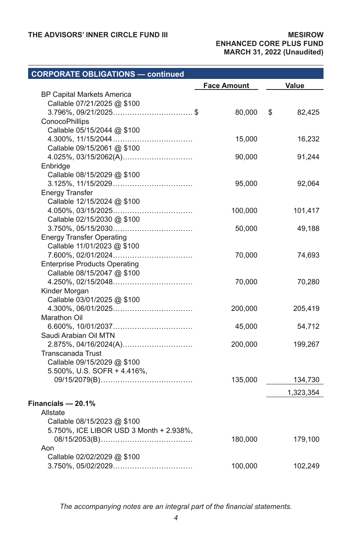### **CORPORATE OBLIGATIONS — continued Face Amount Value** BP Capital Markets America Callable 07/21/2025 @ \$100 3.796%, 09/21/2025................................. \$ 80,000 \$ 82,425 **ConocoPhillips** Callable 05/15/2044 @ \$100 4.300%, 11/15/2044................................. 15,000 16,232 Callable 09/15/2061 @ \$100 4.025%, 03/15/2062(A)............................. 90,000 91,244 **Enbridge** Callable 08/15/2029 @ \$100 3.125%, 11/15/2029................................. 95,000 92,064 Energy Transfer Callable 12/15/2024 @ \$100 4.050%, 03/15/2025................................. 100,000 101,417 Callable 02/15/2030 @ \$100 3.750%, 05/15/2030................................. 50,000 49,188 Energy Transfer Operating Callable 11/01/2023 @ \$100 7.600%, 02/01/2024................................. 70,000 74,693 Enterprise Products Operating Callable 08/15/2047 @ \$100 4.250%, 02/15/2048................................. 70,000 70,280 Kinder Morgan Callable 03/01/2025 @ \$100 4.300%, 06/01/2025................................. 200,000 205,419 Marathon Oil 6.600%, 10/01/2037................................. 45,000 54,712 Saudi Arabian Oil MTN 2.875%, 04/16/2024(A)............................. 200,000 199,267 Transcanada Trust Callable 09/15/2029 @ \$100 5.500%, U.S. SOFR + 4.416%, 09/15/2079(B)...................................... 135,000 134,730 1,323,354 **Financials — 20.1%** Allstate Callable 08/15/2023 @ \$100 5.750%, ICE LIBOR USD 3 Month + 2.938%, 08/15/2053(B)...................................... 180,000 179,100 Aon Callable 02/02/2029 @ \$100 3.750%, 05/02/2029................................. 100,000 102,249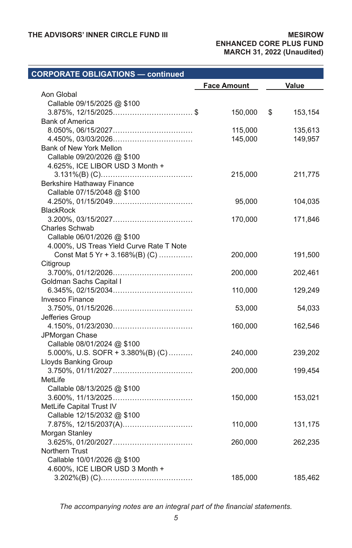### **CORPORATE OBLIGATIONS — continued Face Amount Value** Aon Global Callable 09/15/2025 @ \$100 3.875%, 12/15/2025................................. \$ 150,000 \$ 153,154 Bank of America 8.050%, 06/15/2027................................. 115,000 135,613 4.450%, 03/03/2026................................. 145,000 149,957 Bank of New York Mellon Callable 09/20/2026 @ \$100 4.625%, ICE LIBOR USD 3 Month + 3.131%(B) (C)...................................... 215,000 211,775 Berkshire Hathaway Finance Callable 07/15/2048 @ \$100 4.250%, 01/15/2049................................. 95,000 104,035 **BlackRock** 3.200%, 03/15/2027................................. 170,000 171,846 Charles Schwab Callable 06/01/2026 @ \$100 4.000%, US Treas Yield Curve Rate T Note Const Mat 5 Yr + 3.168%(B) (C) .............. 200,000 191,500 Citigroup 3.700%, 01/12/2026................................. 200,000 202,461 Goldman Sachs Capital I 6.345%, 02/15/2034................................. 110,000 129,249 Invesco Finance 3.750%, 01/15/2026................................. 53,000 54,033 Jefferies Group 4.150%, 01/23/2030................................. 160,000 162,546 JPMorgan Chase Callable 08/01/2024 @ \$100 5.000%, U.S. SOFR + 3.380%(B) (C) .......... 240,000 239,202 Lloyds Banking Group 3.750%, 01/11/2027................................. 200,000 199,454 MetLife Callable 08/13/2025 @ \$100 3.600%, 11/13/2025................................. 150,000 153,021 MetLife Capital Trust IV Callable 12/15/2032 @ \$100 7.875%, 12/15/2037(A)............................. 110,000 131,175 Morgan Stanley 3.625%, 01/20/2027................................. 260,000 262,235 Northern Trust Callable 10/01/2026 @ \$100 4.600%, ICE LIBOR USD 3 Month + 3.202%(B) (C)...................................... 185,000 185,462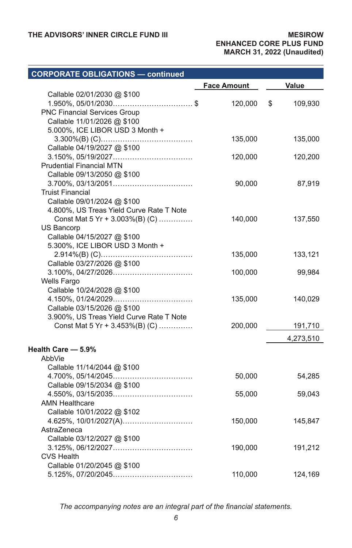# **CORPORATE OBLIGATIONS — continued**

|                                          | <b>Face Amount</b> | Value         |
|------------------------------------------|--------------------|---------------|
| Callable 02/01/2030 @ \$100              |                    |               |
| $1.950\%$ , 05/01/2030\$                 | 120,000            | 109,930<br>\$ |
| PNC Financial Services Group             |                    |               |
| Callable 11/01/2026 @ \$100              |                    |               |
| 5.000%, ICE LIBOR USD 3 Month +          |                    |               |
|                                          | 135,000            | 135,000       |
| Callable 04/19/2027 @ \$100              |                    |               |
|                                          | 120,000            | 120,200       |
| <b>Prudential Financial MTN</b>          |                    |               |
| Callable 09/13/2050 @ \$100              |                    |               |
|                                          | 90,000             | 87,919        |
| <b>Truist Financial</b>                  |                    |               |
| Callable 09/01/2024 @ \$100              |                    |               |
| 4.800%, US Treas Yield Curve Rate T Note |                    |               |
| Const Mat 5 Yr + 3.003%(B) (C)           | 140,000            | 137,550       |
| US Bancorp                               |                    |               |
| Callable 04/15/2027 @ \$100              |                    |               |
| 5.300%, ICE LIBOR USD 3 Month +          |                    |               |
|                                          | 135,000            | 133,121       |
| Callable 03/27/2026 @ \$100              |                    |               |
|                                          | 100,000            | 99,984        |
| <b>Wells Fargo</b>                       |                    |               |
| Callable 10/24/2028 @ \$100              |                    |               |
|                                          | 135,000            | 140,029       |
| Callable 03/15/2026 @ \$100              |                    |               |
| 3.900%, US Treas Yield Curve Rate T Note |                    |               |
| Const Mat 5 Yr + 3.453%(B) (C)           | 200,000            | 191,710       |
|                                          |                    | 4,273,510     |
| Health Care - 5.9%                       |                    |               |
| AbbVie                                   |                    |               |
| Callable 11/14/2044 @ \$100              |                    |               |
|                                          | 50,000             | 54,285        |
| Callable 09/15/2034 @ \$100              |                    |               |
|                                          | 55,000             | 59,043        |
| <b>AMN Healthcare</b>                    |                    |               |
| Callable 10/01/2022 @ \$102              |                    |               |
| 4.625%, 10/01/2027(A)                    | 150,000            | 145,847       |
| AstraZeneca                              |                    |               |
| Callable 03/12/2027 @ \$100              |                    |               |
|                                          | 190,000            | 191,212       |
| <b>CVS Health</b>                        |                    |               |
| Callable 01/20/2045 @ \$100              |                    |               |
|                                          | 110,000            | 124,169       |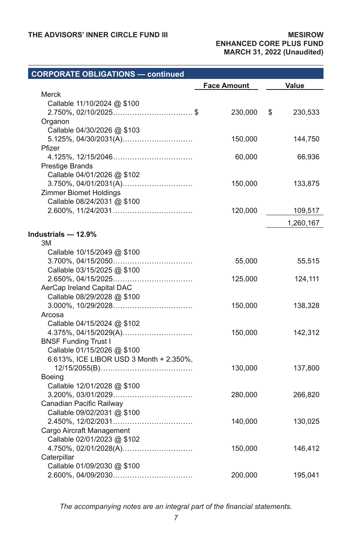### **CORPORATE OBLIGATIONS — continued Face Amount Value** Merck Callable 11/10/2024 @ \$100 2.750%, 02/10/2025................................. \$ 230,000 \$ 230,533 Organon Callable 04/30/2026 @ \$103 5.125%, 04/30/2031(A)............................. 150,000 144,750 Pfizer 4.125%, 12/15/2046................................. 60,000 66,936 Prestige Brands Callable 04/01/2026 @ \$102 3.750%, 04/01/2031(A)............................. 150,000 133,875 Zimmer Biomet Holdings Callable 08/24/2031 @ \$100 2.600%, 11/24/2031................................. 120,000 109,517 1,260,167 **Industrials — 12.9%** 3M Callable 10/15/2049 @ \$100 3.700%, 04/15/2050................................. 55,000 55,515 Callable 03/15/2025 @ \$100 2.650%, 04/15/2025................................. 125,000 124,111 AerCap Ireland Capital DAC Callable 08/29/2028 @ \$100 3.000%, 10/29/2028................................. 150,000 138,328 Arcosa Callable 04/15/2024 @ \$102 4.375%, 04/15/2029(A)............................. 150,000 142,312 BNSF Funding Trust I Callable 01/15/2026 @ \$100 6.613%, ICE LIBOR USD 3 Month + 2.350%, 12/15/2055(B)...................................... 130,000 137,800 Boeing Callable 12/01/2028 @ \$100 3.200%, 03/01/2029................................. 280,000 266,820 Canadian Pacific Railway Callable 09/02/2031 @ \$100 2.450%, 12/02/2031................................. 140,000 130,025 Cargo Aircraft Management Callable 02/01/2023 @ \$102 4.750%, 02/01/2028(A)............................. 150,000 146,412 **Caterpillar** Callable 01/09/2030 @ \$100 2.600%, 04/09/2030................................. 200,000 195,041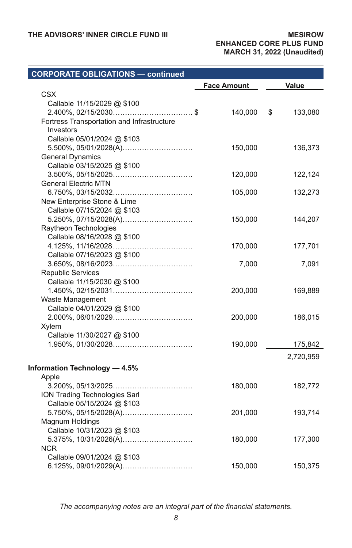### **CORPORATE OBLIGATIONS — continued Face Amount Value** CSX Callable 11/15/2029 @ \$100 2.400%, 02/15/2030................................. \$ 140,000 \$ 133,080 Fortress Transportation and Infrastructure Investors Callable 05/01/2024 @ \$103 5.500%, 05/01/2028(A)............................. 150,000 136,373 General Dynamics Callable 03/15/2025 @ \$100 3.500%, 05/15/2025................................. 120,000 122,124 General Electric MTN 6.750%, 03/15/2032................................. 105,000 132,273 New Enterprise Stone & Lime Callable 07/15/2024 @ \$103 5.250%, 07/15/2028(A)............................. 150,000 144,207 Raytheon Technologies Callable 08/16/2028 @ \$100 4.125%, 11/16/2028................................. 170,000 177,701 Callable 07/16/2023 @ \$100 3.650%, 08/16/2023................................. 7,000 7,091 Republic Services Callable 11/15/2030 @ \$100 1.450%, 02/15/2031................................. 200,000 169,889 Waste Management Callable 04/01/2029 @ \$100 2.000%, 06/01/2029................................. 200,000 186,015 Xylem Callable 11/30/2027 @ \$100 1.950%, 01/30/2028................................. 190,000 175,842 2,720,959 **Information Technology — 4.5%** Apple 3.200%, 05/13/2025................................. 180,000 182,772 ION Trading Technologies Sarl Callable 05/15/2024 @ \$103 5.750%, 05/15/2028(A)............................. 201,000 193,714 Magnum Holdings Callable 10/31/2023 @ \$103 5.375%, 10/31/2026(A)............................. 180,000 177,300 NCR Callable 09/01/2024 @ \$103 6.125%, 09/01/2029(A)............................. 150,000 150,375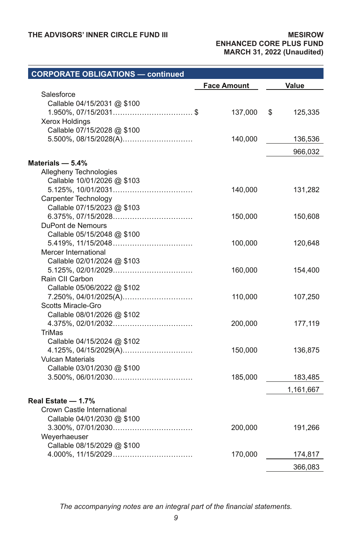| <b>CORPORATE OBLIGATIONS - continued</b>                                                                                         |                    |               |
|----------------------------------------------------------------------------------------------------------------------------------|--------------------|---------------|
|                                                                                                                                  | <b>Face Amount</b> | Value         |
| Salesforce<br>Callable 04/15/2031 @ \$100<br>$1.950\%$ , 07/15/2031\$<br><b>Xerox Holdings</b><br>Callable 07/15/2028 @ \$100    | 137,000            | \$<br>125,335 |
| 5.500%, 08/15/2028(A)                                                                                                            | 140,000            | 136,536       |
|                                                                                                                                  |                    | 966,032       |
| Materials - 5.4%<br>Allegheny Technologies<br>Callable 10/01/2026 @ \$103<br>Carpenter Technology<br>Callable 07/15/2023 @ \$103 | 140,000            | 131,282       |
| DuPont de Nemours<br>Callable 05/15/2048 @ \$100                                                                                 | 150,000            | 150,608       |
| Mercer International<br>Callable 02/01/2024 @ \$103                                                                              | 100,000            | 120,648       |
| Rain CII Carbon<br>Callable 05/06/2022 @ \$102                                                                                   | 160,000            | 154,400       |
| 7.250%, 04/01/2025(A)<br>Scotts Miracle-Gro<br>Callable 08/01/2026 @ \$102                                                       | 110,000            | 107,250       |
| TriMas<br>Callable 04/15/2024 @ \$102                                                                                            | 200,000            | 177,119       |
| 4.125%, 04/15/2029(A)<br><b>Vulcan Materials</b><br>Callable 03/01/2030 @ \$100                                                  | 150,000            | 136,875       |
|                                                                                                                                  | 185,000            | 183,485       |
|                                                                                                                                  |                    | 1,161,667     |
| Real Estate - 1.7%<br>Crown Castle International<br>Callable 04/01/2030 @ \$100<br>Weyerhaeuser                                  | 200,000            | 191,266       |
| Callable 08/15/2029 @ \$100                                                                                                      | 170,000            | 174,817       |
|                                                                                                                                  |                    | 366,083       |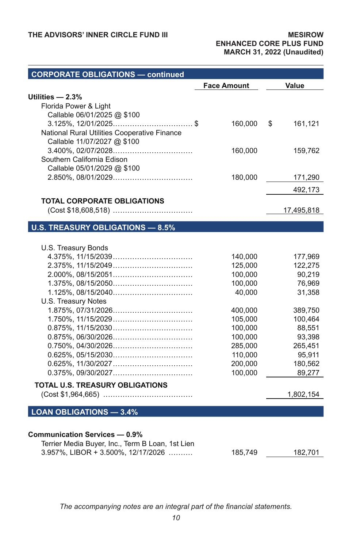| <b>CORPORATE OBLIGATIONS - continued</b>         |                    |                   |
|--------------------------------------------------|--------------------|-------------------|
|                                                  | <b>Face Amount</b> | Value             |
| Utilities - 2.3%                                 |                    |                   |
| Florida Power & Light                            |                    |                   |
| Callable 06/01/2025 @ \$100                      |                    |                   |
| $3.125\%$ , $12/01/2025$ \$                      | 160,000            | \$<br>161,121     |
| National Rural Utilities Cooperative Finance     |                    |                   |
| Callable 11/07/2027 @ \$100                      |                    |                   |
|                                                  | 160,000            | 159,762           |
| Southern California Edison                       |                    |                   |
| Callable 05/01/2029 @ \$100                      |                    |                   |
|                                                  | 180,000            | 171,290           |
|                                                  |                    | 492,173           |
| <b>TOTAL CORPORATE OBLIGATIONS</b>               |                    |                   |
|                                                  |                    | 17,495,818        |
| <b>U.S. TREASURY OBLIGATIONS - 8.5%</b>          |                    |                   |
|                                                  |                    |                   |
| U.S. Treasury Bonds                              |                    |                   |
|                                                  | 140,000            | 177,969           |
|                                                  | 125,000            | 122,275           |
|                                                  | 100,000            | 90,219            |
|                                                  | 100,000            | 76,969            |
|                                                  | 40,000             | 31,358            |
| U.S. Treasury Notes                              |                    |                   |
|                                                  | 400,000            | 389,750           |
|                                                  | 105,000            | 100,464           |
|                                                  | 100,000            | 88,551            |
|                                                  | 100,000            | 93,398            |
|                                                  | 285,000<br>110,000 | 265,451<br>95,911 |
|                                                  | 200,000            | 180,562           |
|                                                  | 100,000            | 89,277            |
|                                                  |                    |                   |
| <b>TOTAL U.S. TREASURY OBLIGATIONS</b>           |                    | 1,802,154         |
|                                                  |                    |                   |
| <b>LOAN OBLIGATIONS - 3.4%</b>                   |                    |                   |
|                                                  |                    |                   |
| Communication Services - 0.9%                    |                    |                   |
| Terrier Media Buyer, Inc., Term B Loan, 1st Lien |                    |                   |
| 3.957%, LIBOR + 3.500%, 12/17/2026               | 185,749            | 182,701           |
|                                                  |                    |                   |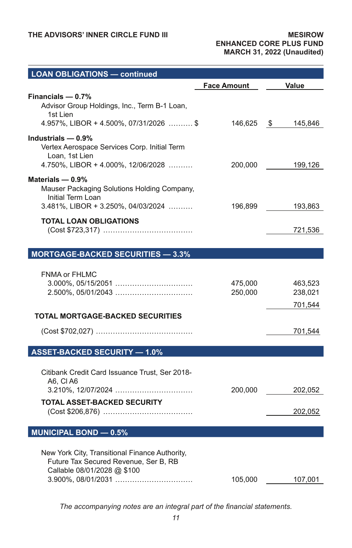| <b>LOAN OBLIGATIONS - continued</b>                                                                                            |                    |                               |
|--------------------------------------------------------------------------------------------------------------------------------|--------------------|-------------------------------|
|                                                                                                                                | <b>Face Amount</b> | Value                         |
| Financials $-$ 0.7%<br>Advisor Group Holdings, Inc., Term B-1 Loan,<br>1st Lien<br>4.957%, LIBOR + 4.500%, 07/31/2026  \$      | 146,625 \$         | 145,846                       |
| Industrials - 0.9%<br>Vertex Aerospace Services Corp. Initial Term<br>Loan, 1st Lien<br>$4.750\%$ , LIBOR + 4.000%, 12/06/2028 | 200,000            | 199,126                       |
| Materials $-0.9%$<br>Mauser Packaging Solutions Holding Company,<br>Initial Term Loan<br>3.481%, LIBOR + 3.250%, 04/03/2024    | 196,899            | 193,863                       |
| <b>TOTAL LOAN OBLIGATIONS</b>                                                                                                  |                    | 721,536                       |
| <b>MORTGAGE-BACKED SECURITIES - 3.3%</b>                                                                                       |                    |                               |
| <b>FNMA or FHLMC</b><br>2.500%, 05/01/2043                                                                                     | 475,000<br>250,000 | 463,523<br>238,021<br>701,544 |
| <b>TOTAL MORTGAGE-BACKED SECURITIES</b>                                                                                        |                    |                               |
|                                                                                                                                |                    | 701,544                       |
| <b>ASSET-BACKED SECURITY - 1.0%</b>                                                                                            |                    |                               |
| Citibank Credit Card Issuance Trust, Ser 2018-<br>A6, CI A6<br><b>TOTAL ASSET-BACKED SECURITY</b>                              | 200,000            | 202,052                       |
|                                                                                                                                |                    | 202,052                       |
| <b>MUNICIPAL BOND - 0.5%</b>                                                                                                   |                    |                               |
| New York City, Transitional Finance Authority,<br>Future Tax Secured Revenue, Ser B, RB<br>Callable 08/01/2028 @ \$100         | 105,000            | 107,001                       |
|                                                                                                                                |                    |                               |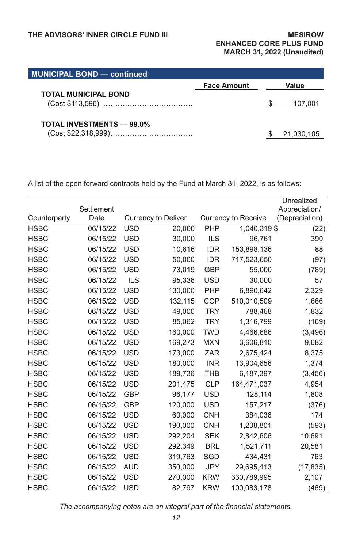| <b>MUNICIPAL BOND — continued</b> |                    |            |
|-----------------------------------|--------------------|------------|
|                                   | <b>Face Amount</b> | Value      |
| <b>TOTAL MUNICIPAL BOND</b>       |                    |            |
|                                   |                    | 107,001    |
| <b>TOTAL INVESTMENTS - 99.0%</b>  |                    |            |
|                                   |                    | 21,030,105 |

A list of the open forward contracts held by the Fund at March 31, 2022, is as follows:

|              |            |            |                            |            |                     | Unrealized     |
|--------------|------------|------------|----------------------------|------------|---------------------|----------------|
|              | Settlement |            |                            |            |                     | Appreciation/  |
| Counterparty | Date       |            | <b>Currency to Deliver</b> |            | Currency to Receive | (Depreciation) |
| <b>HSBC</b>  | 06/15/22   | <b>USD</b> | 20,000                     | PHP        | 1,040,319 \$        | (22)           |
| <b>HSBC</b>  | 06/15/22   | <b>USD</b> | 30,000                     | <b>ILS</b> | 96,761              | 390            |
| <b>HSBC</b>  | 06/15/22   | <b>USD</b> | 10,616                     | <b>IDR</b> | 153,898,136         | 88             |
| <b>HSBC</b>  | 06/15/22   | <b>USD</b> | 50,000                     | <b>IDR</b> | 717,523,650         | (97)           |
| <b>HSBC</b>  | 06/15/22   | <b>USD</b> | 73,019                     | <b>GBP</b> | 55,000              | (789)          |
| <b>HSBC</b>  | 06/15/22   | <b>ILS</b> | 95,336                     | <b>USD</b> | 30,000              | 57             |
| <b>HSBC</b>  | 06/15/22   | <b>USD</b> | 130,000                    | PHP        | 6,890,642           | 2,329          |
| <b>HSBC</b>  | 06/15/22   | <b>USD</b> | 132,115                    | COP        | 510,010,509         | 1,666          |
| <b>HSBC</b>  | 06/15/22   | <b>USD</b> | 49,000                     | <b>TRY</b> | 788,468             | 1,832          |
| <b>HSBC</b>  | 06/15/22   | <b>USD</b> | 85,062                     | <b>TRY</b> | 1,316,799           | (169)          |
| <b>HSBC</b>  | 06/15/22   | <b>USD</b> | 160,000                    | <b>TWD</b> | 4,466,686           | (3, 496)       |
| <b>HSBC</b>  | 06/15/22   | <b>USD</b> | 169,273                    | <b>MXN</b> | 3,606,810           | 9,682          |
| <b>HSBC</b>  | 06/15/22   | <b>USD</b> | 173,000                    | <b>ZAR</b> | 2,675,424           | 8,375          |
| <b>HSBC</b>  | 06/15/22   | <b>USD</b> | 180,000                    | <b>INR</b> | 13,904,656          | 1,374          |
| <b>HSBC</b>  | 06/15/22   | <b>USD</b> | 189,736                    | <b>THB</b> | 6,187,397           | (3, 456)       |
| <b>HSBC</b>  | 06/15/22   | <b>USD</b> | 201,475                    | <b>CLP</b> | 164,471,037         | 4,954          |
| <b>HSBC</b>  | 06/15/22   | <b>GBP</b> | 96.177                     | <b>USD</b> | 128,114             | 1,808          |
| <b>HSBC</b>  | 06/15/22   | <b>GBP</b> | 120,000                    | <b>USD</b> | 157,217             | (376)          |
| <b>HSBC</b>  | 06/15/22   | <b>USD</b> | 60.000                     | <b>CNH</b> | 384.036             | 174            |
| <b>HSBC</b>  | 06/15/22   | <b>USD</b> | 190,000                    | <b>CNH</b> | 1,208,801           | (593)          |
| <b>HSBC</b>  | 06/15/22   | <b>USD</b> | 292,204                    | <b>SEK</b> | 2,842,606           | 10,691         |
| <b>HSBC</b>  | 06/15/22   | <b>USD</b> | 292.349                    | <b>BRL</b> | 1,521,711           | 20,581         |
| <b>HSBC</b>  | 06/15/22   | <b>USD</b> | 319,763                    | SGD        | 434,431             | 763            |
| <b>HSBC</b>  | 06/15/22   | <b>AUD</b> | 350,000                    | <b>JPY</b> | 29,695,413          | (17, 835)      |
| <b>HSBC</b>  | 06/15/22   | <b>USD</b> | 270,000                    | <b>KRW</b> | 330,789,995         | 2,107          |
| <b>HSBC</b>  | 06/15/22   | <b>USD</b> | 82,797                     | <b>KRW</b> | 100,083,178         | (469)          |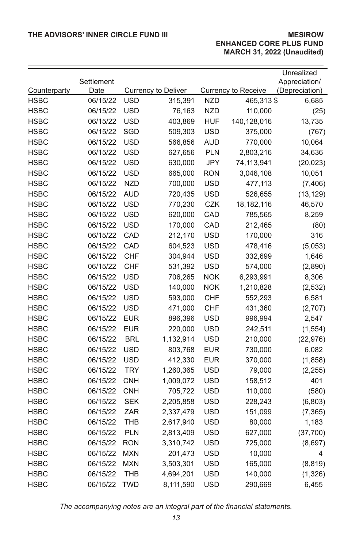|                             |                  |            |                            |            |                                   | Unrealized     |
|-----------------------------|------------------|------------|----------------------------|------------|-----------------------------------|----------------|
|                             | Settlement       |            |                            |            |                                   | Appreciation/  |
| Counterparty<br><b>HSBC</b> | Date<br>06/15/22 | <b>USD</b> | <b>Currency to Deliver</b> |            | Currency to Receive<br>465,313 \$ | (Depreciation) |
| <b>HSBC</b>                 |                  | USD        | 315,391                    | <b>NZD</b> |                                   | 6,685          |
| <b>HSBC</b>                 | 06/15/22         | <b>USD</b> | 76,163                     | <b>NZD</b> | 110,000<br>140,128,016            | (25)           |
|                             | 06/15/22         |            | 403,869                    | HUF        |                                   | 13,735         |
| <b>HSBC</b>                 | 06/15/22         | SGD        | 509,303                    | <b>USD</b> | 375,000                           | (767)          |
| <b>HSBC</b>                 | 06/15/22         | <b>USD</b> | 566,856                    | <b>AUD</b> | 770,000                           | 10,064         |
| <b>HSBC</b>                 | 06/15/22         | <b>USD</b> | 627,656                    | <b>PLN</b> | 2,803,216                         | 34,636         |
| <b>HSBC</b>                 | 06/15/22         | <b>USD</b> | 630,000                    | <b>JPY</b> | 74,113,941                        | (20, 023)      |
| HSBC                        | 06/15/22         | <b>USD</b> | 665,000                    | <b>RON</b> | 3,046,108                         | 10,051         |
| <b>HSBC</b>                 | 06/15/22         | <b>NZD</b> | 700,000                    | USD        | 477,113                           | (7, 406)       |
| <b>HSBC</b>                 | 06/15/22         | <b>AUD</b> | 720,435                    | USD        | 526,655                           | (13, 129)      |
| <b>HSBC</b>                 | 06/15/22         | <b>USD</b> | 770,230                    | CZK        | 18,182,116                        | 46,570         |
| <b>HSBC</b>                 | 06/15/22         | USD        | 620,000                    | CAD        | 785,565                           | 8,259          |
| <b>HSBC</b>                 | 06/15/22         | <b>USD</b> | 170,000                    | CAD        | 212,465                           | (80)           |
| <b>HSBC</b>                 | 06/15/22         | CAD        | 212,170                    | <b>USD</b> | 170,000                           | 316            |
| <b>HSBC</b>                 | 06/15/22         | CAD        | 604,523                    | USD        | 478,416                           | (5,053)        |
| <b>HSBC</b>                 | 06/15/22         | CHF        | 304,944                    | <b>USD</b> | 332,699                           | 1,646          |
| <b>HSBC</b>                 | 06/15/22         | <b>CHF</b> | 531,392                    | <b>USD</b> | 574,000                           | (2,890)        |
| HSBC                        | 06/15/22         | <b>USD</b> | 706,265                    | <b>NOK</b> | 6,293,991                         | 8,306          |
| <b>HSBC</b>                 | 06/15/22         | <b>USD</b> | 140,000                    | <b>NOK</b> | 1,210,828                         | (2, 532)       |
| HSBC                        | 06/15/22         | <b>USD</b> | 593,000                    | <b>CHF</b> | 552,293                           | 6,581          |
| <b>HSBC</b>                 | 06/15/22         | USD        | 471,000                    | <b>CHF</b> | 431,360                           | (2,707)        |
| <b>HSBC</b>                 | 06/15/22         | <b>EUR</b> | 896,396                    | <b>USD</b> | 996,994                           | 2,547          |
| <b>HSBC</b>                 | 06/15/22         | <b>EUR</b> | 220,000                    | <b>USD</b> | 242,511                           | (1, 554)       |
| <b>HSBC</b>                 | 06/15/22         | <b>BRL</b> | 1,132,914                  | <b>USD</b> | 210,000                           | (22, 976)      |
| <b>HSBC</b>                 | 06/15/22         | <b>USD</b> | 803,768                    | EUR        | 730,000                           | 6,082          |
| <b>HSBC</b>                 | 06/15/22         | <b>USD</b> | 412,330                    | <b>EUR</b> | 370,000                           | (1, 858)       |
| <b>HSBC</b>                 | 06/15/22         | <b>TRY</b> | 1,260,365                  | <b>USD</b> | 79,000                            | (2, 255)       |
| <b>HSBC</b>                 | 06/15/22         | <b>CNH</b> | 1,009,072                  | <b>USD</b> | 158,512                           | 401            |
| <b>HSBC</b>                 | 06/15/22         | <b>CNH</b> | 705,722                    | USD        | 110,000                           | (580)          |
| HSBC                        | 06/15/22         | <b>SEK</b> | 2,205,858                  | USD        | 228,243                           | (6,803)        |
| <b>HSBC</b>                 | 06/15/22         | ZAR        | 2,337,479                  | <b>USD</b> | 151,099                           | (7, 365)       |
| <b>HSBC</b>                 | 06/15/22         | THB        | 2,617,940                  | <b>USD</b> | 80,000                            | 1,183          |
| <b>HSBC</b>                 | 06/15/22         | <b>PLN</b> | 2,813,409                  | <b>USD</b> | 627,000                           | (37,700)       |
| <b>HSBC</b>                 | 06/15/22         | <b>RON</b> | 3,310,742                  | <b>USD</b> | 725,000                           | (8,697)        |
| <b>HSBC</b>                 | 06/15/22         | <b>MXN</b> | 201,473                    | <b>USD</b> | 10,000                            | 4              |
| <b>HSBC</b>                 | 06/15/22         | <b>MXN</b> | 3,503,301                  | <b>USD</b> | 165,000                           | (8, 819)       |
| <b>HSBC</b>                 | 06/15/22         | <b>THB</b> | 4,694,201                  | <b>USD</b> | 140,000                           | (1, 326)       |
| <b>HSBC</b>                 | 06/15/22         | <b>TWD</b> | 8,111,590                  | <b>USD</b> | 290,669                           | 6,455          |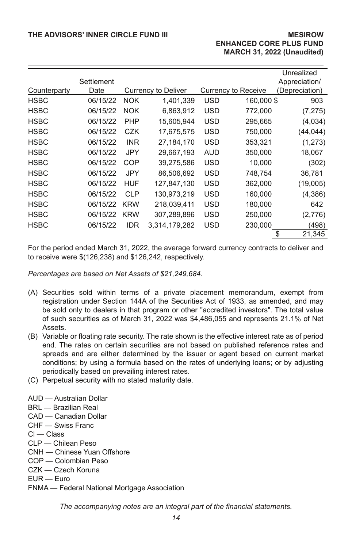|              |                    |            |                     |            |                     | Unrealized                      |
|--------------|--------------------|------------|---------------------|------------|---------------------|---------------------------------|
| Counterparty | Settlement<br>Date |            | Currency to Deliver |            | Currency to Receive | Appreciation/<br>(Depreciation) |
|              |                    |            |                     |            |                     |                                 |
| <b>HSBC</b>  | 06/15/22           | <b>NOK</b> | 1,401,339           | USD        | 160,000\$           | 903                             |
| <b>HSBC</b>  | 06/15/22           | <b>NOK</b> | 6,863,912           | USD        | 772,000             | (7, 275)                        |
| <b>HSBC</b>  | 06/15/22           | <b>PHP</b> | 15,605,944          | <b>USD</b> | 295,665             | (4,034)                         |
| <b>HSBC</b>  | 06/15/22           | CZK        | 17,675,575          | <b>USD</b> | 750,000             | (44,044)                        |
| <b>HSBC</b>  | 06/15/22           | <b>INR</b> | 27.184.170          | <b>USD</b> | 353.321             | (1,273)                         |
| <b>HSBC</b>  | 06/15/22           | JPY        | 29,667,193          | <b>AUD</b> | 350,000             | 18,067                          |
| <b>HSBC</b>  | 06/15/22           | COP        | 39,275,586          | <b>USD</b> | 10.000              | (302)                           |
| <b>HSBC</b>  | 06/15/22           | JPY        | 86,506,692          | <b>USD</b> | 748,754             | 36,781                          |
| <b>HSBC</b>  | 06/15/22           | <b>HUF</b> | 127.847.130         | <b>USD</b> | 362,000             | (19,005)                        |
| <b>HSBC</b>  | 06/15/22           | <b>CLP</b> | 130,973,219         | <b>USD</b> | 160,000             | (4,386)                         |
| <b>HSBC</b>  | 06/15/22           | <b>KRW</b> | 218,039,411         | <b>USD</b> | 180,000             | 642                             |
| <b>HSBC</b>  | 06/15/22           | <b>KRW</b> | 307,289,896         | <b>USD</b> | 250,000             | (2,776)                         |
| <b>HSBC</b>  | 06/15/22           | <b>IDR</b> | 3.314.179.282       | <b>USD</b> | 230.000             | (498)                           |
|              |                    |            |                     |            |                     | 21,345<br>\$                    |

For the period ended March 31, 2022, the average forward currency contracts to deliver and to receive were \$(126,238) and \$126,242, respectively.

*Percentages are based on Net Assets of \$21,249,684.*

- (A) Securities sold within terms of a private placement memorandum, exempt from registration under Section 144A of the Securities Act of 1933, as amended, and may be sold only to dealers in that program or other "accredited investors". The total value of such securities as of March 31, 2022 was \$4,486,055 and represents 21.1% of Net Assets.
- (B) Variable or floating rate security. The rate shown is the effective interest rate as of period end. The rates on certain securities are not based on published reference rates and spreads and are either determined by the issuer or agent based on current market conditions; by using a formula based on the rates of underlying loans; or by adjusting periodically based on prevailing interest rates.
- (C) Perpetual security with no stated maturity date.
- AUD Australian Dollar
- BRL Brazilian Real
- CAD Canadian Dollar
- CHF Swiss Franc
- Cl Class
- CLP Chilean Peso
- CNH Chinese Yuan Offshore
- COP Colombian Peso
- CZK Czech Koruna
- EUR Euro
- FNMA Federal National Mortgage Association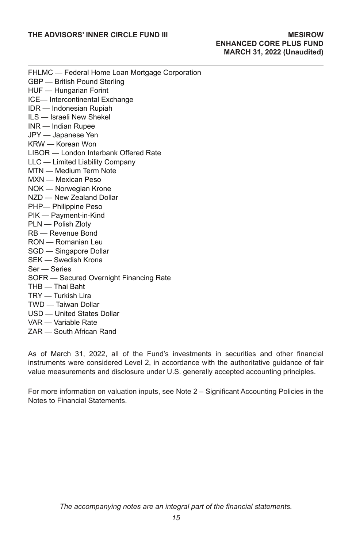FHLMC — Federal Home Loan Mortgage Corporation GBP — British Pound Sterling HUF — Hungarian Forint ICE— Intercontinental Exchange IDR — Indonesian Rupiah ILS — Israeli New Shekel INR — Indian Rupee JPY — Japanese Yen KRW — Korean Won LIBOR — London Interbank Offered Rate LLC — Limited Liability Company MTN — Medium Term Note MXN — Mexican Peso NOK — Norwegian Krone NZD — New Zealand Dollar PHP— Philippine Peso PIK — Payment-in-Kind PLN — Polish Zloty RB — Revenue Bond RON — Romanian Leu SGD — Singapore Dollar SEK — Swedish Krona Ser — Series SOFR — Secured Overnight Financing Rate THB — Thai Baht TRY — Turkish Lira TWD — Taiwan Dollar USD — United States Dollar VAR — Variable Rate ZAR — South African Rand

As of March 31, 2022, all of the Fund's investments in securities and other financial instruments were considered Level 2, in accordance with the authoritative guidance of fair value measurements and disclosure under U.S. generally accepted accounting principles.

For more information on valuation inputs, see Note 2 – Significant Accounting Policies in the Notes to Financial Statements.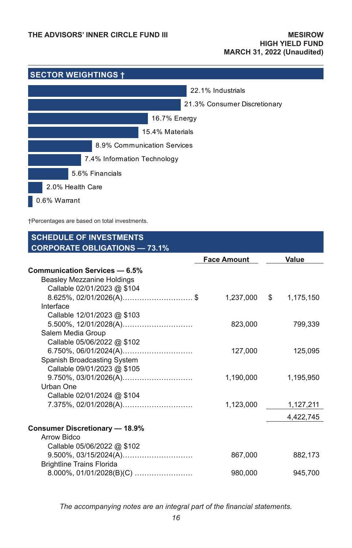

†Percentages are based on total investments.

| <b>SCHEDULE OF INVESTMENTS</b>        |                    |           |
|---------------------------------------|--------------------|-----------|
| <b>CORPORATE OBLIGATIONS - 73.1%</b>  | <b>Face Amount</b> | Value     |
| Communication Services - 6.5%         |                    |           |
| Beasley Mezzanine Holdings            |                    |           |
| Callable 02/01/2023 @ \$104           |                    |           |
| $8.625\%$ , 02/01/2026(A)\$           | 1,237,000 \$       | 1,175,150 |
| Interface                             |                    |           |
| Callable 12/01/2023 @ \$103           |                    |           |
|                                       | 823,000            | 799,339   |
| Salem Media Group                     |                    |           |
| Callable 05/06/2022 @ \$102           |                    |           |
|                                       | 127,000            | 125,095   |
| Spanish Broadcasting System           |                    |           |
| Callable 09/01/2023 @ \$105           |                    |           |
|                                       | 1,190,000          | 1,195,950 |
| Urban One                             |                    |           |
| Callable 02/01/2024 @ \$104           |                    |           |
|                                       | 1,123,000          | 1,127,211 |
|                                       |                    | 4,422,745 |
| <b>Consumer Discretionary - 18.9%</b> |                    |           |
| Arrow Bidco                           |                    |           |
| Callable 05/06/2022 @ \$102           |                    |           |
|                                       | 867,000            | 882,173   |
| <b>Brightline Trains Florida</b>      |                    |           |
|                                       | 980.000            | 945.700   |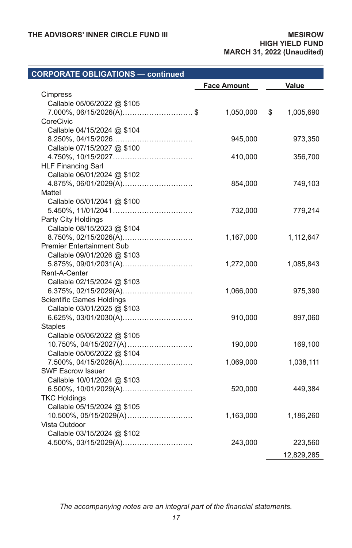### **CORPORATE OBLIGATIONS — continued Face Amount Value** Cimpress Callable 05/06/2022 @ \$105 7.000%, 06/15/2026(A)............................. \$ 1,050,000 \$ 1,005,690 CoreCivic Callable 04/15/2024 @ \$104 8.250%, 04/15/2026................................. 945,000 973,350 Callable 07/15/2027 @ \$100 4.750%, 10/15/2027................................. 410,000 356,700 HLF Financing Sarl Callable 06/01/2024 @ \$102 4.875%, 06/01/2029(A)............................. 854,000 749,103 Mattel Callable 05/01/2041 @ \$100 5.450%, 11/01/2041................................. 732,000 779,214 Party City Holdings Callable 08/15/2023 @ \$104 8.750%, 02/15/2026(A)............................. 1,167,000 1,112,647 Premier Entertainment Sub Callable 09/01/2026 @ \$103 5.875%, 09/01/2031(A)............................. 1,272,000 1,085,843 Rent-A-Center Callable 02/15/2024 @ \$103 6.375%, 02/15/2029(A)............................. 1,066,000 975,390 Scientific Games Holdings Callable 03/01/2025 @ \$103 6.625%, 03/01/2030(A)............................. 910,000 897,060 **Staples** Callable 05/06/2022 @ \$105 10.750%, 04/15/2027(A)........................... 190,000 169,100 Callable 05/06/2022 @ \$104 7.500%, 04/15/2026(A)............................. 1,069,000 1,038,111 SWF Escrow Issuer Callable 10/01/2024 @ \$103 6.500%, 10/01/2029(A)............................. 520,000 449,384 TKC Holdings Callable 05/15/2024 @ \$105 10.500%, 05/15/2029(A)........................... 1,163,000 1,186,260 Vista Outdoor Callable 03/15/2024 @ \$102 4.500%, 03/15/2029(A)............................. 243,000 223,560 12,829,285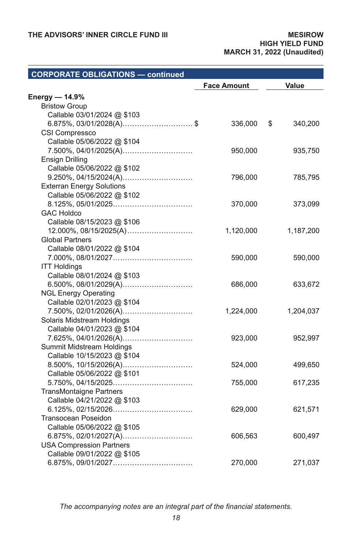| <b>CORPORATE OBLIGATIONS - continued</b> |                    |               |
|------------------------------------------|--------------------|---------------|
|                                          | <b>Face Amount</b> | Value         |
| Energy $-$ 14.9%                         |                    |               |
| <b>Bristow Group</b>                     |                    |               |
| Callable 03/01/2024 @ \$103              |                    |               |
| 6.875%, 03/01/2028(A)\$                  | 336,000            | \$<br>340,200 |
| CSI Compressco                           |                    |               |
| Callable 05/06/2022 @ \$104              |                    |               |
| 7.500%, 04/01/2025(A)                    | 950,000            | 935,750       |
| Ensign Drilling                          |                    |               |
| Callable 05/06/2022 @ \$102              |                    |               |
|                                          | 796,000            | 785,795       |
| <b>Exterran Energy Solutions</b>         |                    |               |
| Callable 05/06/2022 @ \$102              |                    |               |
|                                          | 370,000            | 373,099       |
| <b>GAC Holdco</b>                        |                    |               |
| Callable 08/15/2023 @ \$106              |                    |               |
|                                          | 1,120,000          | 1,187,200     |
| <b>Global Partners</b>                   |                    |               |
| Callable 08/01/2022 @ \$104              |                    |               |
|                                          | 590,000            | 590,000       |
| <b>ITT Holdings</b>                      |                    |               |
| Callable 08/01/2024 @ \$103              |                    |               |
| 6.500%, 08/01/2029(A)                    | 686,000            | 633,672       |
| <b>NGL Energy Operating</b>              |                    |               |
| Callable 02/01/2023 @ \$104              |                    |               |
| 7.500%, 02/01/2026(A)                    | 1,224,000          | 1,204,037     |
| Solaris Midstream Holdings               |                    |               |
| Callable 04/01/2023 @ \$104              |                    |               |
| 7.625%, 04/01/2026(A)                    | 923,000            | 952,997       |
| Summit Midstream Holdings                |                    |               |
| Callable 10/15/2023 @ \$104              |                    |               |
|                                          | 524,000            | 499,650       |
| Callable 05/06/2022 @ \$101              |                    |               |
|                                          | 755,000            | 617,235       |
| TransMontaigne Partners                  |                    |               |
| Callable 04/21/2022 @ \$103              |                    |               |
|                                          | 629,000            | 621,571       |
| Transocean Poseidon                      |                    |               |
| Callable 05/06/2022 @ \$105              |                    |               |
|                                          | 606,563            | 600,497       |
| <b>USA Compression Partners</b>          |                    |               |
| Callable 09/01/2022 @ \$105              |                    |               |
|                                          | 270,000            | 271,037       |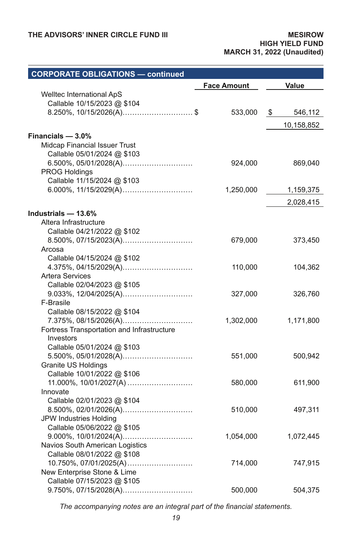| <b>CORPORATE OBLIGATIONS - continued</b>              |                    |               |
|-------------------------------------------------------|--------------------|---------------|
|                                                       | <b>Face Amount</b> | Value         |
| Welltec International ApS                             |                    |               |
| Callable 10/15/2023 @ \$104                           |                    |               |
| 8.250%, $10/15/2026(A)$ \$                            | 533,000            | \$<br>546,112 |
|                                                       |                    | 10,158,852    |
| Financials $-3.0\%$                                   |                    |               |
| Midcap Financial Issuer Trust                         |                    |               |
| Callable 05/01/2024 @ \$103                           |                    |               |
|                                                       | 924,000            | 869,040       |
| PROG Holdings                                         |                    |               |
| Callable 11/15/2024 @ \$103                           |                    |               |
|                                                       | 1,250,000          | 1,159,375     |
|                                                       |                    | 2,028,415     |
|                                                       |                    |               |
| Industrials - 13.6%                                   |                    |               |
| Altera Infrastructure<br>Callable 04/21/2022 @ \$102  |                    |               |
| 8.500%, 07/15/2023(A)                                 | 679,000            | 373,450       |
| Arcosa                                                |                    |               |
| Callable 04/15/2024 @ \$102                           |                    |               |
| 4.375%, 04/15/2029(A)                                 | 110,000            | 104,362       |
| <b>Artera Services</b>                                |                    |               |
| Callable 02/04/2023 @ \$105                           |                    |               |
|                                                       | 327,000            | 326,760       |
| F-Brasile                                             |                    |               |
| Callable 08/15/2022 @ \$104                           |                    |               |
| 7.375%, 08/15/2026(A)                                 | 1,302,000          | 1,171,800     |
| Fortress Transportation and Infrastructure            |                    |               |
| Investors                                             |                    |               |
| Callable 05/01/2024 @ \$103                           |                    |               |
|                                                       | 551,000            | 500,942       |
| Granite US Holdings                                   |                    |               |
| Callable 10/01/2022 @ \$106                           |                    |               |
| 11.000%, 10/01/2027(A)                                | 580,000            | 611,900       |
| Innovate                                              |                    |               |
| Callable 02/01/2023 @ \$104                           |                    |               |
|                                                       | 510,000            | 497,311       |
| JPW Industries Holding                                |                    |               |
| Callable 05/06/2022 @ \$105                           |                    |               |
|                                                       | 1,054,000          | 1,072,445     |
| Navios South American Logistics                       |                    |               |
| Callable 08/01/2022 @ \$108                           |                    |               |
| 10.750%, 07/01/2025(A)<br>New Enterprise Stone & Lime | 714,000            | 747,915       |
| Callable 07/15/2023 @ \$105                           |                    |               |
| 9.750%, 07/15/2028(A)                                 | 500,000            | 504,375       |
|                                                       |                    |               |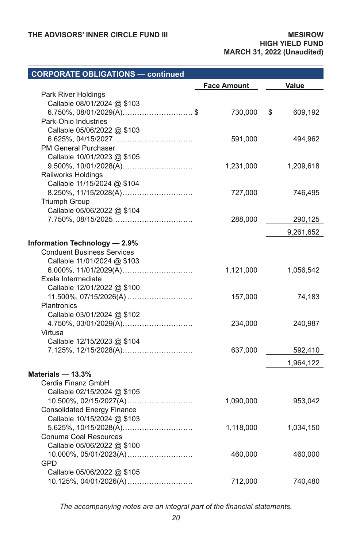| <b>CORPORATE OBLIGATIONS - continued</b>          |                    |               |
|---------------------------------------------------|--------------------|---------------|
|                                                   | <b>Face Amount</b> | Value         |
| Park River Holdings                               |                    |               |
| Callable 08/01/2024 @ \$103                       |                    |               |
| 6.750%, $08/01/2029(A)$ \$                        | 730,000            | \$<br>609,192 |
| Park-Ohio Industries                              |                    |               |
| Callable 05/06/2022 @ \$103                       |                    |               |
|                                                   | 591,000            | 494,962       |
| PM General Purchaser                              |                    |               |
| Callable 10/01/2023 @ \$105                       |                    |               |
| 9.500%, 10/01/2028(A)                             | 1,231,000          | 1,209,618     |
| Railworks Holdings                                |                    |               |
| Callable 11/15/2024 @ \$104                       |                    |               |
| 8.250%, 11/15/2028(A)<br><b>Triumph Group</b>     | 727,000            | 746,495       |
| Callable 05/06/2022 @ \$104                       |                    |               |
|                                                   | 288,000            | 290,125       |
|                                                   |                    |               |
|                                                   |                    | 9,261,652     |
| Information Technology - 2.9%                     |                    |               |
| <b>Conduent Business Services</b>                 |                    |               |
| Callable 11/01/2024 @ \$103                       |                    |               |
|                                                   | 1,121,000          | 1,056,542     |
| Exela Intermediate<br>Callable 12/01/2022 @ \$100 |                    |               |
| 11.500%, 07/15/2026(A)                            | 157,000            | 74,183        |
| Plantronics                                       |                    |               |
| Callable 03/01/2024 @ \$102                       |                    |               |
| 4.750%, 03/01/2029(A)                             | 234,000            | 240,987       |
| Virtusa                                           |                    |               |
| Callable 12/15/2023 @ \$104                       |                    |               |
| 7.125%, 12/15/2028(A)                             | 637,000            | 592,410       |
|                                                   |                    | 1,964,122     |
|                                                   |                    |               |
| Materials - 13.3%                                 |                    |               |
| Cerdia Finanz GmbH                                |                    |               |
| Callable 02/15/2024 @ \$105                       |                    |               |
| <b>Consolidated Energy Finance</b>                | 1,090,000          | 953,042       |
| Callable 10/15/2024 @ \$103                       |                    |               |
|                                                   | 1,118,000          | 1,034,150     |
| Conuma Coal Resources                             |                    |               |
| Callable 05/06/2022 @ \$100                       |                    |               |
|                                                   | 460,000            | 460,000       |
| GPD                                               |                    |               |
| Callable 05/06/2022 @ \$105                       |                    |               |
| 10.125%, 04/01/2026(A)                            | 712,000            | 740,480       |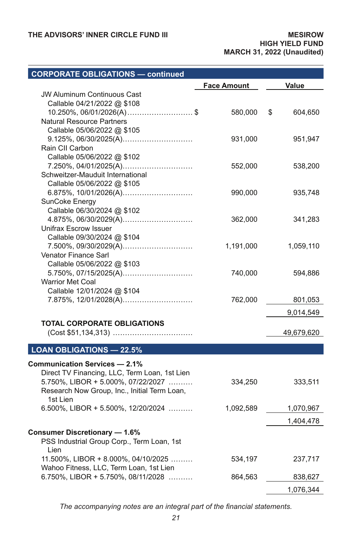# **CORPORATE OBLIGATIONS — continued**

|                                                | <b>Face Amount</b> | Value         |
|------------------------------------------------|--------------------|---------------|
| <b>JW Aluminum Continuous Cast</b>             |                    |               |
| Callable 04/21/2022 @ \$108                    |                    |               |
| $10.250\%$ , $06/01/2026(A)$ \$                | 580,000            | \$<br>604,650 |
| <b>Natural Resource Partners</b>               |                    |               |
| Callable 05/06/2022 @ \$105                    |                    |               |
|                                                | 931,000            | 951,947       |
| Rain CII Carbon<br>Callable 05/06/2022 @ \$102 |                    |               |
| 7.250%, 04/01/2025(A)                          | 552,000            | 538,200       |
| Schweitzer-Mauduit International               |                    |               |
| Callable 05/06/2022 @ \$105                    |                    |               |
| 6.875%, 10/01/2026(A)                          | 990,000            | 935,748       |
| SunCoke Energy                                 |                    |               |
| Callable 06/30/2024 @ \$102                    |                    |               |
|                                                | 362,000            | 341,283       |
| Unifrax Escrow Issuer                          |                    |               |
| Callable 09/30/2024 @ \$104                    |                    |               |
| 7.500%, 09/30/2029(A)                          | 1,191,000          | 1,059,110     |
| Venator Finance Sarl                           |                    |               |
| Callable 05/06/2022 @ \$103                    |                    |               |
| 5.750%, 07/15/2025(A)                          | 740,000            | 594,886       |
| <b>Warrior Met Coal</b>                        |                    |               |
| Callable 12/01/2024 @ \$104                    |                    |               |
| 7.875%, 12/01/2028(A)                          | 762,000            | 801,053       |
|                                                |                    | 9,014,549     |
| <b>TOTAL CORPORATE OBLIGATIONS</b>             |                    |               |
|                                                |                    | 49,679,620    |
|                                                |                    |               |
| <b>LOAN OBLIGATIONS - 22.5%</b>                |                    |               |
| <b>Communication Services - 2.1%</b>           |                    |               |
| Direct TV Financing, LLC, Term Loan, 1st Lien  |                    |               |
| 5.750%, LIBOR + 5.000%, 07/22/2027             | 334,250            | 333,511       |
| Research Now Group, Inc., Initial Term Loan,   |                    |               |
| 1st Lien                                       |                    |               |
| 6.500%, LIBOR + 5.500%, 12/20/2024             | 1,092,589          | 1,070,967     |
|                                                |                    | 1,404,478     |
| <b>Consumer Discretionary - 1.6%</b>           |                    |               |
| PSS Industrial Group Corp., Term Loan, 1st     |                    |               |
| Lien                                           |                    |               |
| 11.500%, LIBOR + 8.000%, 04/10/2025            | 534,197            | 237,717       |
| Wahoo Fitness, LLC, Term Loan, 1st Lien        |                    |               |
| 6.750%, LIBOR + 5.750%, 08/11/2028             | 864,563            | 838,627       |
|                                                |                    | 1,076,344     |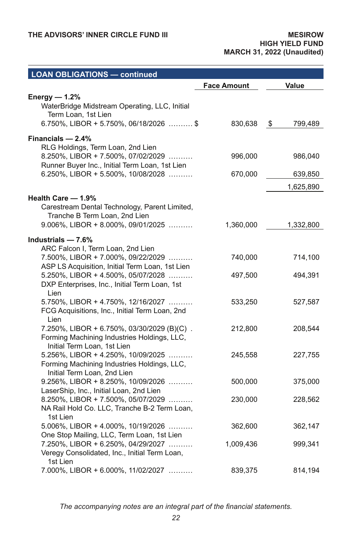| <b>LOAN OBLIGATIONS — continued</b>                                                  |                    |               |
|--------------------------------------------------------------------------------------|--------------------|---------------|
|                                                                                      | <b>Face Amount</b> | Value         |
| Energy — 1.2%                                                                        |                    |               |
| WaterBridge Midstream Operating, LLC, Initial<br>Term Loan, 1st Lien                 |                    |               |
| 6.750%, LIBOR + 5.750%, 06/18/2026  \$                                               | 830,638            | 799,489<br>\$ |
| Financials - 2.4%<br>RLG Holdings, Term Loan, 2nd Lien                               |                    |               |
| 8.250%, LIBOR + 7.500%, 07/02/2029<br>Runner Buyer Inc., Initial Term Loan, 1st Lien | 996,000            | 986,040       |
| 6.250%, LIBOR + 5.500%, 10/08/2028                                                   | 670,000            | 639,850       |
|                                                                                      |                    | 1,625,890     |
| Health Care - 1.9%                                                                   |                    |               |
| Carestream Dental Technology, Parent Limited,<br>Tranche B Term Loan, 2nd Lien       |                    |               |
| $9.006\%$ , LIBOR + 8.000%, 09/01/2025                                               | 1,360,000          | 1,332,800     |
| Industrials $-7.6%$                                                                  |                    |               |
| ARC Falcon I, Term Loan, 2nd Lien                                                    |                    |               |
| 7.500%, LIBOR + 7.000%, 09/22/2029                                                   | 740,000            | 714,100       |
| ASP LS Acquisition, Initial Term Loan, 1st Lien                                      |                    |               |
| 5.250%, LIBOR + 4.500%, 05/07/2028<br>DXP Enterprises, Inc., Initial Term Loan, 1st  | 497,500            | 494,391       |
| Lien                                                                                 |                    |               |
| 5.750%, LIBOR + 4.750%, 12/16/2027                                                   | 533,250            | 527,587       |
| FCG Acquisitions, Inc., Initial Term Loan, 2nd                                       |                    |               |
| Lien                                                                                 |                    |               |
| 7.250%, LIBOR + 6.750%, 03/30/2029 (B)(C).                                           | 212,800            | 208,544       |
| Forming Machining Industries Holdings, LLC,<br>Initial Term Loan, 1st Lien           |                    |               |
| 5.256%, LIBOR + 4.250%, 10/09/2025                                                   | 245,558            | 227,755       |
| Forming Machining Industries Holdings, LLC,                                          |                    |               |
| Initial Term Loan, 2nd Lien                                                          |                    |               |
| $9.256\%$ , LIBOR + 8.250%, 10/09/2026                                               | 500,000            | 375,000       |
| LaserShip, Inc., Initial Loan, 2nd Lien<br>8.250%, LIBOR + 7.500%, 05/07/2029        | 230,000            | 228,562       |
| NA Rail Hold Co. LLC, Tranche B-2 Term Loan,                                         |                    |               |
| 1st Lien                                                                             |                    |               |
| 5.006%, LIBOR + 4.000%, 10/19/2026                                                   | 362,600            | 362,147       |
| One Stop Mailing, LLC, Term Loan, 1st Lien                                           |                    |               |
| 7.250%, LIBOR + 6.250%, 04/29/2027                                                   | 1,009,436          | 999,341       |
| Veregy Consolidated, Inc., Initial Term Loan,<br>1st Lien                            |                    |               |
| 7.000%, LIBOR + 6.000%, 11/02/2027                                                   | 839,375            | 814,194       |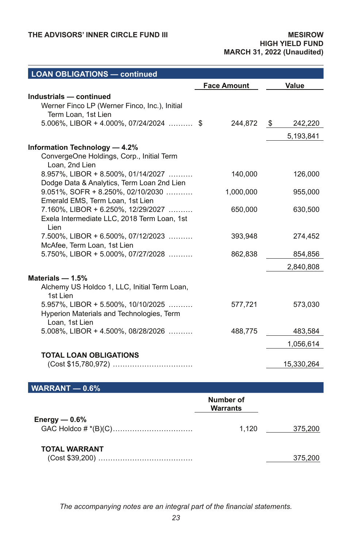| <b>LOAN OBLIGATIONS - continued</b>                                                 |                    |               |
|-------------------------------------------------------------------------------------|--------------------|---------------|
|                                                                                     | <b>Face Amount</b> | Value         |
| Industrials - continued                                                             |                    |               |
| Werner Finco LP (Werner Finco, Inc.), Initial                                       |                    |               |
| Term Loan, 1st Lien                                                                 |                    |               |
| 5.006%, LIBOR + 4.000%, 07/24/2024  \$                                              | 244,872            | \$<br>242,220 |
|                                                                                     |                    | 5,193,841     |
| Information Technology - 4.2%                                                       |                    |               |
| ConvergeOne Holdings, Corp., Initial Term                                           |                    |               |
| Loan, 2nd Lien                                                                      |                    |               |
| 8.957%, LIBOR + 8.500%, 01/14/2027                                                  | 140,000            | 126,000       |
| Dodge Data & Analytics, Term Loan 2nd Lien<br>$9.051\%$ , SOFR + 8.250%, 02/10/2030 |                    |               |
| Emerald EMS, Term Loan, 1st Lien                                                    | 1,000,000          | 955,000       |
| 7.160%, LIBOR + 6.250%, 12/29/2027                                                  | 650,000            | 630,500       |
| Exela Intermediate LLC, 2018 Term Loan, 1st                                         |                    |               |
| Lien                                                                                |                    |               |
| 7.500%, LIBOR + 6.500%, 07/12/2023<br>McAfee, Term Loan, 1st Lien                   | 393,948            | 274,452       |
| 5.750%, LIBOR + 5.000%, 07/27/2028                                                  | 862,838            | 854,856       |
|                                                                                     |                    |               |
|                                                                                     |                    | 2,840,808     |
| Materials $- 1.5%$                                                                  |                    |               |
| Alchemy US Holdco 1, LLC, Initial Term Loan,<br>1st Lien                            |                    |               |
| $5.957\%$ , LIBOR + 5.500%, 10/10/2025                                              | 577,721            | 573,030       |
| Hyperion Materials and Technologies, Term                                           |                    |               |
| Loan, 1st Lien                                                                      |                    |               |
| $5.008\%$ , LIBOR + 4.500%, 08/28/2026                                              | 488,775            | 483,584       |
|                                                                                     |                    | 1,056,614     |
| <b>TOTAL LOAN OBLIGATIONS</b>                                                       |                    |               |
|                                                                                     |                    | 15,330,264    |
|                                                                                     |                    |               |
| $\overline{\text{WARRANT}} - 0.6\%$                                                 |                    |               |
|                                                                                     | Number of          |               |

|                      | Warrants |         |
|----------------------|----------|---------|
| Energy $- 0.6\%$     | 1.120    | 375.200 |
| <b>TOTAL WARRANT</b> |          |         |
|                      |          | 375.200 |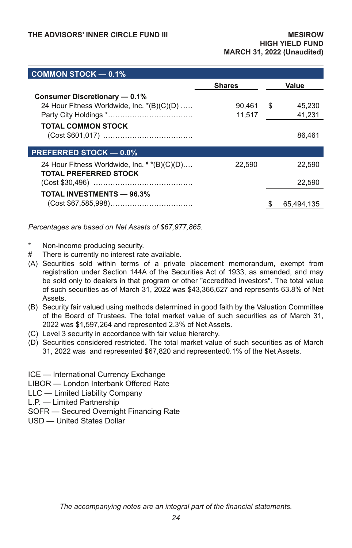| COMMON STOCK $-$ 0.1%                        |               |              |
|----------------------------------------------|---------------|--------------|
|                                              | <b>Shares</b> | Value        |
| Consumer Discretionary - 0.1%                |               |              |
| 24 Hour Fitness Worldwide, Inc. *(B)(C)(D)   | 90.461        | \$<br>45.230 |
|                                              | 11,517        | 41,231       |
| <b>TOTAL COMMON STOCK</b>                    |               |              |
|                                              |               | 86.461       |
|                                              |               |              |
| <b>PREFERRED STOCK - 0.0%</b>                |               |              |
| 24 Hour Fitness Worldwide, Inc. # *(B)(C)(D) | 22.590        | 22.590       |
| TOTAL PREFERRED STOCK                        |               |              |
|                                              |               | 22.590       |
| <b>TOTAL INVESTMENTS - 96.3%</b>             |               |              |
|                                              |               | 65.494.135   |

*Percentages are based on Net Assets of \$67,977,865.*

- Non-income producing security.
- # There is currently no interest rate available.
- (A) Securities sold within terms of a private placement memorandum, exempt from registration under Section 144A of the Securities Act of 1933, as amended, and may be sold only to dealers in that program or other "accredited investors". The total value of such securities as of March 31, 2022 was \$43,366,627 and represents 63.8% of Net Assets.
- (B) Security fair valued using methods determined in good faith by the Valuation Committee of the Board of Trustees. The total market value of such securities as of March 31, 2022 was \$1,597,264 and represented 2.3% of Net Assets.
- (C) Level 3 security in accordance with fair value hierarchy.
- (D) Securities considered restricted. The total market value of such securities as of March 31, 2022 was and represented \$67,820 and represented0.1% of the Net Assets.
- ICE International Currency Exchange
- LIBOR London Interbank Offered Rate
- LLC Limited Liability Company
- L.P. Limited Partnership
- SOFR Secured Overnight Financing Rate
- USD United States Dollar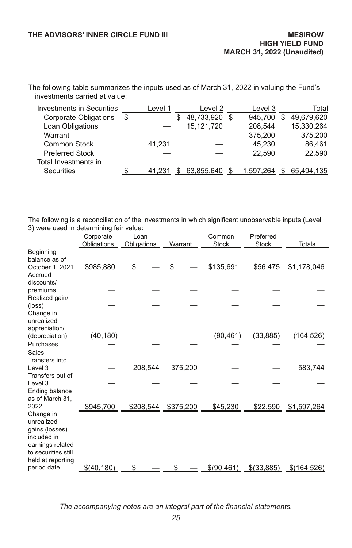The following table summarizes the inputs used as of March 31, 2022 in valuing the Fund's investments carried at value:

| Investments in Securities | Level 1                             |   | Level 2    | Level 3       |   | Total      |
|---------------------------|-------------------------------------|---|------------|---------------|---|------------|
| Corporate Obligations     | \$<br>$\overbrace{\phantom{12333}}$ | S | 48,733,920 | \$<br>945.700 | S | 49.679.620 |
| Loan Obligations          |                                     |   | 15,121,720 | 208.544       |   | 15,330,264 |
| Warrant                   |                                     |   |            | 375,200       |   | 375.200    |
| Common Stock              | 41,231                              |   |            | 45.230        |   | 86,461     |
| <b>Preferred Stock</b>    |                                     |   |            | 22.590        |   | 22.590     |
| Total Investments in      |                                     |   |            |               |   |            |
| Securities                | 41.231                              |   | 63,855,640 | 1.597.264     |   | 65.494.135 |

The following is a reconciliation of the investments in which significant unobservable inputs (Level 3) were used in determining fair value:

|                                                                                                             | Corporate   | Loan        |           | Common       | Preferred    |               |
|-------------------------------------------------------------------------------------------------------------|-------------|-------------|-----------|--------------|--------------|---------------|
|                                                                                                             | Obligations | Obligations | Warrant   | <b>Stock</b> | <b>Stock</b> | <b>Totals</b> |
| Beginning<br>balance as of                                                                                  |             |             |           |              |              |               |
| October 1, 2021<br>Accrued                                                                                  | \$985,880   | \$          | \$        | \$135,691    | \$56,475     | \$1,178,046   |
| discounts/<br>premiums                                                                                      |             |             |           |              |              |               |
| Realized gain/<br>(loss)                                                                                    |             |             |           |              |              |               |
| Change in<br>unrealized<br>appreciation/                                                                    |             |             |           |              |              |               |
| (depreciation)                                                                                              | (40, 180)   |             |           | (90, 461)    | (33, 885)    | (164, 526)    |
| Purchases                                                                                                   |             |             |           |              |              |               |
| Sales                                                                                                       |             |             |           |              |              |               |
| Transfers into<br>Level 3                                                                                   |             | 208,544     | 375,200   |              |              | 583,744       |
| Transfers out of<br>Level 3                                                                                 |             |             |           |              |              |               |
| Ending balance<br>as of March 31,                                                                           |             |             |           |              |              |               |
| 2022<br>Change in                                                                                           | \$945,700   | \$208,544   | \$375,200 | \$45,230     | \$22,590     | \$1,597,264   |
| unrealized<br>gains (losses)<br>included in<br>earnings related<br>to securities still<br>held at reporting |             |             |           |              |              |               |
| period date                                                                                                 | \$(40,180)  | \$.         |           | \$(90,461)   | \$(33,885)   | \$(164,526)   |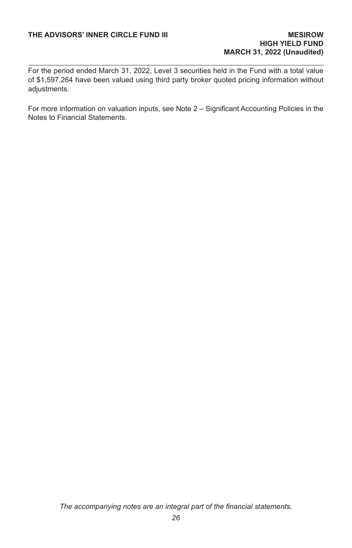For the period ended March 31, 2022, Level 3 securities held in the Fund with a total value of \$1,597,264 have been valued using third party broker quoted pricing information without adiustments.

For more information on valuation inputs, see Note 2 – Significant Accounting Policies in the Notes to Financial Statements.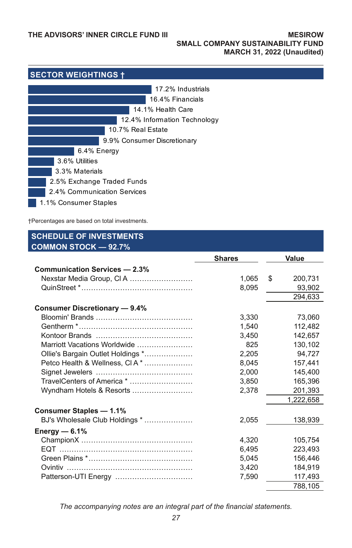| <b>SECTOR WEIGHTINGS +</b>   |  |  |  |  |  |
|------------------------------|--|--|--|--|--|
| 17.2% Industrials            |  |  |  |  |  |
| 16.4% Financials             |  |  |  |  |  |
| 14.1% Health Care            |  |  |  |  |  |
| 12.4% Information Technology |  |  |  |  |  |
| 10.7% Real Estate            |  |  |  |  |  |
| 9.9% Consumer Discretionary  |  |  |  |  |  |
| 6.4% Energy                  |  |  |  |  |  |
| 3.6% Utilities               |  |  |  |  |  |
| 3.3% Materials               |  |  |  |  |  |
| 2.5% Exchange Traded Funds   |  |  |  |  |  |
| 2.4% Communication Services  |  |  |  |  |  |
| 1.1% Consumer Staples        |  |  |  |  |  |

†Percentages are based on total investments.

### **SCHEDULE OF INVESTMENTS COMMON STOCK — 92.7% Shares Value Communication Services — 2.3%** Nexstar Media Group, Cl A .......................... 1,065 \$ 200,731 QuinStreet \*.............................................. 8,095 93,902 294,633 **Consumer Discretionary — 9.4%** Bloomin' Brands ........................................ 3,330 73,060 Gentherm \*............................................... 1,540 112,482 Kontoor Brands ........................................ 3,450 142,657 Marriott Vacations Worldwide ....................... 825 130,102 Ollie's Bargain Outlet Holdings \*.................... 2,205 94,727 Petco Health & Wellness, Cl A \* .................... 8,045 157,441 Signet Jewelers ........................................ 2,000 145,400 TravelCenters of America \* .......................... 3,850 165,396 Wyndham Hotels & Resorts ......................... 2,378 201,393 1,222,658 **Consumer Staples — 1.1%** BJ's Wholesale Club Holdings \* .................... 2,055 138,939 **Energy — 6.1%** ChampionX .............................................. 4,320 105,754 EQT ....................................................... 6,495 223,493 Green Plains \*........................................... 5,045 156,446 Ovintiv .................................................... 3,420 184,919 Patterson-UTI Energy ................................ 7,590 117,493 788,105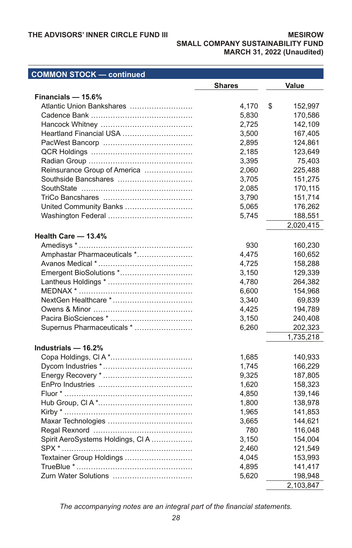### **THE ADVISORS' INNER CIRCLE FUND III**

#### **MESIROW SMALL COMPANY SUSTAINABILITY FUND MARCH 31, 2022 (Unaudited)**

| <b>COMMON STOCK - continued</b>  |               |               |
|----------------------------------|---------------|---------------|
|                                  | <b>Shares</b> | Value         |
| Financials - 15.6%               |               |               |
| Atlantic Union Bankshares        | 4,170         | \$<br>152,997 |
|                                  | 5,830         | 170,586       |
|                                  | 2,725         | 142,109       |
| Heartland Financial USA          | 3,500         | 167,405       |
|                                  | 2,895         | 124,861       |
|                                  | 2,185         | 123,649       |
|                                  | 3,395         | 75,403        |
| Reinsurance Group of America     | 2,060         | 225,488       |
| Southside Bancshares             | 3,705         | 151,275       |
|                                  | 2,085         | 170,115       |
|                                  | 3,790         | 151,714       |
| United Community Banks           | 5,065         | 176,262       |
|                                  | 5,745         | 188,551       |
|                                  |               | 2,020,415     |
| Health Care - 13.4%              |               |               |
|                                  | 930           | 160,230       |
| Amphastar Pharmaceuticals *      | 4,475         | 160,652       |
|                                  | 4,725         | 158,288       |
| Emergent BioSolutions *          | 3,150         | 129,339       |
|                                  | 4,780         | 264,382       |
|                                  | 6,600         | 154,968       |
| NextGen Healthcare *             |               |               |
|                                  | 3,340         | 69,839        |
|                                  | 4,425         | 194,789       |
|                                  | 3,150         | 240,408       |
| Supernus Pharmaceuticals *       | 6,260         | 202,323       |
|                                  |               | 1,735,218     |
| Industrials - 16.2%              |               |               |
|                                  | 1,685         | 140,933       |
|                                  | 1,745         | 166,229       |
|                                  | 9,325         | 187,805       |
|                                  | 1,620         | 158,323       |
|                                  | 4,850         | 139,146       |
|                                  | 1,800         | 138,978       |
|                                  | 1,965         | 141,853       |
|                                  | 3,665         | 144,621       |
|                                  | 780           | 116,048       |
| Spirit AeroSystems Holdings, CIA | 3,150         | 154,004       |
|                                  | 2,460         | 121,549       |
| Textainer Group Holdings         | 4,045         | 153,993       |
|                                  | 4,895         | 141,417       |
| Zurn Water Solutions             | 5,620         | 198,948       |
|                                  |               | 2,103,847     |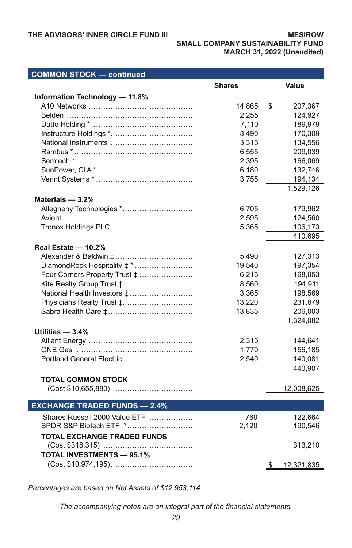### **THE ADVISORS' INNER CIRCLE FUND III**

#### **MESIROW SMALL COMPANY SUSTAINABILITY FUND MARCH 31, 2022 (Unaudited)**

| <b>COMMON STOCK - continued</b>     |               |                  |
|-------------------------------------|---------------|------------------|
|                                     | <b>Shares</b> | Value            |
| Information Technology - 11.8%      |               |                  |
|                                     | 14,865        | 207,367<br>\$    |
|                                     | 2,255         | 124,927          |
|                                     | 7,110         | 189,979          |
|                                     | 8,490         | 170,309          |
|                                     | 3,315         | 134,556          |
|                                     | 6,555         | 209,039          |
|                                     | 2,395         | 166,069          |
|                                     | 6,180         | 132,746          |
|                                     | 3,755         | 194,134          |
|                                     |               | 1,529,126        |
| Materials $-3.2%$                   |               |                  |
| Allegheny Technologies *            | 6,705         | 179,962          |
|                                     | 2,595         | 124,560          |
|                                     | 5,365         | 106,173          |
|                                     |               | 410,695          |
|                                     |               |                  |
| Real Estate - 10.2%                 |               |                  |
|                                     | 5,490         | 127,313          |
| DiamondRock Hospitality ‡ *         | 19,540        | 197,354          |
| Four Corners Property Trust ‡       | 6,215         | 168,053          |
| Kite Realty Group Trust ‡           | 8,560         | 194,911          |
|                                     | 3,365         | 198,569          |
| Physicians Realty Trust ‡           | 13,220        | 231,879          |
|                                     | 13,835        | 206,003          |
|                                     |               | 1,324,082        |
| Utilities $-3.4%$                   |               |                  |
|                                     | 2,315         | 144,641          |
|                                     | 1,770         | 156,185          |
| Portland General Electric           | 2,540         | 140,081          |
|                                     |               | 440,907          |
| <b>TOTAL COMMON STOCK</b>           |               |                  |
|                                     |               | 12,008,625       |
|                                     |               |                  |
| <b>EXCHANGE TRADED FUNDS - 2.4%</b> |               |                  |
| iShares Russell 2000 Value ETF      | 760           | 122,664          |
| SPDR S&P Biotech ETF *              | 2,120         | 190,546          |
| <b>TOTAL EXCHANGE TRADED FUNDS</b>  |               |                  |
|                                     |               | 313,210          |
| <b>TOTAL INVESTMENTS - 95.1%</b>    |               |                  |
|                                     |               |                  |
|                                     |               | \$<br>12,321,835 |

*Percentages are based on Net Assets of \$12,953,114.*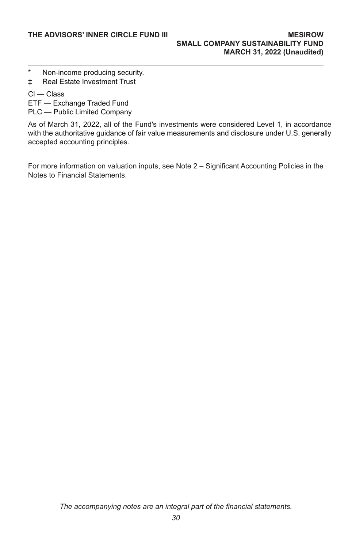- \* Non-income producing security.
- ‡ Real Estate Investment Trust
- Cl Class
- ETF Exchange Traded Fund
- PLC Public Limited Company

As of March 31, 2022, all of the Fund's investments were considered Level 1, in accordance with the authoritative guidance of fair value measurements and disclosure under U.S. generally accepted accounting principles.

For more information on valuation inputs, see Note 2 – Significant Accounting Policies in the Notes to Financial Statements.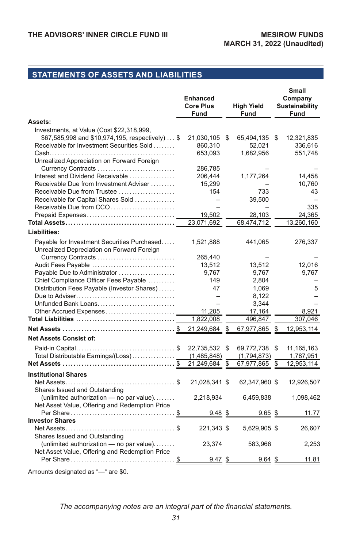# **STATEMENTS OF ASSETS AND LIABILITIES**

|                                                                                                                                            | <b>Enhanced</b><br><b>Core Plus</b><br>Fund | <b>High Yield</b><br>Fund  |    | Small<br>Company<br><b>Sustainability</b><br>Fund |
|--------------------------------------------------------------------------------------------------------------------------------------------|---------------------------------------------|----------------------------|----|---------------------------------------------------|
| Assets:                                                                                                                                    |                                             |                            |    |                                                   |
| Investments, at Value (Cost \$22,318,999,<br>\$67,585,998 and \$10,974,195, respectively)  \$<br>Receivable for Investment Securities Sold | 21,030,105<br>860,310                       | \$<br>65,494,135<br>52,021 | \$ | 12,321,835<br>336,616                             |
| Unrealized Appreciation on Forward Foreign                                                                                                 | 653,093                                     | 1,682,956                  |    | 551,748                                           |
| Currency Contracts<br>Interest and Dividend Receivable                                                                                     | 286,785<br>206,444                          | 1,177,264                  |    | 14,458                                            |
| Receivable Due from Investment Adviser<br>Receivable Due from Trustee                                                                      | 15,299<br>154                               | 733                        |    | 10,760<br>43                                      |
| Receivable for Capital Shares Sold<br>Receivable Due from CCO                                                                              |                                             | 39,500                     |    | 335                                               |
|                                                                                                                                            | 19,502                                      | 28,103                     |    | 24,365                                            |
|                                                                                                                                            | 23,071,692                                  | 68,474,712                 |    | 13,260,160                                        |
| Liabilities:                                                                                                                               |                                             |                            |    |                                                   |
| Payable for Investment Securities Purchased<br>Unrealized Depreciation on Forward Foreign                                                  | 1,521,888                                   | 441,065                    |    | 276,337                                           |
| Currency Contracts                                                                                                                         | 265,440                                     |                            |    |                                                   |
| Audit Fees Payable                                                                                                                         | 13,512                                      | 13,512                     |    | 12,016                                            |
| Payable Due to Administrator                                                                                                               | 9,767                                       | 9,767                      |    | 9,767                                             |
| Chief Compliance Officer Fees Payable                                                                                                      | 149                                         | 2,804                      |    |                                                   |
| Distribution Fees Payable (Investor Shares)                                                                                                | 47                                          | 1,069                      |    | 5                                                 |
| Unfunded Bank Loans                                                                                                                        |                                             | 8,122<br>3,344             |    |                                                   |
| Other Accrued Expenses                                                                                                                     | 11,205                                      | 17,164                     |    | 8,921                                             |
|                                                                                                                                            | 1,822,008                                   | 496,847                    |    | 307,046                                           |
|                                                                                                                                            | 21,249,684                                  | 67,977,865                 |    | 12,953,114                                        |
| <b>Net Assets Consist of:</b>                                                                                                              |                                             |                            |    |                                                   |
|                                                                                                                                            | 22,735,532                                  | \$<br>69,772,738           | \$ | 11,165,163                                        |
| Total Distributable Earnings/(Loss)                                                                                                        | (1,485,848)                                 | (1,794,873)                |    | 1,787,951                                         |
|                                                                                                                                            | 21,249,684                                  | \$<br>67,977,865           | S  | 12,953,114                                        |
| <b>Institutional Shares</b>                                                                                                                |                                             |                            |    |                                                   |
| Shares Issued and Outstanding                                                                                                              | 21,028,341 \$                               | 62,347,960 \$              |    | 12,926,507                                        |
| (unlimited authorization $-$ no par value)<br>Net Asset Value, Offering and Redemption Price                                               | 2,218,934                                   | 6,459,838                  |    | 1,098,462                                         |
|                                                                                                                                            | $9.48$ \$                                   | $9.65$ \$                  |    | 11.77                                             |
| <b>Investor Shares</b>                                                                                                                     |                                             |                            |    |                                                   |
| Shares Issued and Outstanding                                                                                                              | 221,343 \$                                  | 5,629,905 \$               |    | 26,607                                            |
| (unlimited authorization - no par value)<br>Net Asset Value, Offering and Redemption Price                                                 | 23,374                                      | 583,966                    |    | 2,253                                             |
|                                                                                                                                            | $9.47$ \$                                   | $9.64$ \$                  |    | 11.81                                             |

Amounts designated as "—" are \$0.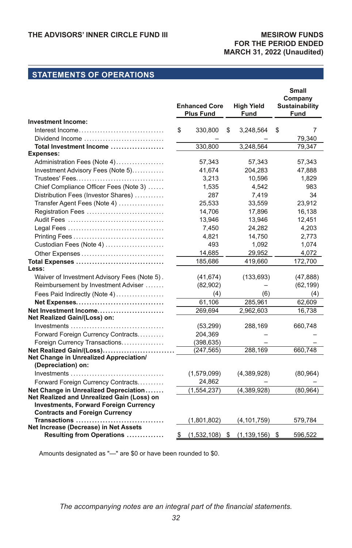### **MESIROW FUNDS FOR THE PERIOD ENDED MARCH 31, 2022 (Unaudited)**

# **STATEMENTS OF OPERATIONS**

|                                                                              | <b>Enhanced Core</b><br><b>Plus Fund</b> | <b>High Yield</b><br>Fund | <b>Small</b><br>Company<br>Sustainability<br>Fund |
|------------------------------------------------------------------------------|------------------------------------------|---------------------------|---------------------------------------------------|
| <b>Investment Income:</b>                                                    |                                          |                           |                                                   |
| Interest Income                                                              | \$<br>330,800                            | \$<br>3,248,564           | \$<br>7                                           |
| Dividend Income                                                              |                                          |                           | 79.340                                            |
| Total Investment Income                                                      | 330,800                                  | 3,248,564                 | 79,347                                            |
| <b>Expenses:</b>                                                             |                                          |                           |                                                   |
| Administration Fees (Note 4)                                                 | 57,343                                   | 57,343                    | 57,343                                            |
| Investment Advisory Fees (Note 5)                                            | 41,674                                   | 204,283                   | 47,888                                            |
|                                                                              | 3,213                                    | 10,596                    | 1,829                                             |
| Chief Compliance Officer Fees (Note 3)                                       | 1,535                                    | 4,542                     | 983                                               |
| Distribution Fees (Investor Shares)                                          | 287                                      | 7,419                     | 34                                                |
| Transfer Agent Fees (Note 4)                                                 | 25.533                                   | 33,559                    | 23,912                                            |
| Registration Fees                                                            | 14,706                                   | 17,896                    | 16,138                                            |
|                                                                              | 13,946                                   | 13,946                    | 12,451                                            |
|                                                                              | 7,450                                    | 24,282                    | 4,203                                             |
|                                                                              | 4,821                                    | 14,750                    | 2,773                                             |
| Custodian Fees (Note 4)                                                      | 493                                      | 1,092                     | 1.074                                             |
| Other Expenses                                                               | 14,685                                   | 29,952                    | 4,072                                             |
|                                                                              | 185,686                                  | 419,660                   | 172,700                                           |
| Less:                                                                        |                                          |                           |                                                   |
| Waiver of Investment Advisory Fees (Note 5).                                 | (41, 674)                                | (133, 693)                | (47, 888)                                         |
| Reimbursement by Investment Adviser                                          | (82,902)                                 |                           | (62, 199)                                         |
| Fees Paid Indirectly (Note 4)                                                | (4)                                      | (6)                       | (4)                                               |
| Net Expenses                                                                 | 61,106                                   | 285,961                   | 62,609                                            |
| Net Investment Income                                                        | 269,694                                  | 2,962,603                 | 16,738                                            |
| Net Realized Gain/(Loss) on:                                                 |                                          |                           |                                                   |
| $Investments \ldots \ldots \ldots \ldots \ldots \ldots \ldots \ldots \ldots$ | (53, 299)                                | 288,169                   | 660,748                                           |
| Forward Foreign Currency Contracts                                           | 204,369                                  |                           |                                                   |
| Foreign Currency Transactions                                                | (398, 635)                               |                           |                                                   |
| Net Realized Gain/(Loss)                                                     | (247, 565)                               | 288,169                   | 660,748                                           |
| Net Change in Unrealized Appreciation/<br>(Depreciation) on:                 |                                          |                           |                                                   |
| $Investments \ldots \ldots \ldots \ldots$<br>.                               | (1,579,099)                              | (4,389,928)               | (80, 964)                                         |
| Forward Foreign Currency Contracts                                           | 24,862                                   |                           |                                                   |
| Net Change in Unrealized Depreciation                                        | (1, 554, 237)                            | (4,389,928)               | (80, 964)                                         |
| Net Realized and Unrealized Gain (Loss) on                                   |                                          |                           |                                                   |
| <b>Investments, Forward Foreign Currency</b>                                 |                                          |                           |                                                   |
| <b>Contracts and Foreign Currency</b>                                        |                                          |                           |                                                   |
| Transactions                                                                 | (1,801,802)                              | (4, 101, 759)             | 579,784                                           |
| Net Increase (Decrease) in Net Assets                                        |                                          |                           |                                                   |
| Resulting from Operations                                                    | \$<br>(1,532,108)                        | \$<br>(1, 139, 156)       | \$<br>596,522                                     |

Amounts designated as "—" are \$0 or have been rounded to \$0.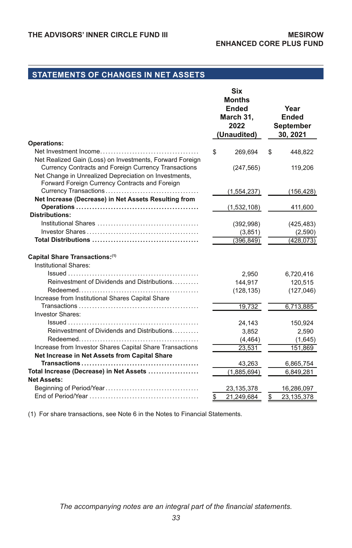# **STATEMENTS OF CHANGES IN NET ASSETS**

|                                                                                                        | Six<br><b>Months</b><br><b>Ended</b><br>March 31.<br>2022<br>(Unaudited) |    | Year<br><b>Ended</b><br><b>September</b><br>30, 2021 |
|--------------------------------------------------------------------------------------------------------|--------------------------------------------------------------------------|----|------------------------------------------------------|
| <b>Operations:</b>                                                                                     |                                                                          |    |                                                      |
| Net Realized Gain (Loss) on Investments, Forward Foreign                                               | \$<br>269,694                                                            | S  | 448,822                                              |
| Currency Contracts and Foreign Currency Transactions                                                   |                                                                          |    |                                                      |
| Net Change in Unrealized Depreciation on Investments,                                                  | (247, 565)                                                               |    | 119,206                                              |
| Forward Foreign Currency Contracts and Foreign                                                         |                                                                          |    |                                                      |
|                                                                                                        | (1, 554, 237)                                                            |    | (156, 428)                                           |
| Net Increase (Decrease) in Net Assets Resulting from                                                   |                                                                          |    |                                                      |
|                                                                                                        | (1,532,108)                                                              |    | 411,600                                              |
| <b>Distributions:</b>                                                                                  |                                                                          |    |                                                      |
|                                                                                                        | (392, 998)                                                               |    | (425, 483)                                           |
|                                                                                                        | (3,851)                                                                  |    | (2,590)                                              |
|                                                                                                        | (396, 849)                                                               |    | (428, 073)                                           |
| Capital Share Transactions:(1)<br>Institutional Shares:<br>Reinvestment of Dividends and Distributions | 2,950<br>144,917<br>(128, 135)                                           |    | 6,720,416<br>120,515<br>(127, 046)                   |
| Increase from Institutional Shares Capital Share                                                       |                                                                          |    |                                                      |
| <b>Investor Shares:</b>                                                                                | 19,732                                                                   |    | 6,713,885                                            |
|                                                                                                        | 24,143                                                                   |    | 150,924                                              |
| Reinvestment of Dividends and Distributions                                                            | 3,852                                                                    |    | 2,590                                                |
|                                                                                                        | (4, 464)                                                                 |    | (1,645)                                              |
| Increase from Investor Shares Capital Share Transactions                                               | 23,531                                                                   |    | 151,869                                              |
| Net Increase in Net Assets from Capital Share                                                          |                                                                          |    |                                                      |
|                                                                                                        | 43,263                                                                   |    | 6,865,754                                            |
| Total Increase (Decrease) in Net Assets                                                                | (1,885,694)                                                              |    | 6,849,281                                            |
| <b>Net Assets:</b>                                                                                     |                                                                          |    |                                                      |
|                                                                                                        | 23, 135, 378                                                             |    | 16,286,097                                           |
|                                                                                                        | \$<br>21,249,684                                                         | \$ | 23,135,378                                           |

(1) For share transactions, see Note 6 in the Notes to Financial Statements.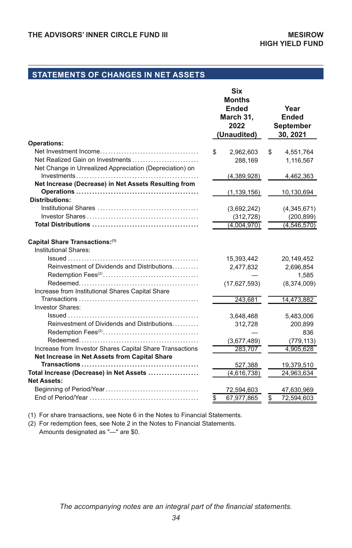# **STATEMENTS OF CHANGES IN NET ASSETS**

| <b>Operations:</b>                                            | Six<br><b>Months</b><br>Ended<br>March 31.<br>2022<br>(Unaudited) | Year<br><b>Ended</b><br><b>September</b><br>30, 2021 |
|---------------------------------------------------------------|-------------------------------------------------------------------|------------------------------------------------------|
|                                                               | \$<br>2,962,603                                                   | \$<br>4,551,764                                      |
| Net Realized Gain on Investments                              | 288,169                                                           | 1,116,567                                            |
| Net Change in Unrealized Appreciation (Depreciation) on       |                                                                   |                                                      |
|                                                               | (4,389,928)                                                       | 4,462,363                                            |
| Net Increase (Decrease) in Net Assets Resulting from          |                                                                   |                                                      |
|                                                               | (1, 139, 156)                                                     | 10,130,694                                           |
| <b>Distributions:</b>                                         |                                                                   |                                                      |
|                                                               | (3,692,242)                                                       | (4,345,671)                                          |
|                                                               | (312, 728)                                                        | (200, 899)                                           |
|                                                               | (4,004,970)                                                       | (4, 546, 570)                                        |
| Capital Share Transactions:(1)<br>Institutional Shares:       |                                                                   |                                                      |
|                                                               | 15,393,442                                                        | 20,149,452                                           |
| Reinvestment of Dividends and Distributions                   | 2,477,832                                                         | 2,696,854                                            |
|                                                               |                                                                   | 1,585                                                |
|                                                               | (17, 627, 593)                                                    | (8,374,009)                                          |
| Increase from Institutional Shares Capital Share              |                                                                   |                                                      |
|                                                               | 243,681                                                           | 14,473,882                                           |
| <b>Investor Shares:</b>                                       |                                                                   |                                                      |
|                                                               | 3,648,468                                                         | 5,483,006                                            |
| Reinvestment of Dividends and Distributions                   | 312,728                                                           | 200,899                                              |
|                                                               |                                                                   | 836                                                  |
|                                                               | (3,677,489)                                                       | (779, 113)                                           |
| Increase from Investor Shares Capital Share Transactions      | 283,707                                                           | 4,905,628                                            |
| Net Increase in Net Assets from Capital Share                 |                                                                   |                                                      |
|                                                               | 527,388                                                           | 19,379,510                                           |
| Total Increase (Decrease) in Net Assets<br><b>Net Assets:</b> | (4,616,738)                                                       | 24,963,634                                           |
|                                                               |                                                                   | 47,630,969                                           |
|                                                               | \$<br>72,594,603<br>67,977,865                                    | \$<br>72,594,603                                     |
|                                                               |                                                                   |                                                      |

(1) For share transactions, see Note 6 in the Notes to Financial Statements.

(2) For redemption fees, see Note 2 in the Notes to Financial Statements. Amounts designated as "—" are \$0.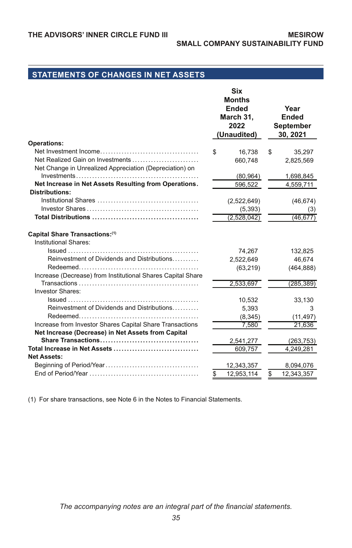# **STATEMENTS OF CHANGES IN NET ASSETS**

| <b>Months</b><br>Ended<br>Year<br><b>Ended</b><br>March 31,<br>2022<br>September<br>(Unaudited)<br>30, 2021<br><b>Operations:</b><br>16,738<br>35,297<br>\$<br>\$<br>660,748<br>2,825,569<br>Net Change in Unrealized Appreciation (Depreciation) on<br>(80, 964)<br>1,698,845<br>Net Increase in Net Assets Resulting from Operations.<br>596,522<br>4,559,711<br><b>Distributions:</b><br>(2,522,649)<br>(46, 674)<br>(5, 393)<br>(3)<br>(2,528,042)<br>(46.677)<br>Capital Share Transactions:(1)<br>Institutional Shares:<br>74,267<br>132,825<br>Reinvestment of Dividends and Distributions<br>46,674<br>2,522,649<br>(63, 219)<br>(464, 888)<br>Increase (Decrease) from Institutional Shares Capital Share<br>2,533,697<br>(285, 389)<br><b>Investor Shares:</b><br>10,532<br>33,130<br>Reinvestment of Dividends and Distributions<br>5,393<br>3<br>(8,345)<br>(11, 497)<br>Increase from Investor Shares Capital Share Transactions<br>7,580<br>21,636<br>Net Increase (Decrease) in Net Assets from Capital<br>2,541,277<br>(263, 753)<br>609,757<br>4,249,281<br><b>Net Assets:</b><br>12,343,357<br>8,094,076<br>12,953,114<br>12,343,357<br>S<br>S |  | Six |  |
|------------------------------------------------------------------------------------------------------------------------------------------------------------------------------------------------------------------------------------------------------------------------------------------------------------------------------------------------------------------------------------------------------------------------------------------------------------------------------------------------------------------------------------------------------------------------------------------------------------------------------------------------------------------------------------------------------------------------------------------------------------------------------------------------------------------------------------------------------------------------------------------------------------------------------------------------------------------------------------------------------------------------------------------------------------------------------------------------------------------------------------------------------------------|--|-----|--|
|                                                                                                                                                                                                                                                                                                                                                                                                                                                                                                                                                                                                                                                                                                                                                                                                                                                                                                                                                                                                                                                                                                                                                                  |  |     |  |
|                                                                                                                                                                                                                                                                                                                                                                                                                                                                                                                                                                                                                                                                                                                                                                                                                                                                                                                                                                                                                                                                                                                                                                  |  |     |  |
|                                                                                                                                                                                                                                                                                                                                                                                                                                                                                                                                                                                                                                                                                                                                                                                                                                                                                                                                                                                                                                                                                                                                                                  |  |     |  |
|                                                                                                                                                                                                                                                                                                                                                                                                                                                                                                                                                                                                                                                                                                                                                                                                                                                                                                                                                                                                                                                                                                                                                                  |  |     |  |
|                                                                                                                                                                                                                                                                                                                                                                                                                                                                                                                                                                                                                                                                                                                                                                                                                                                                                                                                                                                                                                                                                                                                                                  |  |     |  |
|                                                                                                                                                                                                                                                                                                                                                                                                                                                                                                                                                                                                                                                                                                                                                                                                                                                                                                                                                                                                                                                                                                                                                                  |  |     |  |
|                                                                                                                                                                                                                                                                                                                                                                                                                                                                                                                                                                                                                                                                                                                                                                                                                                                                                                                                                                                                                                                                                                                                                                  |  |     |  |
|                                                                                                                                                                                                                                                                                                                                                                                                                                                                                                                                                                                                                                                                                                                                                                                                                                                                                                                                                                                                                                                                                                                                                                  |  |     |  |
|                                                                                                                                                                                                                                                                                                                                                                                                                                                                                                                                                                                                                                                                                                                                                                                                                                                                                                                                                                                                                                                                                                                                                                  |  |     |  |
|                                                                                                                                                                                                                                                                                                                                                                                                                                                                                                                                                                                                                                                                                                                                                                                                                                                                                                                                                                                                                                                                                                                                                                  |  |     |  |
|                                                                                                                                                                                                                                                                                                                                                                                                                                                                                                                                                                                                                                                                                                                                                                                                                                                                                                                                                                                                                                                                                                                                                                  |  |     |  |
|                                                                                                                                                                                                                                                                                                                                                                                                                                                                                                                                                                                                                                                                                                                                                                                                                                                                                                                                                                                                                                                                                                                                                                  |  |     |  |
|                                                                                                                                                                                                                                                                                                                                                                                                                                                                                                                                                                                                                                                                                                                                                                                                                                                                                                                                                                                                                                                                                                                                                                  |  |     |  |
|                                                                                                                                                                                                                                                                                                                                                                                                                                                                                                                                                                                                                                                                                                                                                                                                                                                                                                                                                                                                                                                                                                                                                                  |  |     |  |
|                                                                                                                                                                                                                                                                                                                                                                                                                                                                                                                                                                                                                                                                                                                                                                                                                                                                                                                                                                                                                                                                                                                                                                  |  |     |  |
|                                                                                                                                                                                                                                                                                                                                                                                                                                                                                                                                                                                                                                                                                                                                                                                                                                                                                                                                                                                                                                                                                                                                                                  |  |     |  |
|                                                                                                                                                                                                                                                                                                                                                                                                                                                                                                                                                                                                                                                                                                                                                                                                                                                                                                                                                                                                                                                                                                                                                                  |  |     |  |
|                                                                                                                                                                                                                                                                                                                                                                                                                                                                                                                                                                                                                                                                                                                                                                                                                                                                                                                                                                                                                                                                                                                                                                  |  |     |  |
|                                                                                                                                                                                                                                                                                                                                                                                                                                                                                                                                                                                                                                                                                                                                                                                                                                                                                                                                                                                                                                                                                                                                                                  |  |     |  |
|                                                                                                                                                                                                                                                                                                                                                                                                                                                                                                                                                                                                                                                                                                                                                                                                                                                                                                                                                                                                                                                                                                                                                                  |  |     |  |
|                                                                                                                                                                                                                                                                                                                                                                                                                                                                                                                                                                                                                                                                                                                                                                                                                                                                                                                                                                                                                                                                                                                                                                  |  |     |  |
|                                                                                                                                                                                                                                                                                                                                                                                                                                                                                                                                                                                                                                                                                                                                                                                                                                                                                                                                                                                                                                                                                                                                                                  |  |     |  |
|                                                                                                                                                                                                                                                                                                                                                                                                                                                                                                                                                                                                                                                                                                                                                                                                                                                                                                                                                                                                                                                                                                                                                                  |  |     |  |
|                                                                                                                                                                                                                                                                                                                                                                                                                                                                                                                                                                                                                                                                                                                                                                                                                                                                                                                                                                                                                                                                                                                                                                  |  |     |  |
|                                                                                                                                                                                                                                                                                                                                                                                                                                                                                                                                                                                                                                                                                                                                                                                                                                                                                                                                                                                                                                                                                                                                                                  |  |     |  |
|                                                                                                                                                                                                                                                                                                                                                                                                                                                                                                                                                                                                                                                                                                                                                                                                                                                                                                                                                                                                                                                                                                                                                                  |  |     |  |
|                                                                                                                                                                                                                                                                                                                                                                                                                                                                                                                                                                                                                                                                                                                                                                                                                                                                                                                                                                                                                                                                                                                                                                  |  |     |  |
|                                                                                                                                                                                                                                                                                                                                                                                                                                                                                                                                                                                                                                                                                                                                                                                                                                                                                                                                                                                                                                                                                                                                                                  |  |     |  |
|                                                                                                                                                                                                                                                                                                                                                                                                                                                                                                                                                                                                                                                                                                                                                                                                                                                                                                                                                                                                                                                                                                                                                                  |  |     |  |
|                                                                                                                                                                                                                                                                                                                                                                                                                                                                                                                                                                                                                                                                                                                                                                                                                                                                                                                                                                                                                                                                                                                                                                  |  |     |  |
|                                                                                                                                                                                                                                                                                                                                                                                                                                                                                                                                                                                                                                                                                                                                                                                                                                                                                                                                                                                                                                                                                                                                                                  |  |     |  |
|                                                                                                                                                                                                                                                                                                                                                                                                                                                                                                                                                                                                                                                                                                                                                                                                                                                                                                                                                                                                                                                                                                                                                                  |  |     |  |
|                                                                                                                                                                                                                                                                                                                                                                                                                                                                                                                                                                                                                                                                                                                                                                                                                                                                                                                                                                                                                                                                                                                                                                  |  |     |  |
|                                                                                                                                                                                                                                                                                                                                                                                                                                                                                                                                                                                                                                                                                                                                                                                                                                                                                                                                                                                                                                                                                                                                                                  |  |     |  |

(1) For share transactions, see Note 6 in the Notes to Financial Statements.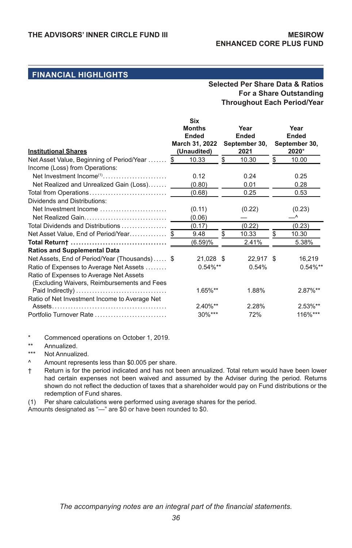#### **Selected Per Share Data & Ratios For a Share Outstanding Throughout Each Period/Year**

|                                                                                        | <b>Six</b><br><b>Months</b><br><b>Ended</b> | Year<br>Ended         | Year<br>Ended          |
|----------------------------------------------------------------------------------------|---------------------------------------------|-----------------------|------------------------|
| <b>Institutional Shares</b>                                                            | March 31, 2022<br>(Unaudited)               | September 30,<br>2021 | September 30,<br>2020* |
| Net Asset Value, Beginning of Period/Year  \$                                          | 10.33                                       | \$<br>10.30           | \$<br>10.00            |
| Income (Loss) from Operations:                                                         |                                             |                       |                        |
| Net Investment Income <sup>(1)</sup>                                                   | 0.12                                        | 0.24                  | 0.25                   |
| Net Realized and Unrealized Gain (Loss)                                                | (0.80)                                      | 0.01                  | 0.28                   |
| Total from Operations                                                                  | (0.68)                                      | 0.25                  | 0.53                   |
| Dividends and Distributions:                                                           |                                             |                       |                        |
| Net Investment Income                                                                  | (0.11)                                      | (0.22)                | (0.23)                 |
| Net Realized Gain                                                                      | (0.06)                                      |                       | _^                     |
| Total Dividends and Distributions                                                      | (0.17)                                      | (0.22)                | (0.23)                 |
| Net Asset Value, End of Period/Year\$                                                  | 9.48                                        | \$<br>10.33           | \$<br>10.30            |
|                                                                                        | (6.59)%                                     | 2.41%                 | 5.38%                  |
| <b>Ratios and Supplemental Data</b>                                                    |                                             |                       |                        |
| Net Assets, End of Period/Year (Thousands) \$                                          | 21,028 \$                                   | 22,917 \$             | 16,219                 |
| Ratio of Expenses to Average Net Assets                                                | $0.54\%**$                                  | 0.54%                 | $0.54\%**$             |
| Ratio of Expenses to Average Net Assets<br>(Excluding Waivers, Reimbursements and Fees |                                             |                       |                        |
|                                                                                        | $1.65\%**$                                  | 1.88%                 | $2.87\%**$             |
| Ratio of Net Investment Income to Average Net                                          |                                             |                       |                        |
|                                                                                        | 2.40%**                                     | 2.28%                 | 2.53%**                |
| Portfolio Turnover Rate                                                                | $30\%***$                                   | 72%                   | 116%***                |

Commenced operations on October 1, 2019.

\*\* Annualized.

\*\*\* Not Annualized.

Amount represents less than \$0.005 per share.

† Return is for the period indicated and has not been annualized. Total return would have been lower had certain expenses not been waived and assumed by the Adviser during the period. Returns shown do not reflect the deduction of taxes that a shareholder would pay on Fund distributions or the redemption of Fund shares.

(1) Per share calculations were performed using average shares for the period.

Amounts designated as "—" are \$0 or have been rounded to \$0.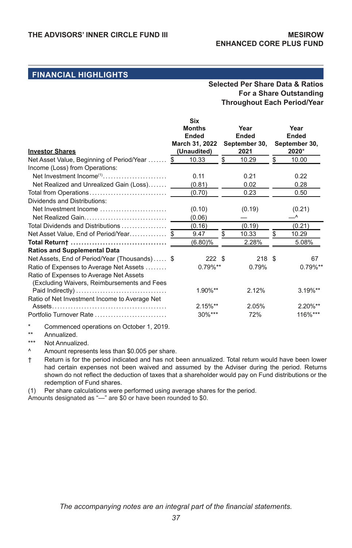#### **Selected Per Share Data & Ratios For a Share Outstanding Throughout Each Period/Year**

| <b>Investor Shares</b>                                                                 | <b>Six</b><br><b>Months</b><br><b>Ended</b><br>March 31, 2022<br>(Unaudited) |    | Year<br>Ended<br>September 30,<br>2021 | Year<br>Ended<br>September 30,<br>2020* |            |  |
|----------------------------------------------------------------------------------------|------------------------------------------------------------------------------|----|----------------------------------------|-----------------------------------------|------------|--|
| Net Asset Value, Beginning of Period/Year                                              | 10.33<br>-S                                                                  | \$ | 10.29                                  | \$                                      | 10.00      |  |
| Income (Loss) from Operations:                                                         |                                                                              |    |                                        |                                         |            |  |
| Net Investment Income $(1), \ldots, \ldots, \ldots, \ldots, \ldots, \ldots$            | 0.11                                                                         |    | 0.21                                   |                                         | 0.22       |  |
| Net Realized and Unrealized Gain (Loss)                                                | (0.81)                                                                       |    | 0.02                                   |                                         | 0.28       |  |
| Total from Operations                                                                  | (0.70)                                                                       |    | 0.23                                   |                                         | 0.50       |  |
| Dividends and Distributions:                                                           |                                                                              |    |                                        |                                         |            |  |
| Net Investment Income                                                                  | (0.10)                                                                       |    | (0.19)                                 |                                         | (0.21)     |  |
| Net Realized Gain                                                                      | (0.06)                                                                       |    |                                        |                                         | _^         |  |
| Total Dividends and Distributions                                                      | (0.16)                                                                       |    | (0.19)                                 |                                         | (0.21)     |  |
| Net Asset Value, End of Period/Year\$                                                  | 9.47                                                                         | £. | 10.33                                  | \$                                      | 10.29      |  |
|                                                                                        | (6.80)%                                                                      |    | 2.28%                                  |                                         | 5.08%      |  |
| <b>Ratios and Supplemental Data</b>                                                    |                                                                              |    |                                        |                                         |            |  |
| Net Assets, End of Period/Year (Thousands) \$                                          | 222S                                                                         |    | 218S                                   |                                         | 67         |  |
| Ratio of Expenses to Average Net Assets                                                | $0.79\%**$                                                                   |    | 0.79%                                  |                                         | $0.79\%**$ |  |
| Ratio of Expenses to Average Net Assets<br>(Excluding Waivers, Reimbursements and Fees |                                                                              |    |                                        |                                         |            |  |
| Paid Indirectly)                                                                       | $1.90\%**$                                                                   |    | 2.12%                                  |                                         | $3.19\%**$ |  |
| Ratio of Net Investment Income to Average Net                                          |                                                                              |    |                                        |                                         |            |  |
|                                                                                        | $2.15\%**$                                                                   |    | 2.05%                                  |                                         | 2.20%**    |  |
| Portfolio Turnover Rate                                                                | 30%***                                                                       |    | 72%                                    |                                         | 116%***    |  |
|                                                                                        |                                                                              |    |                                        |                                         |            |  |

Commenced operations on October 1, 2019.

\*\* Annualized.

Not Annualized.

^ Amount represents less than \$0.005 per share.

† Return is for the period indicated and has not been annualized. Total return would have been lower had certain expenses not been waived and assumed by the Adviser during the period. Returns shown do not reflect the deduction of taxes that a shareholder would pay on Fund distributions or the redemption of Fund shares.

(1) Per share calculations were performed using average shares for the period.

Amounts designated as "—" are \$0 or have been rounded to \$0.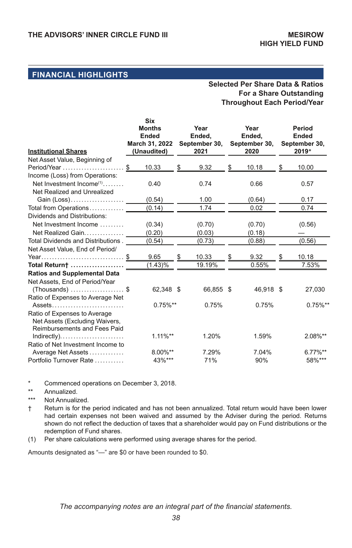### **Selected Per Share Data & Ratios For a Share Outstanding Throughout Each Period/Year**

| <b>Institutional Shares</b>          |    | <b>Six</b><br><b>Months</b><br>Ended<br>March 31, 2022<br>(Unaudited) |    | Year<br>Ended,<br>September 30,<br>2021 |    | Year<br>Ended,<br>September 30,<br>2020 | Period<br><b>Ended</b><br>September 30,<br>2019* |            |  |
|--------------------------------------|----|-----------------------------------------------------------------------|----|-----------------------------------------|----|-----------------------------------------|--------------------------------------------------|------------|--|
| Net Asset Value, Beginning of        |    |                                                                       |    |                                         |    |                                         |                                                  |            |  |
| Period/Year                          | \$ | 10.33                                                                 | \$ | 9.32                                    | \$ | 10.18                                   | \$                                               | 10.00      |  |
| Income (Loss) from Operations:       |    |                                                                       |    |                                         |    |                                         |                                                  |            |  |
| Net Investment Income <sup>(1)</sup> |    | 0.40                                                                  |    | 0.74                                    |    | 0.66                                    |                                                  | 0.57       |  |
| Net Realized and Unrealized          |    |                                                                       |    |                                         |    |                                         |                                                  |            |  |
| Gain (Loss)                          |    | (0.54)                                                                |    | 1.00                                    |    | (0.64)                                  |                                                  | 0.17       |  |
| Total from Operations                |    | (0.14)                                                                |    | 1.74                                    |    | 0.02                                    |                                                  | 0.74       |  |
| Dividends and Distributions:         |    |                                                                       |    |                                         |    |                                         |                                                  |            |  |
| Net Investment Income                |    | (0.34)                                                                |    | (0.70)                                  |    | (0.70)                                  |                                                  | (0.56)     |  |
| Net Realized Gain                    |    | (0.20)                                                                |    | (0.03)                                  |    | (0.18)                                  |                                                  |            |  |
| Total Dividends and Distributions.   |    | (0.54)                                                                |    | (0.73)                                  |    | (0.88)                                  |                                                  | (0.56)     |  |
| Net Asset Value, End of Period/      |    |                                                                       |    |                                         |    |                                         |                                                  |            |  |
| Year\$                               |    | 9.65                                                                  | S  | 10.33                                   |    | 9.32                                    |                                                  | 10.18      |  |
| Total Return†                        |    | (1.43)%                                                               |    | 19.19%                                  |    | 0.55%                                   |                                                  | 7.53%      |  |
| <b>Ratios and Supplemental Data</b>  |    |                                                                       |    |                                         |    |                                         |                                                  |            |  |
| Net Assets. End of Period/Year       |    |                                                                       |    |                                         |    |                                         |                                                  |            |  |
| $(Thomasands)$ \$                    |    | 62,348 \$                                                             |    | 66,855 \$                               |    | 46.918 \$                               |                                                  | 27,030     |  |
| Ratio of Expenses to Average Net     |    |                                                                       |    |                                         |    |                                         |                                                  |            |  |
| Assets                               |    | $0.75\%**$                                                            |    | 0.75%                                   |    | 0.75%                                   |                                                  | $0.75\%**$ |  |
| Ratio of Expenses to Average         |    |                                                                       |    |                                         |    |                                         |                                                  |            |  |
| Net Assets (Excluding Waivers,       |    |                                                                       |    |                                         |    |                                         |                                                  |            |  |
| <b>Reimbursements and Fees Paid</b>  |    |                                                                       |    |                                         |    |                                         |                                                  |            |  |
|                                      |    | $1.11\%**$                                                            |    | 1.20%                                   |    | 1.59%                                   |                                                  | 2.08%**    |  |
| Ratio of Net Investment Income to    |    |                                                                       |    |                                         |    |                                         |                                                  |            |  |
| Average Net Assets                   |    | 8.00%**                                                               |    | 7.29%                                   |    | 7.04%                                   |                                                  | $6.77\%**$ |  |
| Portfolio Turnover Rate              |    | 43%***                                                                |    | 71%                                     |    | 90%                                     |                                                  | 58%***     |  |

\* Commenced operations on December 3, 2018.

- \*\* Annualized.
- Not Annualized.
- † Return is for the period indicated and has not been annualized. Total return would have been lower had certain expenses not been waived and assumed by the Adviser during the period. Returns shown do not reflect the deduction of taxes that a shareholder would pay on Fund distributions or the redemption of Fund shares.
- (1) Per share calculations were performed using average shares for the period.

Amounts designated as "—" are \$0 or have been rounded to \$0.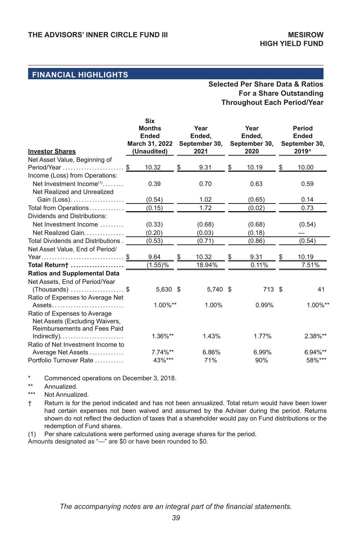### **Selected Per Share Data & Ratios For a Share Outstanding Throughout Each Period/Year**

| <b>Investor Shares</b>               |    | <b>Six</b><br><b>Months</b><br><b>Ended</b><br>March 31, 2022<br>(Unaudited) |    | Year<br>Ended,<br>September 30,<br>2021 |    | Year<br>Ended,<br>September 30,<br>2020 | Period<br><b>Ended</b><br>September 30,<br>2019* |            |  |
|--------------------------------------|----|------------------------------------------------------------------------------|----|-----------------------------------------|----|-----------------------------------------|--------------------------------------------------|------------|--|
| Net Asset Value, Beginning of        |    |                                                                              |    |                                         |    |                                         |                                                  |            |  |
| Period/Year                          | \$ | 10.32                                                                        | \$ | 9.31                                    | \$ | 10.19                                   | \$                                               | 10.00      |  |
| Income (Loss) from Operations:       |    |                                                                              |    |                                         |    |                                         |                                                  |            |  |
| Net Investment Income <sup>(1)</sup> |    | 0.39                                                                         |    | 0.70                                    |    | 0.63                                    |                                                  | 0.59       |  |
| Net Realized and Unrealized          |    |                                                                              |    |                                         |    |                                         |                                                  |            |  |
| Gain (Loss)                          |    | (0.54)                                                                       |    | 1.02                                    |    | (0.65)                                  |                                                  | 0.14       |  |
| Total from Operations                |    | (0.15)                                                                       |    | 1.72                                    |    | (0.02)                                  |                                                  | 0.73       |  |
| Dividends and Distributions:         |    |                                                                              |    |                                         |    |                                         |                                                  |            |  |
| Net Investment Income                |    | (0.33)                                                                       |    | (0.68)                                  |    | (0.68)                                  |                                                  | (0.54)     |  |
| Net Realized Gain                    |    | (0.20)                                                                       |    | (0.03)                                  |    | (0.18)                                  |                                                  |            |  |
| Total Dividends and Distributions.   |    | (0.53)                                                                       |    | (0.71)                                  |    | (0.86)                                  |                                                  | (0.54)     |  |
| Net Asset Value, End of Period/      |    |                                                                              |    |                                         |    |                                         |                                                  |            |  |
| Year\$                               |    | 9.64                                                                         | S  | 10.32                                   |    | 9.31                                    |                                                  | 10.19      |  |
| Total Return†                        |    | (1.55)%                                                                      |    | 18.94%                                  |    | 0.11%                                   |                                                  | 7.51%      |  |
| <b>Ratios and Supplemental Data</b>  |    |                                                                              |    |                                         |    |                                         |                                                  |            |  |
| Net Assets, End of Period/Year       |    |                                                                              |    |                                         |    |                                         |                                                  |            |  |
| $(Thomasands)$ \$                    |    | 5,630 \$                                                                     |    | 5.740 \$                                |    | 713 \$                                  |                                                  | 41         |  |
| Ratio of Expenses to Average Net     |    |                                                                              |    |                                         |    |                                         |                                                  |            |  |
| Assets                               |    | 1.00%**                                                                      |    | 1.00%                                   |    | 0.99%                                   |                                                  | 1.00%**    |  |
| Ratio of Expenses to Average         |    |                                                                              |    |                                         |    |                                         |                                                  |            |  |
| Net Assets (Excluding Waivers,       |    |                                                                              |    |                                         |    |                                         |                                                  |            |  |
| <b>Reimbursements and Fees Paid</b>  |    |                                                                              |    |                                         |    |                                         |                                                  |            |  |
|                                      |    | 1.36%**                                                                      |    | 1.43%                                   |    | 1.77%                                   |                                                  | 2.38%**    |  |
| Ratio of Net Investment Income to    |    |                                                                              |    |                                         |    |                                         |                                                  |            |  |
| Average Net Assets                   |    | 7.74%**                                                                      |    | 6.86%                                   |    | 6.99%                                   |                                                  | $6.94\%**$ |  |
| Portfolio Turnover Rate              |    | 43%***                                                                       |    | 71%                                     |    | 90%                                     |                                                  | 58%***     |  |

\* Commenced operations on December 3, 2018.

- \*\* Annualized.
- Not Annualized.

† Return is for the period indicated and has not been annualized. Total return would have been lower had certain expenses not been waived and assumed by the Adviser during the period. Returns shown do not reflect the deduction of taxes that a shareholder would pay on Fund distributions or the redemption of Fund shares.

(1) Per share calculations were performed using average shares for the period.

Amounts designated as "—" are \$0 or have been rounded to \$0.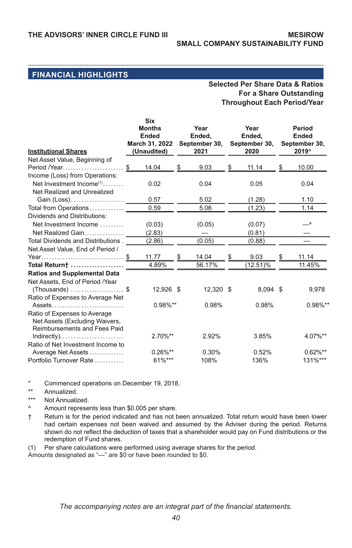#### **Selected Per Share Data & Ratios For a Share Outstanding Throughout Each Period/Year**

| <b>Institutional Shares</b>                                                                    |    | Six<br><b>Months</b><br><b>Ended</b><br>March 31, 2022<br>(Unaudited) |    | Year<br>Ended.<br>September 30,<br>2021 |    | Year<br>Ended,<br>September 30,<br>2020 |    | Period<br><b>Ended</b><br>September 30,<br>2019* |
|------------------------------------------------------------------------------------------------|----|-----------------------------------------------------------------------|----|-----------------------------------------|----|-----------------------------------------|----|--------------------------------------------------|
| Net Asset Value, Beginning of<br>Period /Year                                                  | \$ | 14.04                                                                 | \$ | 9.03                                    | \$ | 11.14                                   | \$ | 10.00                                            |
| Income (Loss) from Operations:                                                                 |    |                                                                       |    |                                         |    |                                         |    |                                                  |
| Net Investment Income <sup>(1)</sup><br>Net Realized and Unrealized                            |    | 0.02                                                                  |    | 0.04                                    |    | 0.05                                    |    | 0.04                                             |
| Gain (Loss)                                                                                    |    | 0.57                                                                  |    | 5.02                                    |    | (1.28)                                  |    | 1.10                                             |
| Total from Operations                                                                          |    | 0.59                                                                  |    | 5.06                                    |    | (1.23)                                  |    | 1.14                                             |
| Dividends and Distributions:                                                                   |    |                                                                       |    |                                         |    |                                         |    |                                                  |
| Net Investment Income                                                                          |    | (0.03)                                                                |    | (0.05)                                  |    | (0.07)                                  |    | _^                                               |
| Net Realized Gain                                                                              |    | (2.83)                                                                |    |                                         |    | (0.81)                                  |    |                                                  |
| Total Dividends and Distributions.                                                             |    | (2.86)                                                                |    | (0.05)                                  |    | (0.88)                                  |    |                                                  |
| Net Asset Value, End of Period /                                                               |    |                                                                       |    |                                         |    |                                         |    |                                                  |
| Year\$                                                                                         |    | 11.77                                                                 | S  | 14.04                                   | S  | 9.03                                    | S  | 11.14                                            |
| Total Return†                                                                                  |    | 4.89%                                                                 |    | 56.17%                                  |    | $(12.51)\%$                             |    | 11.45%                                           |
| <b>Ratios and Supplemental Data</b>                                                            |    |                                                                       |    |                                         |    |                                         |    |                                                  |
| Net Assets, End of Period /Year                                                                |    |                                                                       |    |                                         |    |                                         |    |                                                  |
| $(Thomasands)$ \$                                                                              |    | 12,926 \$                                                             |    | 12,320 \$                               |    | 8,094 \$                                |    | 9,978                                            |
| Ratio of Expenses to Average Net                                                               |    |                                                                       |    |                                         |    |                                         |    |                                                  |
| Assets                                                                                         |    | $0.98\%**$                                                            |    | 0.98%                                   |    | 0.98%                                   |    | $0.98\%$ **                                      |
| Ratio of Expenses to Average<br>Net Assets (Excluding Waivers,<br>Reimbursements and Fees Paid |    |                                                                       |    |                                         |    |                                         |    |                                                  |
|                                                                                                |    | 2.70%**                                                               |    | 2.92%                                   |    | 3.85%                                   |    | 4.07%**                                          |
| Ratio of Net Investment Income to                                                              |    |                                                                       |    |                                         |    |                                         |    |                                                  |
| Average Net Assets                                                                             |    | $0.26\%**$                                                            |    | 0.30%                                   |    | 0.52%                                   |    | $0.62\%**$                                       |
| Portfolio Turnover Rate                                                                        |    | 61%***                                                                |    | 108%                                    |    | 136%                                    |    | 131%***                                          |

\* Commenced operations on December 19, 2018.

\*\* Annualized.

\*\*\* Not Annualized.

Amount represents less than \$0.005 per share.

† Return is for the period indicated and has not been annualized. Total return would have been lower had certain expenses not been waived and assumed by the Adviser during the period. Returns shown do not reflect the deduction of taxes that a shareholder would pay on Fund distributions or the redemption of Fund shares.

(1) Per share calculations were performed using average shares for the period.

Amounts designated as "—" are \$0 or have been rounded to \$0.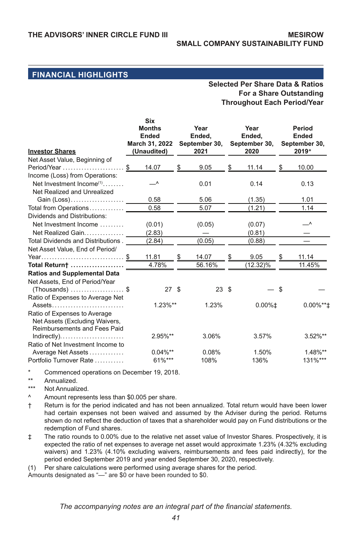#### **Selected Per Share Data & Ratios For a Share Outstanding Throughout Each Period/Year**

|                                        | <b>Six</b><br><b>Months</b><br><b>Ended</b> |    | Year<br>Ended,        |    | Year<br>Ended,        | Period<br>Ended        |
|----------------------------------------|---------------------------------------------|----|-----------------------|----|-----------------------|------------------------|
| <b>Investor Shares</b>                 | March 31, 2022<br>(Unaudited)               |    | September 30,<br>2021 |    | September 30,<br>2020 | September 30.<br>2019* |
| Net Asset Value, Beginning of          |                                             |    |                       |    |                       |                        |
| Period/Year                            | \$<br>14.07                                 | \$ | 9.05                  | \$ | 11.14                 | \$<br>10.00            |
| Income (Loss) from Operations:         |                                             |    |                       |    |                       |                        |
| Net Investment Income $(1), \ldots, n$ | ▁∧                                          |    | 0.01                  |    | 0.14                  | 0.13                   |
| Net Realized and Unrealized            |                                             |    |                       |    |                       |                        |
| Gain (Loss)                            | 0.58                                        |    | 5.06                  |    | (1.35)                | 1.01                   |
| Total from Operations                  | 0.58                                        |    | 5.07                  |    | (1.21)                | 1.14                   |
| Dividends and Distributions:           |                                             |    |                       |    |                       |                        |
| Net Investment Income                  | (0.01)                                      |    | (0.05)                |    | (0.07)                | ▁∧                     |
| Net Realized Gain                      | (2.83)                                      |    |                       |    | (0.81)                |                        |
| Total Dividends and Distributions.     | (2.84)                                      |    | (0.05)                |    | (0.88)                |                        |
| Net Asset Value, End of Period/        |                                             |    |                       |    |                       |                        |
| Year\$                                 | 11.81                                       | S  | 14.07                 | S  | 9.05                  | 11.14                  |
| Total Return†                          | 4.78%                                       |    | 56.16%                |    | $(12.32)\%$           | 11.45%                 |
| <b>Ratios and Supplemental Data</b>    |                                             |    |                       |    |                       |                        |
| Net Assets, End of Period/Year         |                                             |    |                       |    |                       |                        |
| $(Thomasands)$ \$                      | 27S                                         |    | 23S                   |    |                       | \$                     |
| Ratio of Expenses to Average Net       |                                             |    |                       |    |                       |                        |
| Assets                                 | $1.23\%**$                                  |    | 1.23%                 |    | $0.00\%$ <sup>±</sup> | $0.00\%$ **±           |
| Ratio of Expenses to Average           |                                             |    |                       |    |                       |                        |
| Net Assets (Excluding Waivers,         |                                             |    |                       |    |                       |                        |
| <b>Reimbursements and Fees Paid</b>    |                                             |    |                       |    |                       |                        |
|                                        | 2.95%**                                     |    | 3.06%                 |    | 3.57%                 | 3.52%**                |
| Ratio of Net Investment Income to      |                                             |    |                       |    |                       |                        |
| Average Net Assets                     | $0.04\%**$                                  |    | 0.08%                 |    | 1.50%                 | 1.48%**                |
| Portfolio Turnover Rate                | 61%***                                      |    | 108%                  |    | 136%                  | 131%***                |

\* Commenced operations on December 19, 2018.

- \*\* Annualized.<br>\*\*\* Not Annuali-
- \*\*\* Not Annualized.
- Amount represents less than \$0.005 per share.
- † Return is for the period indicated and has not been annualized. Total return would have been lower had certain expenses not been waived and assumed by the Adviser during the period. Returns shown do not reflect the deduction of taxes that a shareholder would pay on Fund distributions or the redemption of Fund shares.
- ‡ The ratio rounds to 0.00% due to the relative net asset value of Investor Shares. Prospectively, it is expected the ratio of net expenses to average net asset would approximate 1.23% (4.32% excluding waivers) and 1.23% (4.10% excluding waivers, reimbursements and fees paid indirectly), for the period ended September 2019 and year ended September 30, 2020, respectively.

(1) Per share calculations were performed using average shares for the period.

Amounts designated as "—" are \$0 or have been rounded to \$0.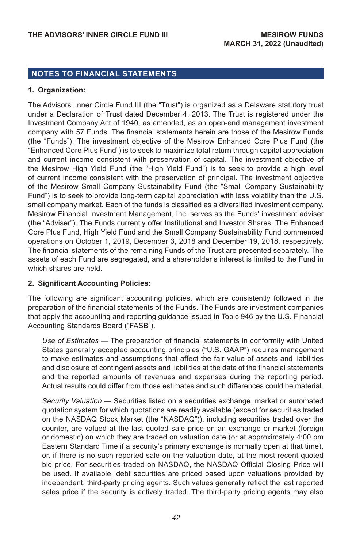### **NOTES TO FINANCIAL STATEMENTS**

#### **1. Organization:**

The Advisors' Inner Circle Fund III (the "Trust") is organized as a Delaware statutory trust under a Declaration of Trust dated December 4, 2013. The Trust is registered under the Investment Company Act of 1940, as amended, as an open-end management investment company with 57 Funds. The financial statements herein are those of the Mesirow Funds (the "Funds"). The investment objective of the Mesirow Enhanced Core Plus Fund (the "Enhanced Core Plus Fund") is to seek to maximize total return through capital appreciation and current income consistent with preservation of capital. The investment objective of the Mesirow High Yield Fund (the "High Yield Fund") is to seek to provide a high level of current income consistent with the preservation of principal. The investment objective of the Mesirow Small Company Sustainability Fund (the "Small Company Sustainability Fund") is to seek to provide long-term capital appreciation with less volatility than the U.S. small company market. Each of the funds is classified as a diversified investment company. Mesirow Financial Investment Management, Inc. serves as the Funds' investment adviser (the "Adviser"). The Funds currently offer Institutional and Investor Shares. The Enhanced Core Plus Fund, High Yield Fund and the Small Company Sustainability Fund commenced operations on October 1, 2019, December 3, 2018 and December 19, 2018, respectively. The financial statements of the remaining Funds of the Trust are presented separately. The assets of each Fund are segregated, and a shareholder's interest is limited to the Fund in which shares are held.

### **2. Significant Accounting Policies:**

The following are significant accounting policies, which are consistently followed in the preparation of the financial statements of the Funds. The Funds are investment companies that apply the accounting and reporting guidance issued in Topic 946 by the U.S. Financial Accounting Standards Board ("FASB").

*Use of Estimates* — The preparation of financial statements in conformity with United States generally accepted accounting principles ("U.S. GAAP") requires management to make estimates and assumptions that affect the fair value of assets and liabilities and disclosure of contingent assets and liabilities at the date of the financial statements and the reported amounts of revenues and expenses during the reporting period. Actual results could differ from those estimates and such differences could be material.

*Security Valuation* — Securities listed on a securities exchange, market or automated quotation system for which quotations are readily available (except for securities traded on the NASDAQ Stock Market (the "NASDAQ")), including securities traded over the counter, are valued at the last quoted sale price on an exchange or market (foreign or domestic) on which they are traded on valuation date (or at approximately 4:00 pm Eastern Standard Time if a security's primary exchange is normally open at that time), or, if there is no such reported sale on the valuation date, at the most recent quoted bid price. For securities traded on NASDAQ, the NASDAQ Official Closing Price will be used. If available, debt securities are priced based upon valuations provided by independent, third-party pricing agents. Such values generally reflect the last reported sales price if the security is actively traded. The third-party pricing agents may also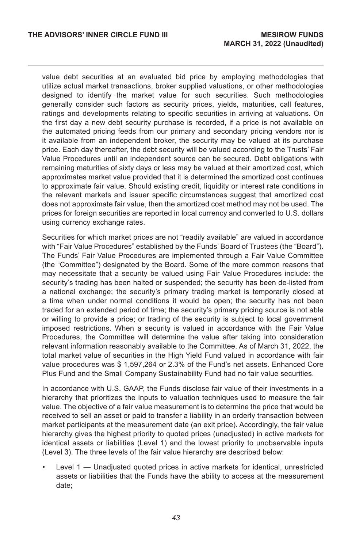value debt securities at an evaluated bid price by employing methodologies that utilize actual market transactions, broker supplied valuations, or other methodologies designed to identify the market value for such securities. Such methodologies generally consider such factors as security prices, yields, maturities, call features, ratings and developments relating to specific securities in arriving at valuations. On the first day a new debt security purchase is recorded, if a price is not available on the automated pricing feeds from our primary and secondary pricing vendors nor is it available from an independent broker, the security may be valued at its purchase price. Each day thereafter, the debt security will be valued according to the Trusts' Fair Value Procedures until an independent source can be secured. Debt obligations with remaining maturities of sixty days or less may be valued at their amortized cost, which approximates market value provided that it is determined the amortized cost continues to approximate fair value. Should existing credit, liquidity or interest rate conditions in the relevant markets and issuer specific circumstances suggest that amortized cost does not approximate fair value, then the amortized cost method may not be used. The prices for foreign securities are reported in local currency and converted to U.S. dollars using currency exchange rates.

Securities for which market prices are not "readily available" are valued in accordance with "Fair Value Procedures" established by the Funds' Board of Trustees (the "Board"). The Funds' Fair Value Procedures are implemented through a Fair Value Committee (the "Committee") designated by the Board. Some of the more common reasons that may necessitate that a security be valued using Fair Value Procedures include: the security's trading has been halted or suspended; the security has been de-listed from a national exchange; the security's primary trading market is temporarily closed at a time when under normal conditions it would be open; the security has not been traded for an extended period of time; the security's primary pricing source is not able or willing to provide a price; or trading of the security is subject to local government imposed restrictions. When a security is valued in accordance with the Fair Value Procedures, the Committee will determine the value after taking into consideration relevant information reasonably available to the Committee. As of March 31, 2022, the total market value of securities in the High Yield Fund valued in accordance with fair value procedures was \$ 1,597,264 or 2.3% of the Fund's net assets. Enhanced Core Plus Fund and the Small Company Sustainability Fund had no fair value securities.

In accordance with U.S. GAAP, the Funds disclose fair value of their investments in a hierarchy that prioritizes the inputs to valuation techniques used to measure the fair value. The objective of a fair value measurement is to determine the price that would be received to sell an asset or paid to transfer a liability in an orderly transaction between market participants at the measurement date (an exit price). Accordingly, the fair value hierarchy gives the highest priority to quoted prices (unadjusted) in active markets for identical assets or liabilities (Level 1) and the lowest priority to unobservable inputs (Level 3). The three levels of the fair value hierarchy are described below:

• Level 1 — Unadjusted quoted prices in active markets for identical, unrestricted assets or liabilities that the Funds have the ability to access at the measurement date;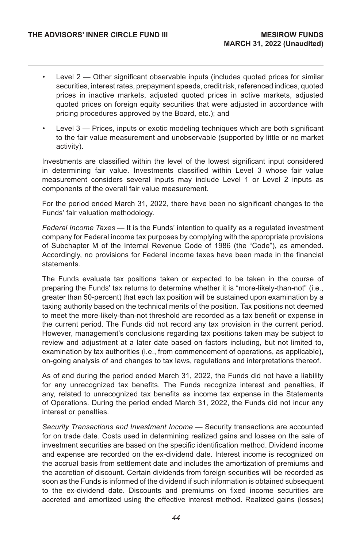- Level 2 Other significant observable inputs (includes quoted prices for similar securities, interest rates, prepayment speeds, credit risk, referenced indices, quoted prices in inactive markets, adjusted quoted prices in active markets, adjusted quoted prices on foreign equity securities that were adjusted in accordance with pricing procedures approved by the Board, etc.); and
- Level 3 Prices, inputs or exotic modeling techniques which are both significant to the fair value measurement and unobservable (supported by little or no market activity).

Investments are classified within the level of the lowest significant input considered in determining fair value. Investments classified within Level 3 whose fair value measurement considers several inputs may include Level 1 or Level 2 inputs as components of the overall fair value measurement.

For the period ended March 31, 2022, there have been no significant changes to the Funds' fair valuation methodology.

*Federal Income Taxes —* It is the Funds' intention to qualify as a regulated investment company for Federal income tax purposes by complying with the appropriate provisions of Subchapter M of the Internal Revenue Code of 1986 (the "Code"), as amended. Accordingly, no provisions for Federal income taxes have been made in the financial statements.

The Funds evaluate tax positions taken or expected to be taken in the course of preparing the Funds' tax returns to determine whether it is "more-likely-than-not" (i.e., greater than 50-percent) that each tax position will be sustained upon examination by a taxing authority based on the technical merits of the position. Tax positions not deemed to meet the more-likely-than-not threshold are recorded as a tax benefit or expense in the current period. The Funds did not record any tax provision in the current period. However, management's conclusions regarding tax positions taken may be subject to review and adjustment at a later date based on factors including, but not limited to, examination by tax authorities (i.e., from commencement of operations, as applicable), on-going analysis of and changes to tax laws, regulations and interpretations thereof.

As of and during the period ended March 31, 2022, the Funds did not have a liability for any unrecognized tax benefits. The Funds recognize interest and penalties, if any, related to unrecognized tax benefits as income tax expense in the Statements of Operations. During the period ended March 31, 2022, the Funds did not incur any interest or penalties.

*Security Transactions and Investment Income —* Security transactions are accounted for on trade date. Costs used in determining realized gains and losses on the sale of investment securities are based on the specific identification method. Dividend income and expense are recorded on the ex-dividend date. Interest income is recognized on the accrual basis from settlement date and includes the amortization of premiums and the accretion of discount. Certain dividends from foreign securities will be recorded as soon as the Funds is informed of the dividend if such information is obtained subsequent to the ex-dividend date. Discounts and premiums on fixed income securities are accreted and amortized using the effective interest method. Realized gains (losses)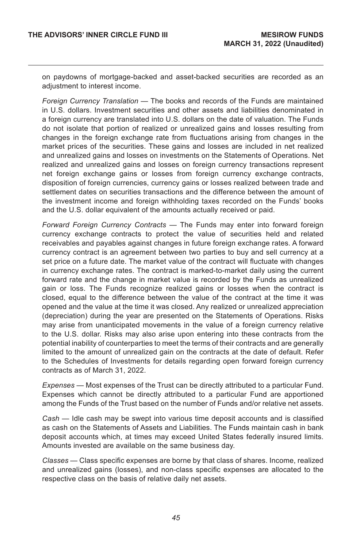on paydowns of mortgage-backed and asset-backed securities are recorded as an adjustment to interest income.

*Foreign Currency Translation —* The books and records of the Funds are maintained in U.S. dollars. Investment securities and other assets and liabilities denominated in a foreign currency are translated into U.S. dollars on the date of valuation. The Funds do not isolate that portion of realized or unrealized gains and losses resulting from changes in the foreign exchange rate from fluctuations arising from changes in the market prices of the securities. These gains and losses are included in net realized and unrealized gains and losses on investments on the Statements of Operations. Net realized and unrealized gains and losses on foreign currency transactions represent net foreign exchange gains or losses from foreign currency exchange contracts, disposition of foreign currencies, currency gains or losses realized between trade and settlement dates on securities transactions and the difference between the amount of the investment income and foreign withholding taxes recorded on the Funds' books and the U.S. dollar equivalent of the amounts actually received or paid.

*Forward Foreign Currency Contracts —* The Funds may enter into forward foreign currency exchange contracts to protect the value of securities held and related receivables and payables against changes in future foreign exchange rates. A forward currency contract is an agreement between two parties to buy and sell currency at a set price on a future date. The market value of the contract will fluctuate with changes in currency exchange rates. The contract is marked-to-market daily using the current forward rate and the change in market value is recorded by the Funds as unrealized gain or loss. The Funds recognize realized gains or losses when the contract is closed, equal to the difference between the value of the contract at the time it was opened and the value at the time it was closed. Any realized or unrealized appreciation (depreciation) during the year are presented on the Statements of Operations. Risks may arise from unanticipated movements in the value of a foreign currency relative to the U.S. dollar. Risks may also arise upon entering into these contracts from the potential inability of counterparties to meet the terms of their contracts and are generally limited to the amount of unrealized gain on the contracts at the date of default. Refer to the Schedules of Investments for details regarding open forward foreign currency contracts as of March 31, 2022.

*Expenses —* Most expenses of the Trust can be directly attributed to a particular Fund. Expenses which cannot be directly attributed to a particular Fund are apportioned among the Funds of the Trust based on the number of Funds and/or relative net assets.

*Cash —* Idle cash may be swept into various time deposit accounts and is classified as cash on the Statements of Assets and Liabilities. The Funds maintain cash in bank deposit accounts which, at times may exceed United States federally insured limits. Amounts invested are available on the same business day.

*Classes* — Class specific expenses are borne by that class of shares. Income, realized and unrealized gains (losses), and non-class specific expenses are allocated to the respective class on the basis of relative daily net assets.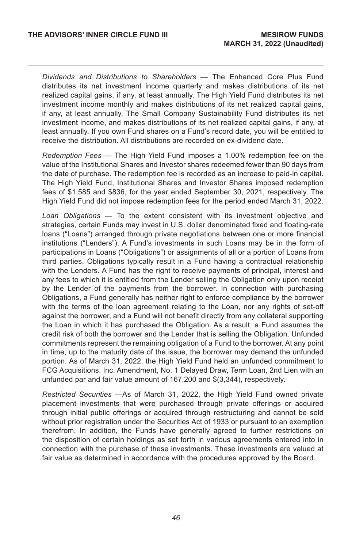*Dividends and Distributions to Shareholders —* The Enhanced Core Plus Fund distributes its net investment income quarterly and makes distributions of its net realized capital gains, if any, at least annually. The High Yield Fund distributes its net investment income monthly and makes distributions of its net realized capital gains, if any, at least annually. The Small Company Sustainability Fund distributes its net investment income, and makes distributions of its net realized capital gains, if any, at least annually. If you own Fund shares on a Fund's record date, you will be entitled to receive the distribution. All distributions are recorded on ex-dividend date.

*Redemption Fees* — The High Yield Fund imposes a 1.00% redemption fee on the value of the Institutional Shares and Investor shares redeemed fewer than 90 days from the date of purchase. The redemption fee is recorded as an increase to paid-in capital. The High Yield Fund, Institutional Shares and Investor Shares imposed redemption fees of \$1,585 and \$836, for the year ended September 30, 2021, respectively. The High Yield Fund did not impose redemption fees for the period ended March 31, 2022.

*Loan Obligations* — To the extent consistent with its investment objective and strategies, certain Funds may invest in U.S. dollar denominated fixed and floating-rate loans ("Loans") arranged through private negotiations between one or more financial institutions ("Lenders"). A Fund's investments in such Loans may be in the form of participations in Loans ("Obligations") or assignments of all or a portion of Loans from third parties. Obligations typically result in a Fund having a contractual relationship with the Lenders. A Fund has the right to receive payments of principal, interest and any fees to which it is entitled from the Lender selling the Obligation only upon receipt by the Lender of the payments from the borrower. In connection with purchasing Obligations, a Fund generally has neither right to enforce compliance by the borrower with the terms of the loan agreement relating to the Loan, nor any rights of set-off against the borrower, and a Fund will not benefit directly from any collateral supporting the Loan in which it has purchased the Obligation. As a result, a Fund assumes the credit risk of both the borrower and the Lender that is selling the Obligation. Unfunded commitments represent the remaining obligation of a Fund to the borrower. At any point in time, up to the maturity date of the issue, the borrower may demand the unfunded portion. As of March 31, 2022, the High Yield Fund held an unfunded commitment to FCG Acquisitions, Inc. Amendment, No. 1 Delayed Draw, Term Loan, 2nd Lien with an unfunded par and fair value amount of 167,200 and \$(3,344), respectively.

*Restricted Securities* —As of March 31, 2022, the High Yield Fund owned private placement investments that were purchased through private offerings or acquired through initial public offerings or acquired through restructuring and cannot be sold without prior registration under the Securities Act of 1933 or pursuant to an exemption therefrom. In addition, the Funds have generally agreed to further restrictions on the disposition of certain holdings as set forth in various agreements entered into in connection with the purchase of these investments. These investments are valued at fair value as determined in accordance with the procedures approved by the Board.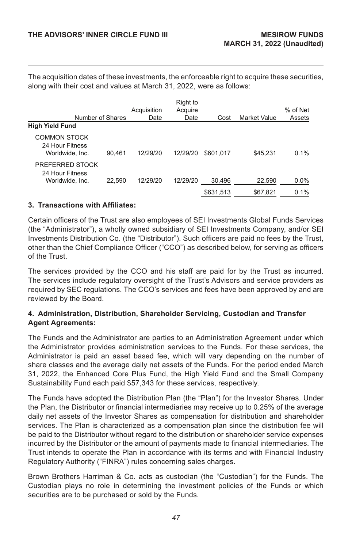The acquisition dates of these investments, the enforceable right to acquire these securities, along with their cost and values at March 31, 2022, were as follows:

| <b>High Yield Fund</b>                                    | Number of Shares | Acquisition<br>Date | Right to<br>Acquire<br>Date | Cost      | <b>Market Value</b> | % of Net<br>Assets |
|-----------------------------------------------------------|------------------|---------------------|-----------------------------|-----------|---------------------|--------------------|
| <b>COMMON STOCK</b><br>24 Hour Fitness<br>Worldwide, Inc. | 90.461           | 12/29/20            | 12/29/20                    | \$601.017 | \$45.231            | 0.1%               |
| PREFERRED STOCK<br>24 Hour Fitness<br>Worldwide, Inc.     | 22.590           | 12/29/20            | 12/29/20                    | 30,496    | 22,590              | 0.0%               |
|                                                           |                  |                     |                             | \$631.513 | \$67,821            | 0.1%               |

#### **3. Transactions with Affiliates:**

Certain officers of the Trust are also employees of SEI Investments Global Funds Services (the "Administrator"), a wholly owned subsidiary of SEI Investments Company, and/or SEI Investments Distribution Co. (the "Distributor"). Such officers are paid no fees by the Trust, other than the Chief Compliance Officer ("CCO") as described below, for serving as officers of the Trust.

The services provided by the CCO and his staff are paid for by the Trust as incurred. The services include regulatory oversight of the Trust's Advisors and service providers as required by SEC regulations. The CCO's services and fees have been approved by and are reviewed by the Board.

### **4. Administration, Distribution, Shareholder Servicing, Custodian and Transfer Agent Agreements:**

The Funds and the Administrator are parties to an Administration Agreement under which the Administrator provides administration services to the Funds. For these services, the Administrator is paid an asset based fee, which will vary depending on the number of share classes and the average daily net assets of the Funds. For the period ended March 31, 2022, the Enhanced Core Plus Fund, the High Yield Fund and the Small Company Sustainability Fund each paid \$57,343 for these services, respectively.

The Funds have adopted the Distribution Plan (the "Plan") for the Investor Shares. Under the Plan, the Distributor or financial intermediaries may receive up to 0.25% of the average daily net assets of the Investor Shares as compensation for distribution and shareholder services. The Plan is characterized as a compensation plan since the distribution fee will be paid to the Distributor without regard to the distribution or shareholder service expenses incurred by the Distributor or the amount of payments made to financial intermediaries. The Trust intends to operate the Plan in accordance with its terms and with Financial Industry Regulatory Authority ("FINRA") rules concerning sales charges.

Brown Brothers Harriman & Co. acts as custodian (the "Custodian") for the Funds. The Custodian plays no role in determining the investment policies of the Funds or which securities are to be purchased or sold by the Funds.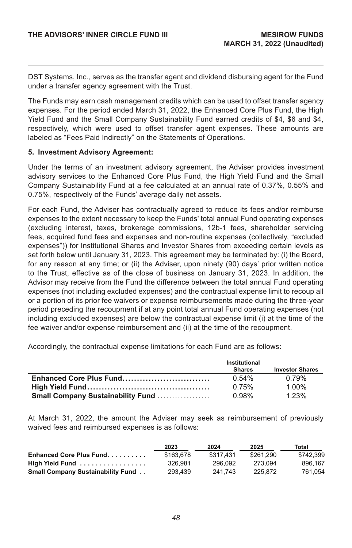DST Systems, Inc., serves as the transfer agent and dividend disbursing agent for the Fund under a transfer agency agreement with the Trust.

The Funds may earn cash management credits which can be used to offset transfer agency expenses. For the period ended March 31, 2022, the Enhanced Core Plus Fund, the High Yield Fund and the Small Company Sustainability Fund earned credits of \$4, \$6 and \$4, respectively, which were used to offset transfer agent expenses. These amounts are labeled as "Fees Paid Indirectly" on the Statements of Operations.

#### **5. Investment Advisory Agreement:**

Under the terms of an investment advisory agreement, the Adviser provides investment advisory services to the Enhanced Core Plus Fund, the High Yield Fund and the Small Company Sustainability Fund at a fee calculated at an annual rate of 0.37%, 0.55% and 0.75%, respectively of the Funds' average daily net assets.

For each Fund, the Adviser has contractually agreed to reduce its fees and/or reimburse expenses to the extent necessary to keep the Funds' total annual Fund operating expenses (excluding interest, taxes, brokerage commissions, 12b-1 fees, shareholder servicing fees, acquired fund fees and expenses and non-routine expenses (collectively, "excluded expenses")) for Institutional Shares and Investor Shares from exceeding certain levels as set forth below until January 31, 2023. This agreement may be terminated by: (i) the Board, for any reason at any time; or (ii) the Adviser, upon ninety (90) days' prior written notice to the Trust, effective as of the close of business on January 31, 2023. In addition, the Advisor may receive from the Fund the difference between the total annual Fund operating expenses (not including excluded expenses) and the contractual expense limit to recoup all or a portion of its prior fee waivers or expense reimbursements made during the three-year period preceding the recoupment if at any point total annual Fund operating expenses (not including excluded expenses) are below the contractual expense limit (i) at the time of the fee waiver and/or expense reimbursement and (ii) at the time of the recoupment.

Accordingly, the contractual expense limitations for each Fund are as follows:

|                                           | Institutional |                        |
|-------------------------------------------|---------------|------------------------|
|                                           | <b>Shares</b> | <b>Investor Shares</b> |
| Enhanced Core Plus Fund                   | 0.54%         | 0.79%                  |
|                                           | 0.75%         | 1 00%                  |
| <b>Small Company Sustainability Fund </b> | 0.98%         | 1 23%                  |

At March 31, 2022, the amount the Adviser may seek as reimbursement of previously waived fees and reimbursed expenses is as follows:

|                                          | 2023      | 2024      | 2025      | Total     |
|------------------------------------------|-----------|-----------|-----------|-----------|
| Enhanced Core Plus Fund                  | \$163,678 | \$317.431 | \$261.290 | \$742.399 |
| High Yield Fund                          | 326.981   | 296.092   | 273.094   | 896.167   |
| <b>Small Company Sustainability Fund</b> | 293.439   | 241.743   | 225.872   | 761.054   |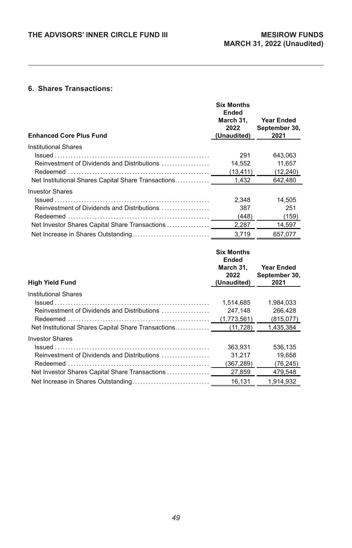### **6. Shares Transactions:**

| <b>Enhanced Core Plus Fund</b>                      | <b>Six Months</b><br>Ended<br>March 31.<br>2022<br>(Unaudited) | Year Ended<br>September 30,<br>2021 |
|-----------------------------------------------------|----------------------------------------------------------------|-------------------------------------|
| Institutional Shares                                |                                                                |                                     |
|                                                     | 291                                                            | 643.063                             |
| Reinvestment of Dividends and Distributions         | 14.552                                                         | 11.657                              |
|                                                     | (13, 411)                                                      | (12, 240)                           |
| Net Institutional Shares Capital Share Transactions | 1.432                                                          | 642.480                             |
| <b>Investor Shares</b>                              |                                                                |                                     |
|                                                     | 2.348                                                          | 14.505                              |
| Reinvestment of Dividends and Distributions         | 387                                                            | 251                                 |
|                                                     | (448)                                                          | (159)                               |
| Net Investor Shares Capital Share Transactions      | 2.287                                                          | 14,597                              |
|                                                     | 3.719                                                          | 657,077                             |

|                                                     | <b>Six Months</b><br>Ended |                       |
|-----------------------------------------------------|----------------------------|-----------------------|
|                                                     | March 31.                  | Year Ended            |
| <b>High Yield Fund</b>                              | 2022<br>(Unaudited)        | September 30,<br>2021 |
|                                                     |                            |                       |
| Institutional Shares                                |                            |                       |
|                                                     | 1.514.685                  | 1.984.033             |
| Reinvestment of Dividends and Distributions         | 247,148                    | 266.428               |
|                                                     | (1,773,561)                | (815,077)             |
| Net Institutional Shares Capital Share Transactions | (11, 728)                  | 1.435.384             |
| <b>Investor Shares</b>                              |                            |                       |
|                                                     | 363,931                    | 536.135               |
| Reinvestment of Dividends and Distributions         | 31.217                     | 19.658                |
|                                                     | (367,289)                  | (76, 245)             |
| Net Investor Shares Capital Share Transactions      | 27,859                     | 479.548               |
|                                                     | 16.131                     | 1.914.932             |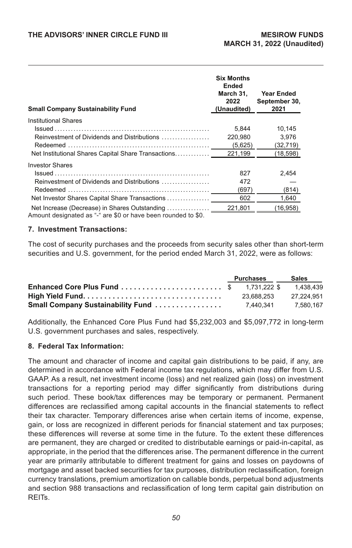| <b>Small Company Sustainability Fund</b>                                                                       | <b>Six Months</b><br>Ended<br>March 31.<br>2022<br>(Unaudited) | Year Ended<br>September 30,<br>2021 |
|----------------------------------------------------------------------------------------------------------------|----------------------------------------------------------------|-------------------------------------|
| Institutional Shares                                                                                           |                                                                |                                     |
|                                                                                                                | 5.844                                                          | 10.145                              |
| Reinvestment of Dividends and Distributions                                                                    | 220.980                                                        | 3.976                               |
|                                                                                                                | (5,625)                                                        | (32, 719)                           |
| Net Institutional Shares Capital Share Transactions                                                            | 221.199                                                        | (18,598)                            |
| <b>Investor Shares</b>                                                                                         |                                                                |                                     |
|                                                                                                                | 827                                                            | 2,454                               |
| Reinvestment of Dividends and Distributions                                                                    | 472                                                            |                                     |
|                                                                                                                | (697)                                                          | (814)                               |
| Net Investor Shares Capital Share Transactions                                                                 | 602                                                            | 1,640                               |
| Net Increase (Decrease) in Shares Outstanding<br>Amount designated as "-" are \$0 or have been rounded to \$0. | 221.801                                                        | (16, 958)                           |

#### **7. Investment Transactions:**

The cost of security purchases and the proceeds from security sales other than short-term securities and U.S. government, for the period ended March 31, 2022, were as follows:

|  | Purchases  | Sales      |
|--|------------|------------|
|  |            |            |
|  | 23.688.253 | 27.224.951 |
|  |            | 7.580.167  |

Additionally, the Enhanced Core Plus Fund had \$5,232,003 and \$5,097,772 in long-term U.S. government purchases and sales, respectively.

#### **8. Federal Tax Information:**

The amount and character of income and capital gain distributions to be paid, if any, are determined in accordance with Federal income tax regulations, which may differ from U.S. GAAP. As a result, net investment income (loss) and net realized gain (loss) on investment transactions for a reporting period may differ significantly from distributions during such period. These book/tax differences may be temporary or permanent. Permanent differences are reclassified among capital accounts in the financial statements to reflect their tax character. Temporary differences arise when certain items of income, expense, gain, or loss are recognized in different periods for financial statement and tax purposes; these differences will reverse at some time in the future. To the extent these differences are permanent, they are charged or credited to distributable earnings or paid-in-capital, as appropriate, in the period that the differences arise. The permanent difference in the current year are primarily attributable to different treatment for gains and losses on paydowns of mortgage and asset backed securities for tax purposes, distribution reclassification, foreign currency translations, premium amortization on callable bonds, perpetual bond adjustments and section 988 transactions and reclassification of long term capital gain distribution on REITs.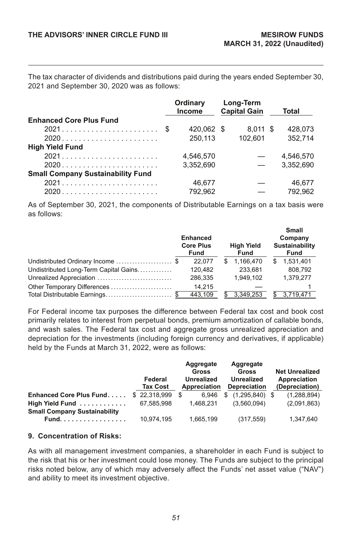The tax character of dividends and distributions paid during the years ended September 30, 2021 and September 30, 2020 was as follows:

|                                          | Ordinary<br>Income | Long-Term<br><b>Capital Gain</b> | Total     |
|------------------------------------------|--------------------|----------------------------------|-----------|
| <b>Enhanced Core Plus Fund</b>           |                    |                                  |           |
|                                          | 420.062 \$         | $8.011$ \$                       | 428.073   |
|                                          | 250.113            | 102.601                          | 352.714   |
| <b>High Yield Fund</b>                   |                    |                                  |           |
|                                          | 4.546.570          |                                  | 4.546.570 |
|                                          | 3.352.690          |                                  | 3.352.690 |
| <b>Small Company Sustainability Fund</b> |                    |                                  |           |
|                                          | 46.677             |                                  | 46.677    |
|                                          | 792.962            |                                  | 792.962   |

As of September 30, 2021, the components of Distributable Earnings on a tax basis were as follows:

|                                       | <b>Enhanced</b><br><b>Core Plus</b><br>Fund |    | <b>High Yield</b><br><b>Fund</b> |    | Small<br>Company<br>Sustainability<br><b>Fund</b> |
|---------------------------------------|---------------------------------------------|----|----------------------------------|----|---------------------------------------------------|
| Undistributed Ordinary Income \$      | 22.077                                      | S. | 1.166.470                        | S. | 1,531,401                                         |
| Undistributed Long-Term Capital Gains | 120.482                                     |    | 233.681                          |    | 808.792                                           |
| Unrealized Appreciation               | 286.335                                     |    | 1.949.102                        |    | 1.379.277                                         |
| Other Temporary Differences           | 14.215                                      |    |                                  |    |                                                   |
|                                       | 443.109                                     |    | 3,349,253                        |    | 3.719.471                                         |

For Federal income tax purposes the difference between Federal tax cost and book cost primarily relates to interest from perpetual bonds, premium amortization of callable bonds, and wash sales. The Federal tax cost and aggregate gross unrealized appreciation and depreciation for the investments (including foreign currency and derivatives, if applicable) held by the Funds at March 31, 2022, were as follows:

|                                     | Federal<br><b>Tax Cost</b> | Aggregate<br>Gross<br>Unrealized<br>Appreciation | Aggregate<br>Gross<br><b>Unrealized</b><br><b>Depreciation</b> | <b>Net Unrealized</b><br>Appreciation<br>(Depreciation) |
|-------------------------------------|----------------------------|--------------------------------------------------|----------------------------------------------------------------|---------------------------------------------------------|
| Enhanced Core Plus Fund             | \$22,318,999               | \$.<br>6.946                                     | $(1,295,840)$ \$<br>\$                                         | (1,288,894)                                             |
| High Yield Fund                     | 67.585.998                 | 1.468.231                                        | (3.560.094)                                                    | (2,091,863)                                             |
| <b>Small Company Sustainability</b> |                            |                                                  |                                                                |                                                         |
| Fund                                | 10,974,195                 | 1,665,199                                        | (317, 559)                                                     | 1,347,640                                               |

#### **9. Concentration of Risks:**

As with all management investment companies, a shareholder in each Fund is subject to the risk that his or her investment could lose money. The Funds are subject to the principal risks noted below, any of which may adversely affect the Funds' net asset value ("NAV") and ability to meet its investment objective.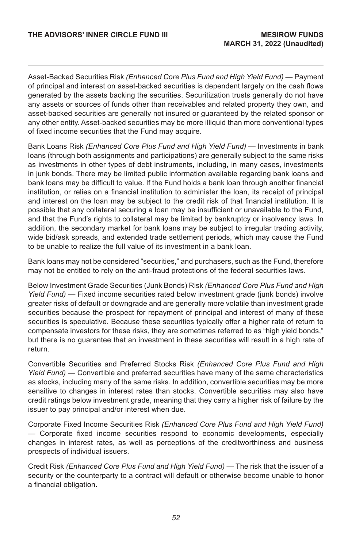Asset-Backed Securities Risk *(Enhanced Core Plus Fund and High Yield Fund)* — Payment of principal and interest on asset-backed securities is dependent largely on the cash flows generated by the assets backing the securities. Securitization trusts generally do not have any assets or sources of funds other than receivables and related property they own, and asset-backed securities are generally not insured or guaranteed by the related sponsor or any other entity. Asset-backed securities may be more illiquid than more conventional types of fixed income securities that the Fund may acquire.

Bank Loans Risk *(Enhanced Core Plus Fund and High Yield Fund)* — Investments in bank loans (through both assignments and participations) are generally subject to the same risks as investments in other types of debt instruments, including, in many cases, investments in junk bonds. There may be limited public information available regarding bank loans and bank loans may be difficult to value. If the Fund holds a bank loan through another financial institution, or relies on a financial institution to administer the loan, its receipt of principal and interest on the loan may be subject to the credit risk of that financial institution. It is possible that any collateral securing a loan may be insufficient or unavailable to the Fund, and that the Fund's rights to collateral may be limited by bankruptcy or insolvency laws. In addition, the secondary market for bank loans may be subject to irregular trading activity, wide bid/ask spreads, and extended trade settlement periods, which may cause the Fund to be unable to realize the full value of its investment in a bank loan.

Bank loans may not be considered "securities," and purchasers, such as the Fund, therefore may not be entitled to rely on the anti-fraud protections of the federal securities laws.

Below Investment Grade Securities (Junk Bonds) Risk *(Enhanced Core Plus Fund and High Yield Fund)* — Fixed income securities rated below investment grade (junk bonds) involve greater risks of default or downgrade and are generally more volatile than investment grade securities because the prospect for repayment of principal and interest of many of these securities is speculative. Because these securities typically offer a higher rate of return to compensate investors for these risks, they are sometimes referred to as "high yield bonds," but there is no guarantee that an investment in these securities will result in a high rate of return.

Convertible Securities and Preferred Stocks Risk *(Enhanced Core Plus Fund and High Yield Fund)* — Convertible and preferred securities have many of the same characteristics as stocks, including many of the same risks. In addition, convertible securities may be more sensitive to changes in interest rates than stocks. Convertible securities may also have credit ratings below investment grade, meaning that they carry a higher risk of failure by the issuer to pay principal and/or interest when due.

Corporate Fixed Income Securities Risk *(Enhanced Core Plus Fund and High Yield Fund)*  — Corporate fixed income securities respond to economic developments, especially changes in interest rates, as well as perceptions of the creditworthiness and business prospects of individual issuers.

Credit Risk *(Enhanced Core Plus Fund and High Yield Fund)* — The risk that the issuer of a security or the counterparty to a contract will default or otherwise become unable to honor a financial obligation.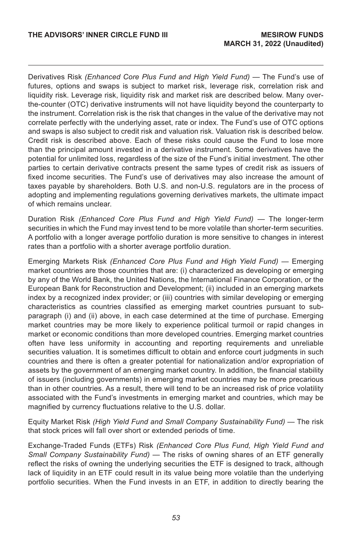Derivatives Risk *(Enhanced Core Plus Fund and High Yield Fund)* — The Fund's use of futures, options and swaps is subject to market risk, leverage risk, correlation risk and liquidity risk. Leverage risk, liquidity risk and market risk are described below. Many overthe-counter (OTC) derivative instruments will not have liquidity beyond the counterparty to the instrument. Correlation risk is the risk that changes in the value of the derivative may not correlate perfectly with the underlying asset, rate or index. The Fund's use of OTC options and swaps is also subject to credit risk and valuation risk. Valuation risk is described below. Credit risk is described above. Each of these risks could cause the Fund to lose more than the principal amount invested in a derivative instrument. Some derivatives have the potential for unlimited loss, regardless of the size of the Fund's initial investment. The other parties to certain derivative contracts present the same types of credit risk as issuers of fixed income securities. The Fund's use of derivatives may also increase the amount of taxes payable by shareholders. Both U.S. and non-U.S. regulators are in the process of adopting and implementing regulations governing derivatives markets, the ultimate impact of which remains unclear.

Duration Risk *(Enhanced Core Plus Fund and High Yield Fund)* — The longer-term securities in which the Fund may invest tend to be more volatile than shorter-term securities. A portfolio with a longer average portfolio duration is more sensitive to changes in interest rates than a portfolio with a shorter average portfolio duration.

Emerging Markets Risk *(Enhanced Core Plus Fund and High Yield Fund)* — Emerging market countries are those countries that are: (i) characterized as developing or emerging by any of the World Bank, the United Nations, the International Finance Corporation, or the European Bank for Reconstruction and Development; (ii) included in an emerging markets index by a recognized index provider; or (iii) countries with similar developing or emerging characteristics as countries classified as emerging market countries pursuant to subparagraph (i) and (ii) above, in each case determined at the time of purchase. Emerging market countries may be more likely to experience political turmoil or rapid changes in market or economic conditions than more developed countries. Emerging market countries often have less uniformity in accounting and reporting requirements and unreliable securities valuation. It is sometimes difficult to obtain and enforce court judgments in such countries and there is often a greater potential for nationalization and/or expropriation of assets by the government of an emerging market country. In addition, the financial stability of issuers (including governments) in emerging market countries may be more precarious than in other countries. As a result, there will tend to be an increased risk of price volatility associated with the Fund's investments in emerging market and countries, which may be magnified by currency fluctuations relative to the U.S. dollar.

Equity Market Risk *(High Yield Fund and Small Company Sustainability Fund)* — The risk that stock prices will fall over short or extended periods of time.

Exchange-Traded Funds (ETFs) Risk *(Enhanced Core Plus Fund, High Yield Fund and Small Company Sustainability Fund)* — The risks of owning shares of an ETF generally reflect the risks of owning the underlying securities the ETF is designed to track, although lack of liquidity in an ETF could result in its value being more volatile than the underlying portfolio securities. When the Fund invests in an ETF, in addition to directly bearing the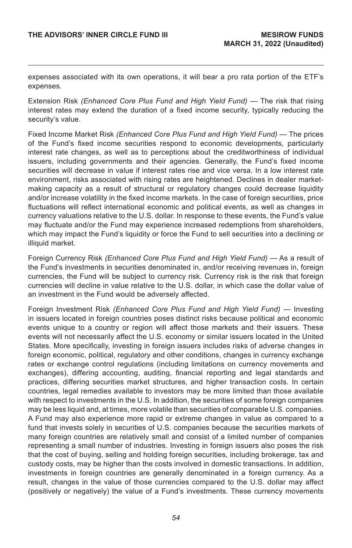expenses associated with its own operations, it will bear a pro rata portion of the ETF's expenses.

Extension Risk *(Enhanced Core Plus Fund and High Yield Fund)* — The risk that rising interest rates may extend the duration of a fixed income security, typically reducing the security's value.

Fixed Income Market Risk *(Enhanced Core Plus Fund and High Yield Fund)* — The prices of the Fund's fixed income securities respond to economic developments, particularly interest rate changes, as well as to perceptions about the creditworthiness of individual issuers, including governments and their agencies. Generally, the Fund's fixed income securities will decrease in value if interest rates rise and vice versa. In a low interest rate environment, risks associated with rising rates are heightened. Declines in dealer marketmaking capacity as a result of structural or regulatory changes could decrease liquidity and/or increase volatility in the fixed income markets. In the case of foreign securities, price fluctuations will reflect international economic and political events, as well as changes in currency valuations relative to the U.S. dollar. In response to these events, the Fund's value may fluctuate and/or the Fund may experience increased redemptions from shareholders, which may impact the Fund's liquidity or force the Fund to sell securities into a declining or illiquid market.

Foreign Currency Risk *(Enhanced Core Plus Fund and High Yield Fund)* — As a result of the Fund's investments in securities denominated in, and/or receiving revenues in, foreign currencies, the Fund will be subject to currency risk. Currency risk is the risk that foreign currencies will decline in value relative to the U.S. dollar, in which case the dollar value of an investment in the Fund would be adversely affected.

Foreign Investment Risk *(Enhanced Core Plus Fund and High Yield Fund)* — Investing in issuers located in foreign countries poses distinct risks because political and economic events unique to a country or region will affect those markets and their issuers. These events will not necessarily affect the U.S. economy or similar issuers located in the United States. More specifically, investing in foreign issuers includes risks of adverse changes in foreign economic, political, regulatory and other conditions, changes in currency exchange rates or exchange control regulations (including limitations on currency movements and exchanges), differing accounting, auditing, financial reporting and legal standards and practices, differing securities market structures, and higher transaction costs. In certain countries, legal remedies available to investors may be more limited than those available with respect to investments in the U.S. In addition, the securities of some foreign companies may be less liquid and, at times, more volatile than securities of comparable U.S. companies. A Fund may also experience more rapid or extreme changes in value as compared to a fund that invests solely in securities of U.S. companies because the securities markets of many foreign countries are relatively small and consist of a limited number of companies representing a small number of industries. Investing in foreign issuers also poses the risk that the cost of buying, selling and holding foreign securities, including brokerage, tax and custody costs, may be higher than the costs involved in domestic transactions. In addition, investments in foreign countries are generally denominated in a foreign currency. As a result, changes in the value of those currencies compared to the U.S. dollar may affect (positively or negatively) the value of a Fund's investments. These currency movements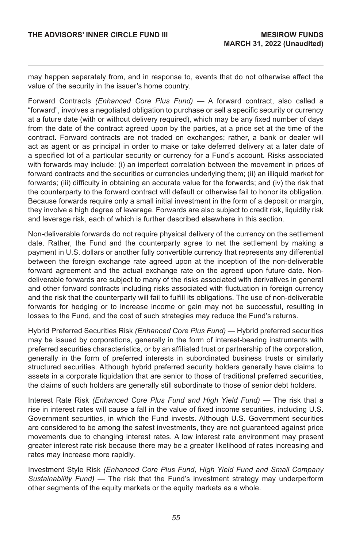may happen separately from, and in response to, events that do not otherwise affect the value of the security in the issuer's home country.

Forward Contracts *(Enhanced Core Plus Fund)* — A forward contract, also called a "forward", involves a negotiated obligation to purchase or sell a specific security or currency at a future date (with or without delivery required), which may be any fixed number of days from the date of the contract agreed upon by the parties, at a price set at the time of the contract. Forward contracts are not traded on exchanges; rather, a bank or dealer will act as agent or as principal in order to make or take deferred delivery at a later date of a specified lot of a particular security or currency for a Fund's account. Risks associated with forwards may include: (i) an imperfect correlation between the movement in prices of forward contracts and the securities or currencies underlying them; (ii) an illiquid market for forwards; (iii) difficulty in obtaining an accurate value for the forwards; and (iv) the risk that the counterparty to the forward contract will default or otherwise fail to honor its obligation. Because forwards require only a small initial investment in the form of a deposit or margin, they involve a high degree of leverage. Forwards are also subject to credit risk, liquidity risk and leverage risk, each of which is further described elsewhere in this section.

Non-deliverable forwards do not require physical delivery of the currency on the settlement date. Rather, the Fund and the counterparty agree to net the settlement by making a payment in U.S. dollars or another fully convertible currency that represents any differential between the foreign exchange rate agreed upon at the inception of the non-deliverable forward agreement and the actual exchange rate on the agreed upon future date. Nondeliverable forwards are subject to many of the risks associated with derivatives in general and other forward contracts including risks associated with fluctuation in foreign currency and the risk that the counterparty will fail to fulfill its obligations. The use of non-deliverable forwards for hedging or to increase income or gain may not be successful, resulting in losses to the Fund, and the cost of such strategies may reduce the Fund's returns.

Hybrid Preferred Securities Risk *(Enhanced Core Plus Fund)* — Hybrid preferred securities may be issued by corporations, generally in the form of interest-bearing instruments with preferred securities characteristics, or by an affiliated trust or partnership of the corporation, generally in the form of preferred interests in subordinated business trusts or similarly structured securities. Although hybrid preferred security holders generally have claims to assets in a corporate liquidation that are senior to those of traditional preferred securities, the claims of such holders are generally still subordinate to those of senior debt holders.

Interest Rate Risk *(Enhanced Core Plus Fund and High Yield Fund)* — The risk that a rise in interest rates will cause a fall in the value of fixed income securities, including U.S. Government securities, in which the Fund invests. Although U.S. Government securities are considered to be among the safest investments, they are not guaranteed against price movements due to changing interest rates. A low interest rate environment may present greater interest rate risk because there may be a greater likelihood of rates increasing and rates may increase more rapidly.

Investment Style Risk *(Enhanced Core Plus Fund, High Yield Fund and Small Company Sustainability Fund)* — The risk that the Fund's investment strategy may underperform other segments of the equity markets or the equity markets as a whole.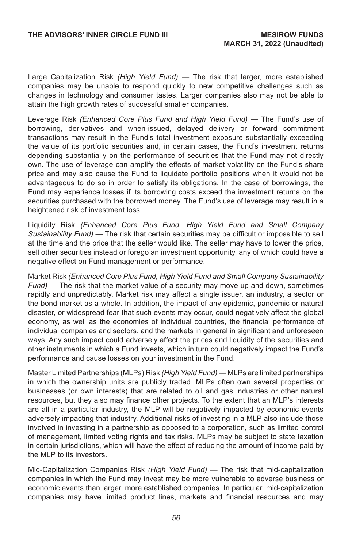Large Capitalization Risk *(High Yield Fund)* — The risk that larger, more established companies may be unable to respond quickly to new competitive challenges such as changes in technology and consumer tastes. Larger companies also may not be able to attain the high growth rates of successful smaller companies.

Leverage Risk *(Enhanced Core Plus Fund and High Yield Fund)* — The Fund's use of borrowing, derivatives and when-issued, delayed delivery or forward commitment transactions may result in the Fund's total investment exposure substantially exceeding the value of its portfolio securities and, in certain cases, the Fund's investment returns depending substantially on the performance of securities that the Fund may not directly own. The use of leverage can amplify the effects of market volatility on the Fund's share price and may also cause the Fund to liquidate portfolio positions when it would not be advantageous to do so in order to satisfy its obligations. In the case of borrowings, the Fund may experience losses if its borrowing costs exceed the investment returns on the securities purchased with the borrowed money. The Fund's use of leverage may result in a heightened risk of investment loss.

Liquidity Risk *(Enhanced Core Plus Fund, High Yield Fund and Small Company Sustainability Fund)* — The risk that certain securities may be difficult or impossible to sell at the time and the price that the seller would like. The seller may have to lower the price, sell other securities instead or forego an investment opportunity, any of which could have a negative effect on Fund management or performance.

Market Risk *(Enhanced Core Plus Fund, High Yield Fund and Small Company Sustainability Fund)* — The risk that the market value of a security may move up and down, sometimes rapidly and unpredictably. Market risk may affect a single issuer, an industry, a sector or the bond market as a whole. In addition, the impact of any epidemic, pandemic or natural disaster, or widespread fear that such events may occur, could negatively affect the global economy, as well as the economies of individual countries, the financial performance of individual companies and sectors, and the markets in general in significant and unforeseen ways. Any such impact could adversely affect the prices and liquidity of the securities and other instruments in which a Fund invests, which in turn could negatively impact the Fund's performance and cause losses on your investment in the Fund.

Master Limited Partnerships (MLPs) Risk *(High Yield Fund)* — MLPs are limited partnerships in which the ownership units are publicly traded. MLPs often own several properties or businesses (or own interests) that are related to oil and gas industries or other natural resources, but they also may finance other projects. To the extent that an MLP's interests are all in a particular industry, the MLP will be negatively impacted by economic events adversely impacting that industry. Additional risks of investing in a MLP also include those involved in investing in a partnership as opposed to a corporation, such as limited control of management, limited voting rights and tax risks. MLPs may be subject to state taxation in certain jurisdictions, which will have the effect of reducing the amount of income paid by the MLP to its investors.

Mid-Capitalization Companies Risk *(High Yield Fund)* — The risk that mid-capitalization companies in which the Fund may invest may be more vulnerable to adverse business or economic events than larger, more established companies. In particular, mid-capitalization companies may have limited product lines, markets and financial resources and may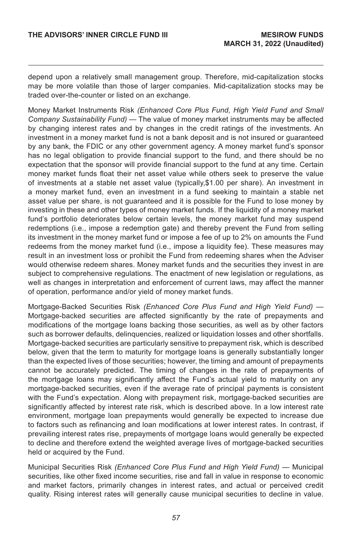depend upon a relatively small management group. Therefore, mid-capitalization stocks may be more volatile than those of larger companies. Mid-capitalization stocks may be traded over-the-counter or listed on an exchange.

Money Market Instruments Risk *(Enhanced Core Plus Fund, High Yield Fund and Small Company Sustainability Fund)* — The value of money market instruments may be affected by changing interest rates and by changes in the credit ratings of the investments. An investment in a money market fund is not a bank deposit and is not insured or guaranteed by any bank, the FDIC or any other government agency. A money market fund's sponsor has no legal obligation to provide financial support to the fund, and there should be no expectation that the sponsor will provide financial support to the fund at any time. Certain money market funds float their net asset value while others seek to preserve the value of investments at a stable net asset value (typically,\$1.00 per share). An investment in a money market fund, even an investment in a fund seeking to maintain a stable net asset value per share, is not guaranteed and it is possible for the Fund to lose money by investing in these and other types of money market funds. If the liquidity of a money market fund's portfolio deteriorates below certain levels, the money market fund may suspend redemptions (i.e., impose a redemption gate) and thereby prevent the Fund from selling its investment in the money market fund or impose a fee of up to 2% on amounts the Fund redeems from the money market fund (i.e., impose a liquidity fee). These measures may result in an investment loss or prohibit the Fund from redeeming shares when the Adviser would otherwise redeem shares. Money market funds and the securities they invest in are subject to comprehensive regulations. The enactment of new legislation or regulations, as well as changes in interpretation and enforcement of current laws, may affect the manner of operation, performance and/or yield of money market funds.

Mortgage-Backed Securities Risk *(Enhanced Core Plus Fund and High Yield Fund)* — Mortgage-backed securities are affected significantly by the rate of prepayments and modifications of the mortgage loans backing those securities, as well as by other factors such as borrower defaults, delinquencies, realized or liquidation losses and other shortfalls. Mortgage-backed securities are particularly sensitive to prepayment risk, which is described below, given that the term to maturity for mortgage loans is generally substantially longer than the expected lives of those securities; however, the timing and amount of prepayments cannot be accurately predicted. The timing of changes in the rate of prepayments of the mortgage loans may significantly affect the Fund's actual yield to maturity on any mortgage-backed securities, even if the average rate of principal payments is consistent with the Fund's expectation. Along with prepayment risk, mortgage-backed securities are significantly affected by interest rate risk, which is described above. In a low interest rate environment, mortgage loan prepayments would generally be expected to increase due to factors such as refinancing and loan modifications at lower interest rates. In contrast, if prevailing interest rates rise, prepayments of mortgage loans would generally be expected to decline and therefore extend the weighted average lives of mortgage-backed securities held or acquired by the Fund.

Municipal Securities Risk *(Enhanced Core Plus Fund and High Yield Fund)* — Municipal securities, like other fixed income securities, rise and fall in value in response to economic and market factors, primarily changes in interest rates, and actual or perceived credit quality. Rising interest rates will generally cause municipal securities to decline in value.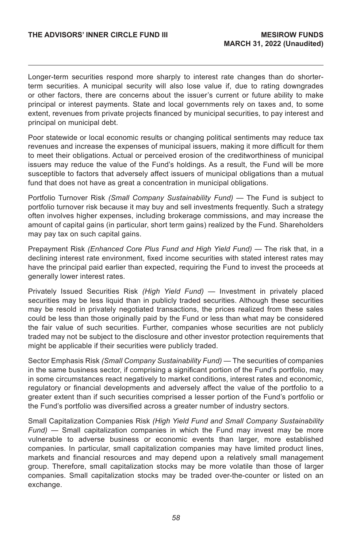Longer-term securities respond more sharply to interest rate changes than do shorterterm securities. A municipal security will also lose value if, due to rating downgrades or other factors, there are concerns about the issuer's current or future ability to make principal or interest payments. State and local governments rely on taxes and, to some extent, revenues from private projects financed by municipal securities, to pay interest and principal on municipal debt.

Poor statewide or local economic results or changing political sentiments may reduce tax revenues and increase the expenses of municipal issuers, making it more difficult for them to meet their obligations. Actual or perceived erosion of the creditworthiness of municipal issuers may reduce the value of the Fund's holdings. As a result, the Fund will be more susceptible to factors that adversely affect issuers of municipal obligations than a mutual fund that does not have as great a concentration in municipal obligations.

Portfolio Turnover Risk *(Small Company Sustainability Fund)* — The Fund is subject to portfolio turnover risk because it may buy and sell investments frequently. Such a strategy often involves higher expenses, including brokerage commissions, and may increase the amount of capital gains (in particular, short term gains) realized by the Fund. Shareholders may pay tax on such capital gains.

Prepayment Risk *(Enhanced Core Plus Fund and High Yield Fund)* — The risk that, in a declining interest rate environment, fixed income securities with stated interest rates may have the principal paid earlier than expected, requiring the Fund to invest the proceeds at generally lower interest rates.

Privately Issued Securities Risk *(High Yield Fund)* — Investment in privately placed securities may be less liquid than in publicly traded securities. Although these securities may be resold in privately negotiated transactions, the prices realized from these sales could be less than those originally paid by the Fund or less than what may be considered the fair value of such securities. Further, companies whose securities are not publicly traded may not be subject to the disclosure and other investor protection requirements that might be applicable if their securities were publicly traded.

Sector Emphasis Risk *(Small Company Sustainability Fund)* — The securities of companies in the same business sector, if comprising a significant portion of the Fund's portfolio, may in some circumstances react negatively to market conditions, interest rates and economic, regulatory or financial developments and adversely affect the value of the portfolio to a greater extent than if such securities comprised a lesser portion of the Fund's portfolio or the Fund's portfolio was diversified across a greater number of industry sectors.

Small Capitalization Companies Risk *(High Yield Fund and Small Company Sustainability Fund)* — Small capitalization companies in which the Fund may invest may be more vulnerable to adverse business or economic events than larger, more established companies. In particular, small capitalization companies may have limited product lines, markets and financial resources and may depend upon a relatively small management group. Therefore, small capitalization stocks may be more volatile than those of larger companies. Small capitalization stocks may be traded over-the-counter or listed on an exchange.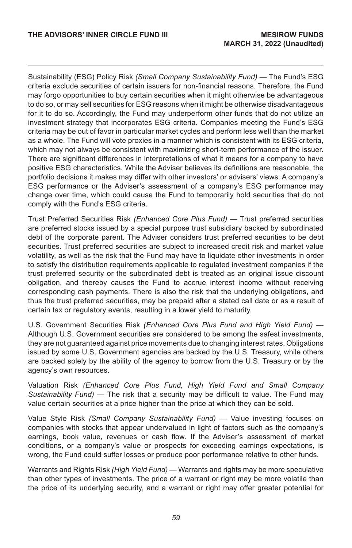Sustainability (ESG) Policy Risk *(Small Company Sustainability Fund)* — The Fund's ESG criteria exclude securities of certain issuers for non-financial reasons. Therefore, the Fund may forgo opportunities to buy certain securities when it might otherwise be advantageous to do so, or may sell securities for ESG reasons when it might be otherwise disadvantageous for it to do so. Accordingly, the Fund may underperform other funds that do not utilize an investment strategy that incorporates ESG criteria. Companies meeting the Fund's ESG criteria may be out of favor in particular market cycles and perform less well than the market as a whole. The Fund will vote proxies in a manner which is consistent with its ESG criteria, which may not always be consistent with maximizing short-term performance of the issuer. There are significant differences in interpretations of what it means for a company to have positive ESG characteristics. While the Adviser believes its definitions are reasonable, the portfolio decisions it makes may differ with other investors' or advisers' views. A company's ESG performance or the Adviser's assessment of a company's ESG performance may change over time, which could cause the Fund to temporarily hold securities that do not comply with the Fund's ESG criteria.

Trust Preferred Securities Risk *(Enhanced Core Plus Fund)* — Trust preferred securities are preferred stocks issued by a special purpose trust subsidiary backed by subordinated debt of the corporate parent. The Adviser considers trust preferred securities to be debt securities. Trust preferred securities are subject to increased credit risk and market value volatility, as well as the risk that the Fund may have to liquidate other investments in order to satisfy the distribution requirements applicable to regulated investment companies if the trust preferred security or the subordinated debt is treated as an original issue discount obligation, and thereby causes the Fund to accrue interest income without receiving corresponding cash payments. There is also the risk that the underlying obligations, and thus the trust preferred securities, may be prepaid after a stated call date or as a result of certain tax or regulatory events, resulting in a lower yield to maturity.

U.S. Government Securities Risk *(Enhanced Core Plus Fund and High Yield Fund)* — Although U.S. Government securities are considered to be among the safest investments, they are not guaranteed against price movements due to changing interest rates. Obligations issued by some U.S. Government agencies are backed by the U.S. Treasury, while others are backed solely by the ability of the agency to borrow from the U.S. Treasury or by the agency's own resources.

Valuation Risk *(Enhanced Core Plus Fund, High Yield Fund and Small Company Sustainability Fund)* — The risk that a security may be difficult to value. The Fund may value certain securities at a price higher than the price at which they can be sold.

Value Style Risk *(Small Company Sustainability Fund)* — Value investing focuses on companies with stocks that appear undervalued in light of factors such as the company's earnings, book value, revenues or cash flow. If the Adviser's assessment of market conditions, or a company's value or prospects for exceeding earnings expectations, is wrong, the Fund could suffer losses or produce poor performance relative to other funds.

Warrants and Rights Risk *(High Yield Fund)* — Warrants and rights may be more speculative than other types of investments. The price of a warrant or right may be more volatile than the price of its underlying security, and a warrant or right may offer greater potential for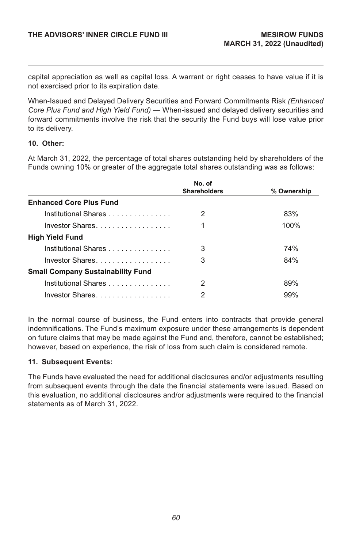capital appreciation as well as capital loss. A warrant or right ceases to have value if it is not exercised prior to its expiration date.

When-Issued and Delayed Delivery Securities and Forward Commitments Risk *(Enhanced Core Plus Fund and High Yield Fund)* — When-issued and delayed delivery securities and forward commitments involve the risk that the security the Fund buys will lose value prior to its delivery.

#### **10. Other:**

At March 31, 2022, the percentage of total shares outstanding held by shareholders of the Funds owning 10% or greater of the aggregate total shares outstanding was as follows:

|                                                                                                                                                                                                                                | No. of              |             |
|--------------------------------------------------------------------------------------------------------------------------------------------------------------------------------------------------------------------------------|---------------------|-------------|
|                                                                                                                                                                                                                                | <b>Shareholders</b> | % Ownership |
| <b>Enhanced Core Plus Fund</b>                                                                                                                                                                                                 |                     |             |
| Institutional Shares                                                                                                                                                                                                           | 2                   | 83%         |
| Investor Shares                                                                                                                                                                                                                | 1                   | 100%        |
| <b>High Yield Fund</b>                                                                                                                                                                                                         |                     |             |
| Institutional Shares                                                                                                                                                                                                           | 3                   | 74%         |
| Investor Shares and the control of the control of the control of the control of the control of the control of the control of the control of the control of the control of the control of the control of the control of the con | 3                   | 84%         |
| <b>Small Company Sustainability Fund</b>                                                                                                                                                                                       |                     |             |
| Institutional Shares in the control of the control of the control of the control of the control of the control o                                                                                                               | 2                   | 89%         |
| Investor Shares                                                                                                                                                                                                                | 2                   | 99%         |

In the normal course of business, the Fund enters into contracts that provide general indemnifications. The Fund's maximum exposure under these arrangements is dependent on future claims that may be made against the Fund and, therefore, cannot be established; however, based on experience, the risk of loss from such claim is considered remote.

#### **11. Subsequent Events:**

The Funds have evaluated the need for additional disclosures and/or adjustments resulting from subsequent events through the date the financial statements were issued. Based on this evaluation, no additional disclosures and/or adjustments were required to the financial statements as of March 31, 2022.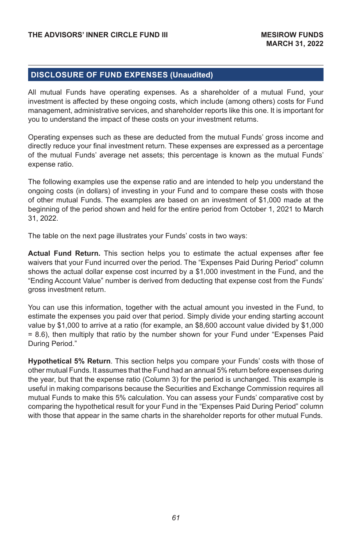### **DISCLOSURE OF FUND EXPENSES (Unaudited)**

All mutual Funds have operating expenses. As a shareholder of a mutual Fund, your investment is affected by these ongoing costs, which include (among others) costs for Fund management, administrative services, and shareholder reports like this one. It is important for you to understand the impact of these costs on your investment returns.

Operating expenses such as these are deducted from the mutual Funds' gross income and directly reduce your final investment return. These expenses are expressed as a percentage of the mutual Funds' average net assets; this percentage is known as the mutual Funds' expense ratio.

The following examples use the expense ratio and are intended to help you understand the ongoing costs (in dollars) of investing in your Fund and to compare these costs with those of other mutual Funds. The examples are based on an investment of \$1,000 made at the beginning of the period shown and held for the entire period from October 1, 2021 to March 31, 2022.

The table on the next page illustrates your Funds' costs in two ways:

**Actual Fund Return.** This section helps you to estimate the actual expenses after fee waivers that your Fund incurred over the period. The "Expenses Paid During Period" column shows the actual dollar expense cost incurred by a \$1,000 investment in the Fund, and the "Ending Account Value" number is derived from deducting that expense cost from the Funds' gross investment return.

You can use this information, together with the actual amount you invested in the Fund, to estimate the expenses you paid over that period. Simply divide your ending starting account value by \$1,000 to arrive at a ratio (for example, an \$8,600 account value divided by \$1,000 = 8.6), then multiply that ratio by the number shown for your Fund under "Expenses Paid During Period."

**Hypothetical 5% Return**. This section helps you compare your Funds' costs with those of other mutual Funds. It assumes that the Fund had an annual 5% return before expenses during the year, but that the expense ratio (Column 3) for the period is unchanged. This example is useful in making comparisons because the Securities and Exchange Commission requires all mutual Funds to make this 5% calculation. You can assess your Funds' comparative cost by comparing the hypothetical result for your Fund in the "Expenses Paid During Period" column with those that appear in the same charts in the shareholder reports for other mutual Funds.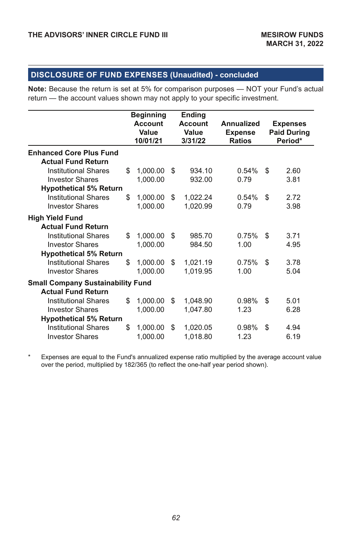# **DISCLOSURE OF FUND EXPENSES (Unaudited) - concluded**

**Note:** Because the return is set at 5% for comparison purposes — NOT your Fund's actual return — the account values shown may not apply to your specific investment.

|                                          |    | <b>Beginning</b><br>Ending |    |                |                |    |                    |  |  |
|------------------------------------------|----|----------------------------|----|----------------|----------------|----|--------------------|--|--|
|                                          |    | <b>Account</b>             |    | <b>Account</b> | Annualized     |    | <b>Expenses</b>    |  |  |
|                                          |    | Value                      |    | Value          | <b>Expense</b> |    | <b>Paid During</b> |  |  |
|                                          |    | 10/01/21                   |    | 3/31/22        | <b>Ratios</b>  |    | Period*            |  |  |
| <b>Enhanced Core Plus Fund</b>           |    |                            |    |                |                |    |                    |  |  |
| <b>Actual Fund Return</b>                |    |                            |    |                |                |    |                    |  |  |
| <b>Institutional Shares</b>              | \$ | 1,000.00                   | \$ | 934.10         | 0.54%          | \$ | 2.60               |  |  |
| <b>Investor Shares</b>                   |    | 1,000.00                   |    | 932.00         | 0.79           |    | 3.81               |  |  |
| <b>Hypothetical 5% Return</b>            |    |                            |    |                |                |    |                    |  |  |
| <b>Institutional Shares</b>              | \$ | 1,000.00                   | \$ | 1,022.24       | 0.54%          | \$ | 2.72               |  |  |
| <b>Investor Shares</b>                   |    | 1,000.00                   |    | 1,020.99       | 0.79           |    | 3.98               |  |  |
| <b>High Yield Fund</b>                   |    |                            |    |                |                |    |                    |  |  |
| <b>Actual Fund Return</b>                |    |                            |    |                |                |    |                    |  |  |
| <b>Institutional Shares</b>              | \$ | 1,000.00                   | \$ | 985.70         | 0.75%          | \$ | 3.71               |  |  |
| <b>Investor Shares</b>                   |    | 1,000.00                   |    | 984.50         | 1.00           |    | 4.95               |  |  |
| <b>Hypothetical 5% Return</b>            |    |                            |    |                |                |    |                    |  |  |
| <b>Institutional Shares</b>              | \$ | 1,000.00                   | \$ | 1,021.19       | 0.75%          | \$ | 3.78               |  |  |
| <b>Investor Shares</b>                   |    | 1,000.00                   |    | 1,019.95       | 1.00           |    | 5.04               |  |  |
| <b>Small Company Sustainability Fund</b> |    |                            |    |                |                |    |                    |  |  |
| <b>Actual Fund Return</b>                |    |                            |    |                |                |    |                    |  |  |
| <b>Institutional Shares</b>              | \$ | 1,000.00                   | \$ | 1,048.90       | 0.98%          | \$ | 5.01               |  |  |
| <b>Investor Shares</b>                   |    | 1,000.00                   |    | 1,047.80       | 1.23           |    | 6.28               |  |  |
| <b>Hypothetical 5% Return</b>            |    |                            |    |                |                |    |                    |  |  |
| <b>Institutional Shares</b>              | \$ | 1,000.00                   | \$ | 1,020.05       | 0.98%          | \$ | 4.94               |  |  |
| <b>Investor Shares</b>                   |    | 1,000.00                   |    | 1,018.80       | 1.23           |    | 6.19               |  |  |

\* Expenses are equal to the Fund's annualized expense ratio multiplied by the average account value over the period, multiplied by 182/365 (to reflect the one-half year period shown).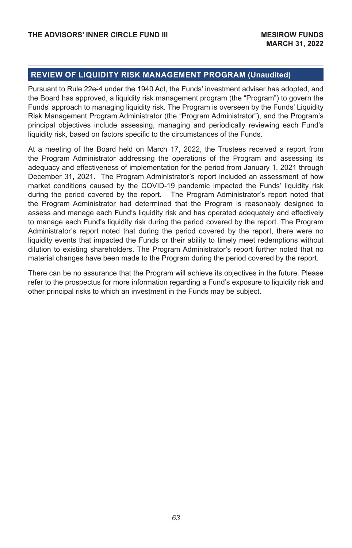### **REVIEW OF LIQUIDITY RISK MANAGEMENT PROGRAM (Unaudited)**

Pursuant to Rule 22e-4 under the 1940 Act, the Funds' investment adviser has adopted, and the Board has approved, a liquidity risk management program (the "Program") to govern the Funds' approach to managing liquidity risk. The Program is overseen by the Funds' Liquidity Risk Management Program Administrator (the "Program Administrator"), and the Program's principal objectives include assessing, managing and periodically reviewing each Fund's liquidity risk, based on factors specific to the circumstances of the Funds.

At a meeting of the Board held on March 17, 2022, the Trustees received a report from the Program Administrator addressing the operations of the Program and assessing its adequacy and effectiveness of implementation for the period from January 1, 2021 through December 31, 2021. The Program Administrator's report included an assessment of how market conditions caused by the COVID-19 pandemic impacted the Funds' liquidity risk during the period covered by the report. The Program Administrator's report noted that the Program Administrator had determined that the Program is reasonably designed to assess and manage each Fund's liquidity risk and has operated adequately and effectively to manage each Fund's liquidity risk during the period covered by the report. The Program Administrator's report noted that during the period covered by the report, there were no liquidity events that impacted the Funds or their ability to timely meet redemptions without dilution to existing shareholders. The Program Administrator's report further noted that no material changes have been made to the Program during the period covered by the report.

There can be no assurance that the Program will achieve its objectives in the future. Please refer to the prospectus for more information regarding a Fund's exposure to liquidity risk and other principal risks to which an investment in the Funds may be subject.